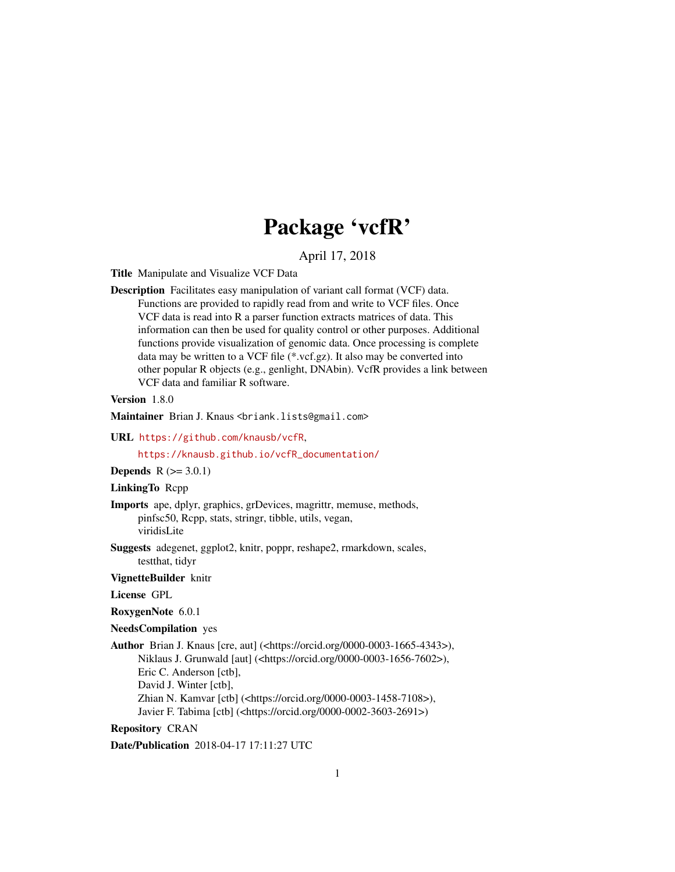## Package 'vcfR'

#### April 17, 2018

<span id="page-0-0"></span>Title Manipulate and Visualize VCF Data

Description Facilitates easy manipulation of variant call format (VCF) data. Functions are provided to rapidly read from and write to VCF files. Once VCF data is read into R a parser function extracts matrices of data. This information can then be used for quality control or other purposes. Additional functions provide visualization of genomic data. Once processing is complete data may be written to a VCF file (\*.vcf.gz). It also may be converted into other popular R objects (e.g., genlight, DNAbin). VcfR provides a link between VCF data and familiar R software.

#### Version 1.8.0

Maintainer Brian J. Knaus <briank.lists@gmail.com>

URL <https://github.com/knausb/vcfR>,

[https://knausb.github.io/vcfR\\_documentation/](https://knausb.github.io/vcfR_documentation/)

**Depends**  $R (= 3.0.1)$ 

#### LinkingTo Rcpp

- Imports ape, dplyr, graphics, grDevices, magrittr, memuse, methods, pinfsc50, Rcpp, stats, stringr, tibble, utils, vegan, viridisLite
- Suggests adegenet, ggplot2, knitr, poppr, reshape2, rmarkdown, scales, testthat, tidyr

VignetteBuilder knitr

#### License GPL

RoxygenNote 6.0.1

#### NeedsCompilation yes

Author Brian J. Knaus [cre, aut] (<https://orcid.org/0000-0003-1665-4343>), Niklaus J. Grunwald [aut] (<https://orcid.org/0000-0003-1656-7602>), Eric C. Anderson [ctb], David J. Winter [ctb], Zhian N. Kamvar [ctb] (<https://orcid.org/0000-0003-1458-7108>), Javier F. Tabima [ctb] (<https://orcid.org/0000-0002-3603-2691>)

#### Repository CRAN

Date/Publication 2018-04-17 17:11:27 UTC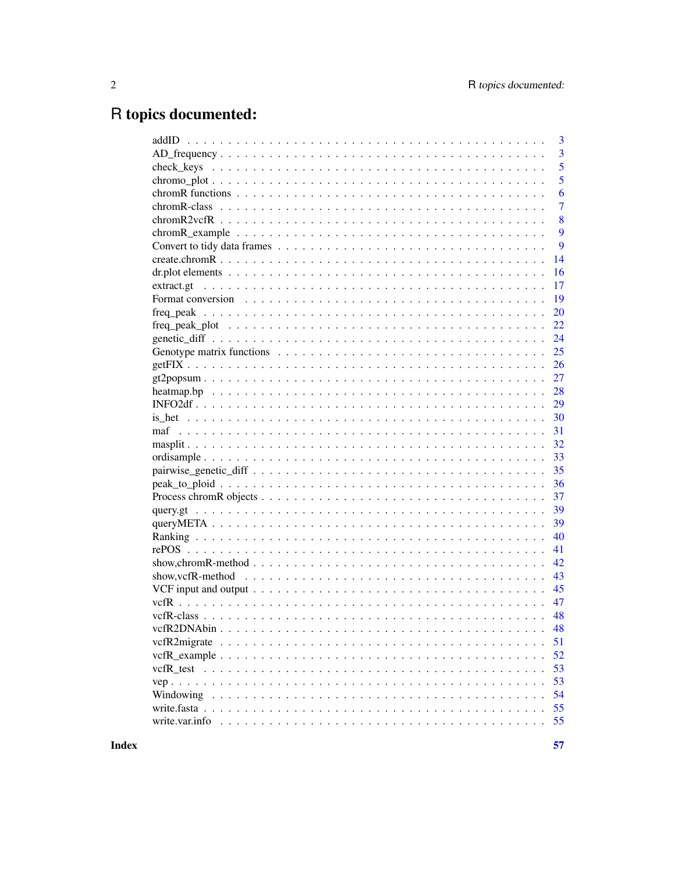# R topics documented:

|                                                                                                                | 3              |
|----------------------------------------------------------------------------------------------------------------|----------------|
|                                                                                                                | 3              |
|                                                                                                                | 5              |
|                                                                                                                | 5              |
|                                                                                                                | 6              |
|                                                                                                                | $\overline{7}$ |
|                                                                                                                | 8              |
|                                                                                                                | 9              |
|                                                                                                                | 9              |
|                                                                                                                | 14             |
|                                                                                                                | 16             |
| extract.gt                                                                                                     | 17             |
|                                                                                                                | 19             |
|                                                                                                                | 20             |
|                                                                                                                | 22             |
|                                                                                                                | 24             |
|                                                                                                                | 25             |
|                                                                                                                | 26             |
|                                                                                                                | 27             |
|                                                                                                                | 28             |
|                                                                                                                | 29             |
|                                                                                                                | 30             |
| maf                                                                                                            | 31             |
|                                                                                                                | 32             |
|                                                                                                                | 33             |
|                                                                                                                | 35             |
|                                                                                                                | 36             |
|                                                                                                                | 37             |
|                                                                                                                | 39             |
|                                                                                                                | 39             |
|                                                                                                                | 40             |
|                                                                                                                | 41             |
|                                                                                                                | 42             |
| show, vcfR-method $\ldots \ldots \ldots \ldots \ldots \ldots \ldots \ldots \ldots \ldots \ldots \ldots \ldots$ | 43             |
|                                                                                                                | 45             |
|                                                                                                                | 47             |
|                                                                                                                | 48             |
|                                                                                                                | 48             |
|                                                                                                                | 51             |
|                                                                                                                | 52             |
|                                                                                                                | 53             |
|                                                                                                                | 53             |
|                                                                                                                | 54             |
|                                                                                                                | 55             |
| write.var.info                                                                                                 | 55             |
|                                                                                                                |                |

**Index**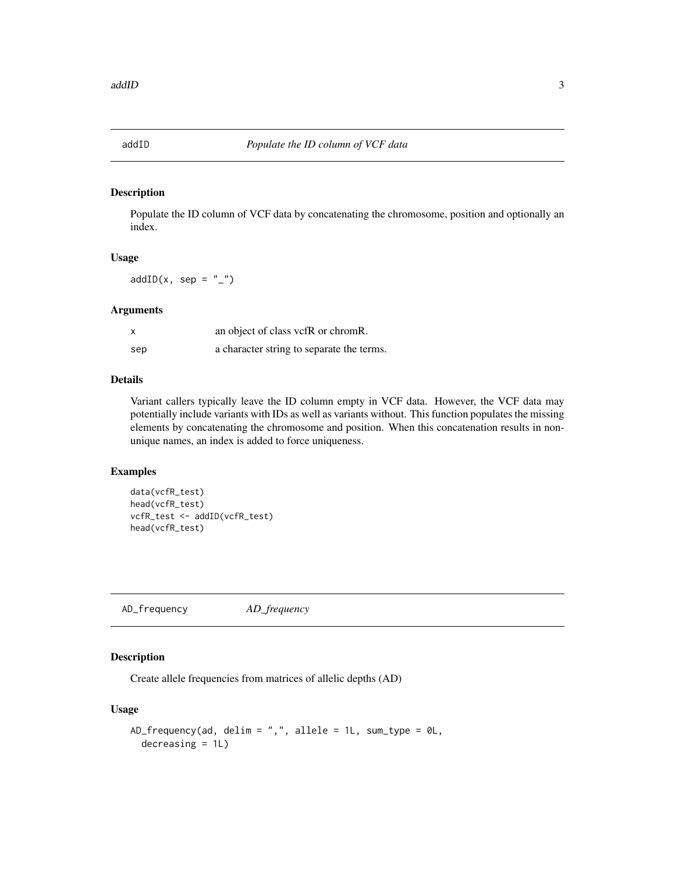<span id="page-2-0"></span>

#### Description

Populate the ID column of VCF data by concatenating the chromosome, position and optionally an index.

#### Usage

 $addID(x, sep = "__")$ 

#### Arguments

| $\boldsymbol{\mathsf{x}}$ | an object of class vcfR or chromR.        |
|---------------------------|-------------------------------------------|
| sep                       | a character string to separate the terms. |

#### Details

Variant callers typically leave the ID column empty in VCF data. However, the VCF data may potentially include variants with IDs as well as variants without. This function populates the missing elements by concatenating the chromosome and position. When this concatenation results in nonunique names, an index is added to force uniqueness.

#### Examples

```
data(vcfR_test)
head(vcfR_test)
vcfR_test <- addID(vcfR_test)
head(vcfR_test)
```
AD\_frequency *AD\_frequency*

#### Description

Create allele frequencies from matrices of allelic depths (AD)

#### Usage

```
AD_frequency(ad, delim = ",", allele = 1L, sum_type = 0L,
  decreasing = 1L)
```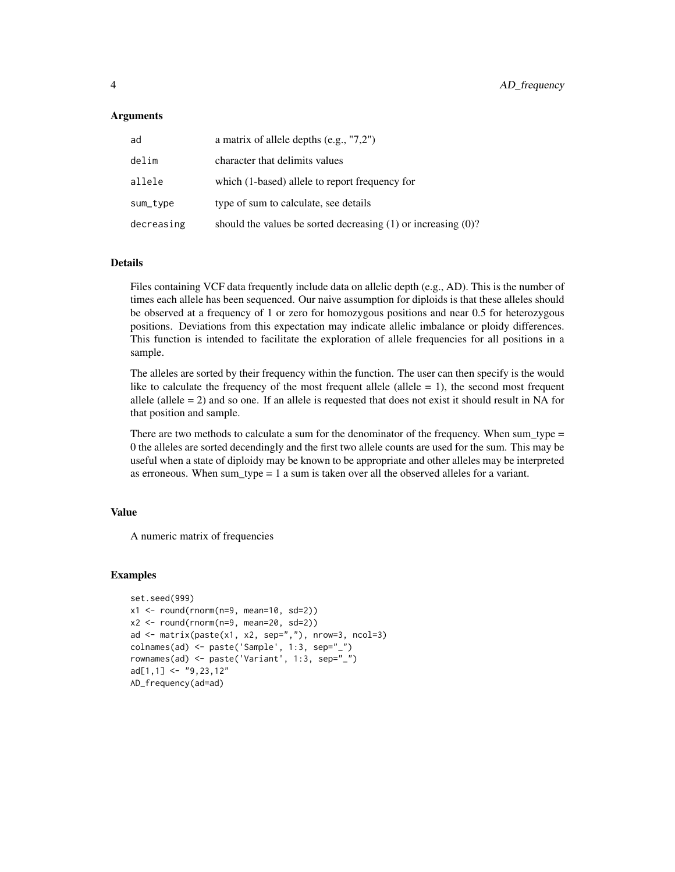#### **Arguments**

| ad         | a matrix of allele depths $(e.g., "7,2")$                          |
|------------|--------------------------------------------------------------------|
| delim      | character that delimits values                                     |
| allele     | which (1-based) allele to report frequency for                     |
| sum_type   | type of sum to calculate, see details                              |
| decreasing | should the values be sorted decreasing $(1)$ or increasing $(0)$ ? |

#### Details

Files containing VCF data frequently include data on allelic depth (e.g., AD). This is the number of times each allele has been sequenced. Our naive assumption for diploids is that these alleles should be observed at a frequency of 1 or zero for homozygous positions and near 0.5 for heterozygous positions. Deviations from this expectation may indicate allelic imbalance or ploidy differences. This function is intended to facilitate the exploration of allele frequencies for all positions in a sample.

The alleles are sorted by their frequency within the function. The user can then specify is the would like to calculate the frequency of the most frequent allele (allele  $= 1$ ), the second most frequent allele (allele  $= 2$ ) and so one. If an allele is requested that does not exist it should result in NA for that position and sample.

There are two methods to calculate a sum for the denominator of the frequency. When sum\_type = 0 the alleles are sorted decendingly and the first two allele counts are used for the sum. This may be useful when a state of diploidy may be known to be appropriate and other alleles may be interpreted as erroneous. When sum type  $= 1$  a sum is taken over all the observed alleles for a variant.

#### Value

A numeric matrix of frequencies

#### Examples

```
set.seed(999)
x1 \le round(rnorm(n=9, mean=10, sd=2))
x2 \le round(rnorm(n=9, mean=20, sd=2))
ad \le matrix(paste(x1, x2, sep=","), nrow=3, ncol=3)
colnames(ad) <- paste('Sample', 1:3, sep="_")
rownames(ad) <- paste('Variant', 1:3, sep="_")
ad[1,1] <- "9,23,12"
AD_frequency(ad=ad)
```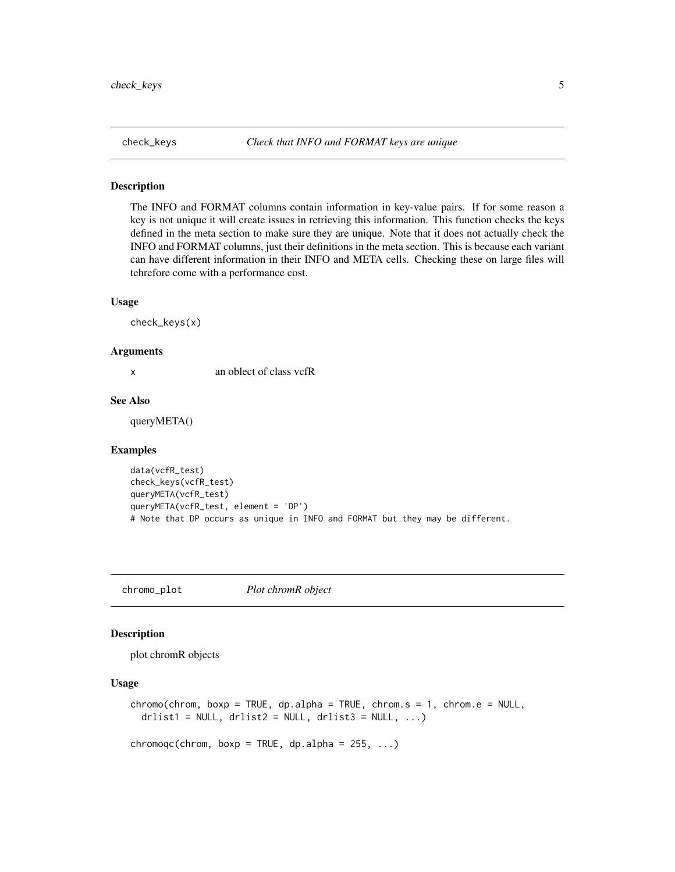<span id="page-4-0"></span>

#### Description

The INFO and FORMAT columns contain information in key-value pairs. If for some reason a key is not unique it will create issues in retrieving this information. This function checks the keys defined in the meta section to make sure they are unique. Note that it does not actually check the INFO and FORMAT columns, just their definitions in the meta section. This is because each variant can have different information in their INFO and META cells. Checking these on large files will tehrefore come with a performance cost.

#### Usage

check\_keys(x)

#### Arguments

x an oblect of class vcfR

#### See Also

queryMETA()

#### Examples

```
data(vcfR_test)
check_keys(vcfR_test)
queryMETA(vcfR_test)
queryMETA(vcfR_test, element = 'DP')
# Note that DP occurs as unique in INFO and FORMAT but they may be different.
```
chromo\_plot *Plot chromR object*

#### <span id="page-4-1"></span>Description

plot chromR objects

#### Usage

```
chromo(chrom, boxp = TRUE, dp.alpha = TRUE, chrom.s = 1, chrom.e = NULL,drlist1 = NULL, drlist2 = NULL, drlist3 = NULL, ...)
```
 $chromoqc(chrom, boxp = TRUE, dp.alpha = 255, ...)$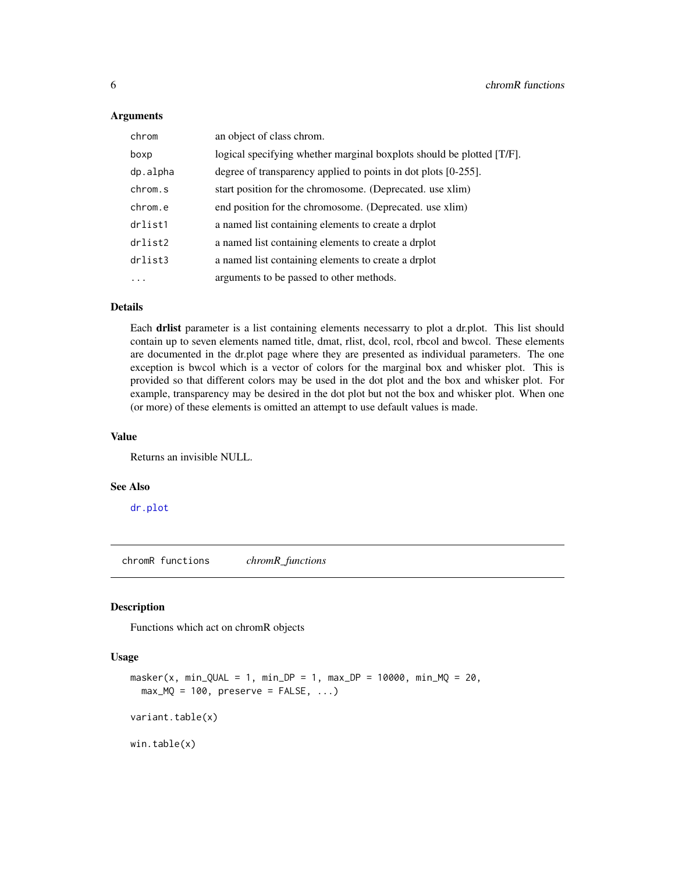#### <span id="page-5-0"></span>**Arguments**

| chrom    | an object of class chrom.                                             |
|----------|-----------------------------------------------------------------------|
| boxp     | logical specifying whether marginal boxplots should be plotted [T/F]. |
| dp.alpha | degree of transparency applied to points in dot plots [0-255].        |
| chrom.s  | start position for the chromosome. (Deprecated. use xlim)             |
| chrom.e  | end position for the chromosome. (Deprecated. use xlim)               |
| drlist1  | a named list containing elements to create a drplot                   |
| drlist2  | a named list containing elements to create a drplot                   |
| drlist3  | a named list containing elements to create a drplot                   |
| .        | arguments to be passed to other methods.                              |

#### Details

Each drlist parameter is a list containing elements necessarry to plot a dr.plot. This list should contain up to seven elements named title, dmat, rlist, dcol, rcol, rbcol and bwcol. These elements are documented in the dr.plot page where they are presented as individual parameters. The one exception is bwcol which is a vector of colors for the marginal box and whisker plot. This is provided so that different colors may be used in the dot plot and the box and whisker plot. For example, transparency may be desired in the dot plot but not the box and whisker plot. When one (or more) of these elements is omitted an attempt to use default values is made.

#### Value

Returns an invisible NULL.

#### See Also

[dr.plot](#page-15-1)

chromR functions *chromR\_functions*

#### Description

Functions which act on chromR objects

#### Usage

```
masker(x, min_QUAL = 1, min_DP = 1, max_DP = 10000, min_MQ = 20,max_MQ = 100, preserve = FALSE, ...)
variant.table(x)
win.table(x)
```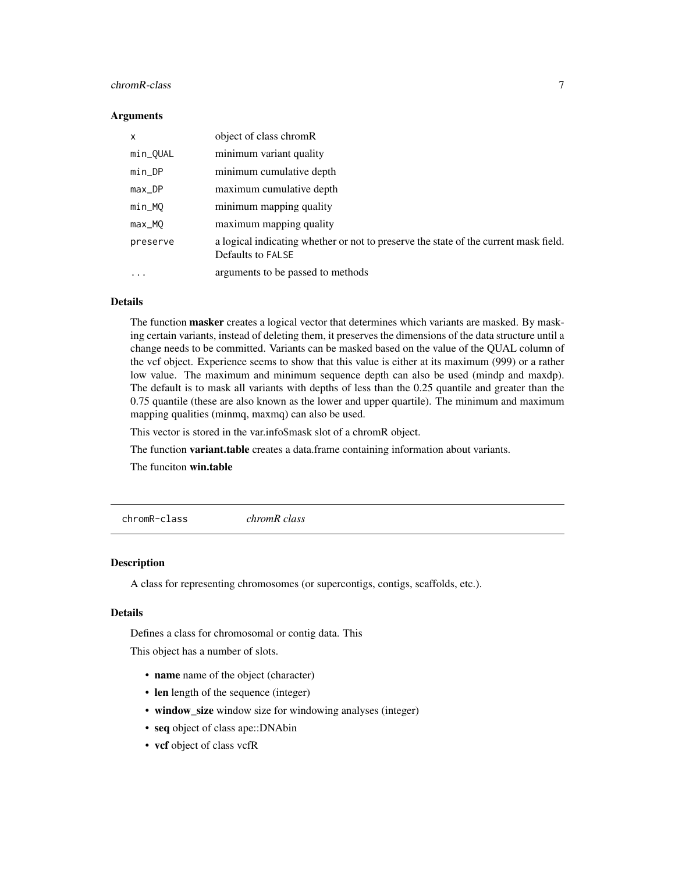#### <span id="page-6-0"></span>chromR-class 7

#### **Arguments**

| $\mathsf{x}$ | object of class chromR                                                                                    |
|--------------|-----------------------------------------------------------------------------------------------------------|
| min_QUAL     | minimum variant quality                                                                                   |
| $min\_DP$    | minimum cumulative depth                                                                                  |
| $max\_DP$    | maximum cumulative depth                                                                                  |
| min_MQ       | minimum mapping quality                                                                                   |
| max_MQ       | maximum mapping quality                                                                                   |
| preserve     | a logical indicating whether or not to preserve the state of the current mask field.<br>Defaults to FALSE |
| .            | arguments to be passed to methods                                                                         |

#### Details

The function masker creates a logical vector that determines which variants are masked. By masking certain variants, instead of deleting them, it preserves the dimensions of the data structure until a change needs to be committed. Variants can be masked based on the value of the QUAL column of the vcf object. Experience seems to show that this value is either at its maximum (999) or a rather low value. The maximum and minimum sequence depth can also be used (mindp and maxdp). The default is to mask all variants with depths of less than the 0.25 quantile and greater than the 0.75 quantile (these are also known as the lower and upper quartile). The minimum and maximum mapping qualities (minmq, maxmq) can also be used.

This vector is stored in the var.info\$mask slot of a chromR object.

The function variant.table creates a data.frame containing information about variants.

The funciton win.table

<span id="page-6-1"></span>chromR-class *chromR class*

#### **Description**

A class for representing chromosomes (or supercontigs, contigs, scaffolds, etc.).

#### Details

Defines a class for chromosomal or contig data. This

This object has a number of slots.

- name name of the object (character)
- len length of the sequence (integer)
- window\_size window size for windowing analyses (integer)
- seq object of class ape::DNAbin
- vcf object of class vcfR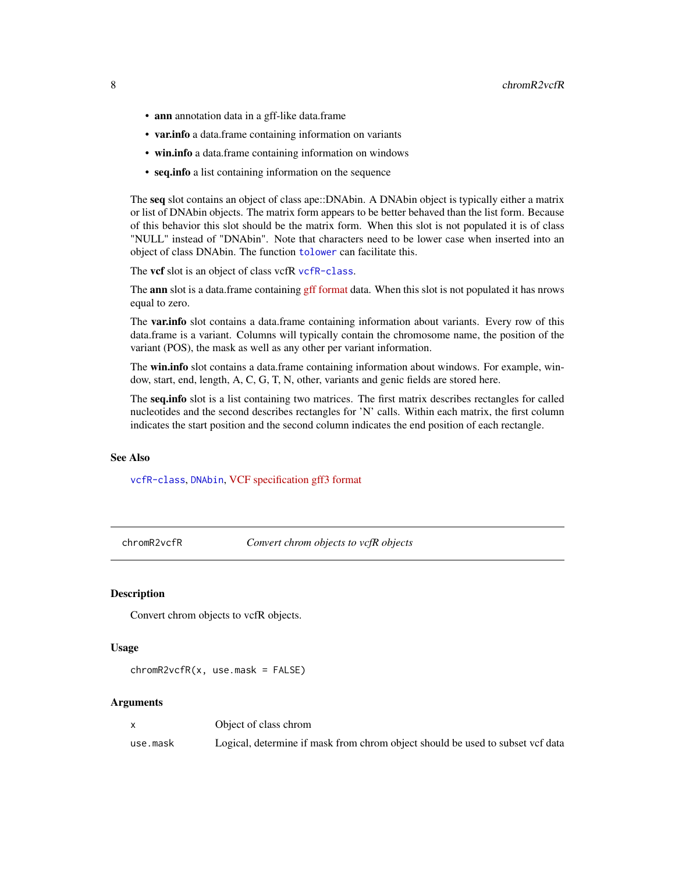- <span id="page-7-0"></span>• ann annotation data in a gff-like data.frame
- var.info a data.frame containing information on variants
- win.info a data.frame containing information on windows
- seq.info a list containing information on the sequence

The seq slot contains an object of class ape::DNAbin. A DNAbin object is typically either a matrix or list of DNAbin objects. The matrix form appears to be better behaved than the list form. Because of this behavior this slot should be the matrix form. When this slot is not populated it is of class "NULL" instead of "DNAbin". Note that characters need to be lower case when inserted into an object of class DNAbin. The function [tolower](#page-0-0) can facilitate this.

The vcf slot is an object of class vcfR [vcfR-class](#page-47-1).

The **ann** slot is a data.frame containing [gff format](https://github.com/The-Sequence-Ontology/Specifications/blob/master/gff3.md) data. When this slot is not populated it has nrows equal to zero.

The **var.info** slot contains a data.frame containing information about variants. Every row of this data.frame is a variant. Columns will typically contain the chromosome name, the position of the variant (POS), the mask as well as any other per variant information.

The win.info slot contains a data.frame containing information about windows. For example, window, start, end, length, A, C, G, T, N, other, variants and genic fields are stored here.

The seq.info slot is a list containing two matrices. The first matrix describes rectangles for called nucleotides and the second describes rectangles for 'N' calls. Within each matrix, the first column indicates the start position and the second column indicates the end position of each rectangle.

#### See Also

[vcfR-class](#page-47-1), [DNAbin](#page-0-0), [VCF specification](https://github.com/samtools/hts-specs) [gff3 format](https://github.com/The-Sequence-Ontology/Specifications/blob/master/gff3.md)

chromR2vcfR *Convert chrom objects to vcfR objects*

#### **Description**

Convert chrom objects to vcfR objects.

#### Usage

```
chromR2vcfR(x, use.mask = FALSE)
```
#### Arguments

|          | Object of class chrom                                                          |
|----------|--------------------------------------------------------------------------------|
| use.mask | Logical, determine if mask from chrom object should be used to subset vcf data |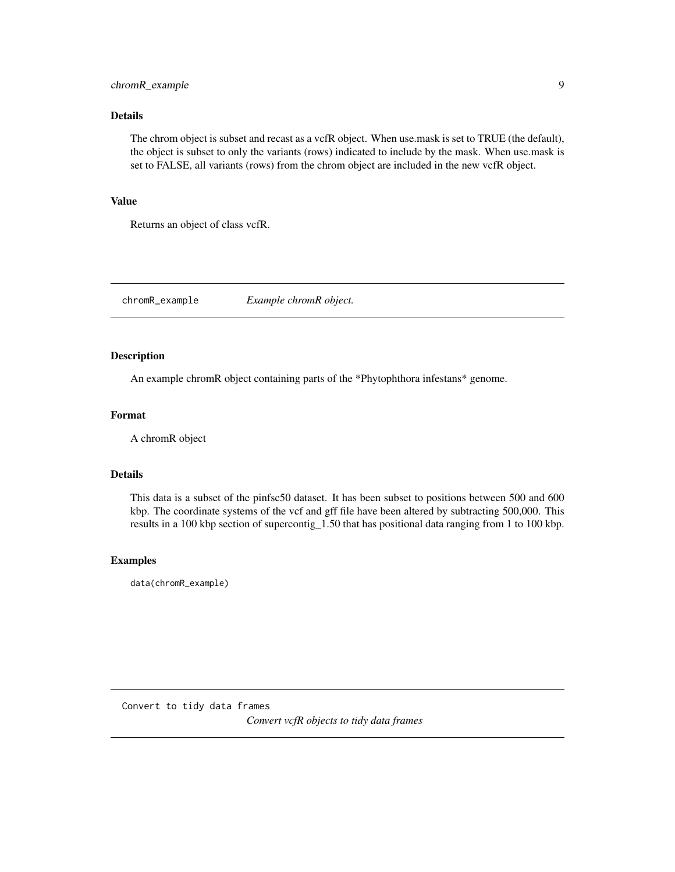#### <span id="page-8-0"></span>chromR\_example 9

#### Details

The chrom object is subset and recast as a vcfR object. When use.mask is set to TRUE (the default), the object is subset to only the variants (rows) indicated to include by the mask. When use.mask is set to FALSE, all variants (rows) from the chrom object are included in the new vcfR object.

#### Value

Returns an object of class vcfR.

chromR\_example *Example chromR object.*

#### Description

An example chromR object containing parts of the \*Phytophthora infestans\* genome.

#### Format

A chromR object

#### Details

This data is a subset of the pinfsc50 dataset. It has been subset to positions between 500 and 600 kbp. The coordinate systems of the vcf and gff file have been altered by subtracting 500,000. This results in a 100 kbp section of supercontig\_1.50 that has positional data ranging from 1 to 100 kbp.

#### Examples

data(chromR\_example)

<span id="page-8-1"></span>Convert to tidy data frames *Convert vcfR objects to tidy data frames*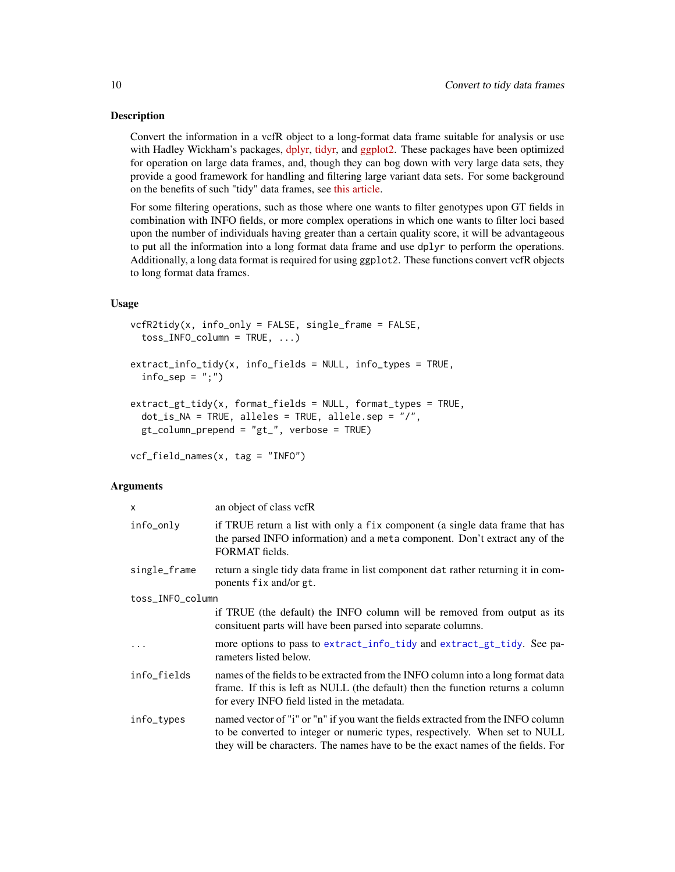#### <span id="page-9-0"></span>Description

Convert the information in a vcfR object to a long-format data frame suitable for analysis or use with Hadley Wickham's packages, [dplyr,](https://cran.r-project.org/package=dplyr) [tidyr,](https://cran.r-project.org/package=tidyr) and [ggplot2.](https://cran.r-project.org/package=ggplot2) These packages have been optimized for operation on large data frames, and, though they can bog down with very large data sets, they provide a good framework for handling and filtering large variant data sets. For some background on the benefits of such "tidy" data frames, see [this article.](https://www.jstatsoft.org/article/view/v059i10)

For some filtering operations, such as those where one wants to filter genotypes upon GT fields in combination with INFO fields, or more complex operations in which one wants to filter loci based upon the number of individuals having greater than a certain quality score, it will be advantageous to put all the information into a long format data frame and use dplyr to perform the operations. Additionally, a long data format is required for using ggplot2. These functions convert vcfR objects to long format data frames.

#### Usage

```
vcfR2tidy(x, info_only = FALSE, single_frame = FALSE,
  toss\_INFO\_column = TRUE, ...)extract_info_tidy(x, info_fields = NULL, info_types = TRUE,
  info\_sep = ";")
```

```
extract_gt_tidy(x, format_fields = NULL, format_types = TRUE,
  dot_is_NA = TRUE, alleles = TRUE, allele.sep = "/",
 gt_column_prepend = "gt_", verbose = TRUE)
```
vcf\_field\_names(x, tag = "INFO")

#### **Arguments**

| X                | an object of class vcfR                                                                                                                                                                                                                             |
|------------------|-----------------------------------------------------------------------------------------------------------------------------------------------------------------------------------------------------------------------------------------------------|
| info_only        | if TRUE return a list with only a fix component (a single data frame that has<br>the parsed INFO information) and a meta component. Don't extract any of the<br>FORMAT fields.                                                                      |
| single_frame     | return a single tidy data frame in list component dat rather returning it in com-<br>ponents fix and/or gt.                                                                                                                                         |
| toss_INFO_column |                                                                                                                                                                                                                                                     |
|                  | if TRUE (the default) the INFO column will be removed from output as its<br>consituent parts will have been parsed into separate columns.                                                                                                           |
| $\ddots$         | more options to pass to extract_info_tidy and extract_gt_tidy. See pa-<br>rameters listed below.                                                                                                                                                    |
| info_fields      | names of the fields to be extracted from the INFO column into a long format data<br>frame. If this is left as NULL (the default) then the function returns a column<br>for every INFO field listed in the metadata.                                 |
| info_types       | named vector of "i" or "n" if you want the fields extracted from the INFO column<br>to be converted to integer or numeric types, respectively. When set to NULL<br>they will be characters. The names have to be the exact names of the fields. For |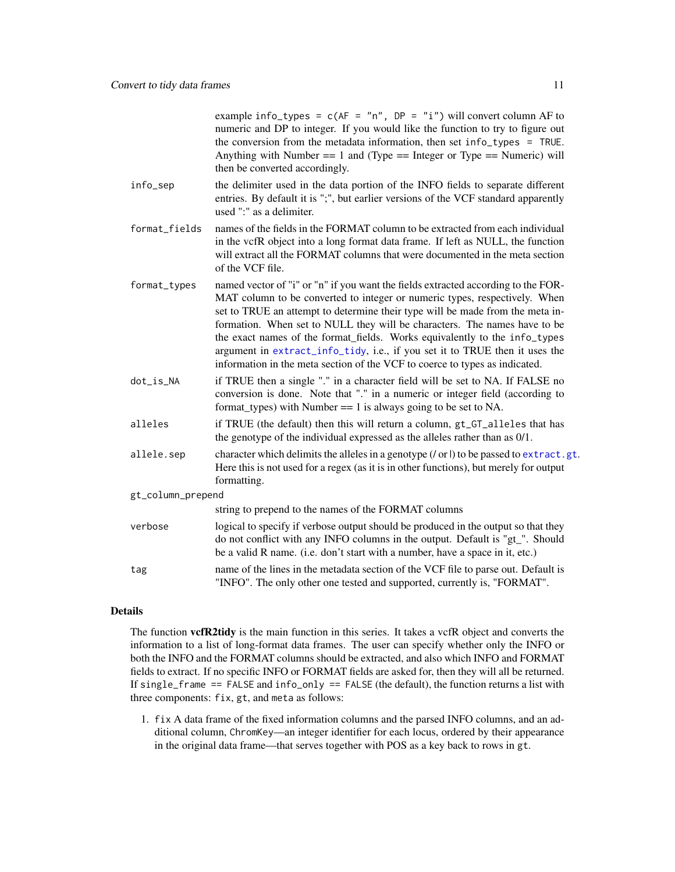example info\_types =  $c(AF = "n", DP = "i")$  will convert column AF to numeric and DP to integer. If you would like the function to try to figure out the conversion from the metadata information, then set info\_types = TRUE. Anything with Number  $=$  1 and (Type  $=$  Integer or Type  $=$  Numeric) will then be converted accordingly.

- <span id="page-10-0"></span>info\_sep the delimiter used in the data portion of the INFO fields to separate different entries. By default it is ";", but earlier versions of the VCF standard apparently used ":" as a delimiter.
- format\_fields names of the fields in the FORMAT column to be extracted from each individual in the vcfR object into a long format data frame. If left as NULL, the function will extract all the FORMAT columns that were documented in the meta section of the VCF file.
- format\_types named vector of "i" or "n" if you want the fields extracted according to the FOR-MAT column to be converted to integer or numeric types, respectively. When set to TRUE an attempt to determine their type will be made from the meta information. When set to NULL they will be characters. The names have to be the exact names of the format\_fields. Works equivalently to the info\_types argument in [extract\\_info\\_tidy](#page-8-1), i.e., if you set it to TRUE then it uses the information in the meta section of the VCF to coerce to types as indicated.
- dot\_is\_NA if TRUE then a single "." in a character field will be set to NA. If FALSE no conversion is done. Note that "." in a numeric or integer field (according to format types) with Number  $== 1$  is always going to be set to NA.
- alleles if TRUE (the default) then this will return a column, gt\_GT\_alleles that has the genotype of the individual expressed as the alleles rather than as 0/1.
- allele.sep character which delimits the alleles in a genotype  $(|\text{or}|)$  to be passed to [extract.gt](#page-16-1). Here this is not used for a regex (as it is in other functions), but merely for output formatting.
- gt\_column\_prepend

|         | string to prepend to the names of the FORMAT columns                                                                                                                                                                                                |
|---------|-----------------------------------------------------------------------------------------------------------------------------------------------------------------------------------------------------------------------------------------------------|
| verbose | logical to specify if verbose output should be produced in the output so that they<br>do not conflict with any INFO columns in the output. Default is "gt". Should<br>be a valid R name. (i.e. don't start with a number, have a space in it, etc.) |
| tag     | name of the lines in the metadata section of the VCF file to parse out. Default is<br>"INFO". The only other one tested and supported, currently is, "FORMAT".                                                                                      |

#### Details

The function **vcfR2tidy** is the main function in this series. It takes a vcfR object and converts the information to a list of long-format data frames. The user can specify whether only the INFO or both the INFO and the FORMAT columns should be extracted, and also which INFO and FORMAT fields to extract. If no specific INFO or FORMAT fields are asked for, then they will all be returned. If single\_frame == FALSE and info\_only == FALSE (the default), the function returns a list with three components: fix, gt, and meta as follows:

1. fix A data frame of the fixed information columns and the parsed INFO columns, and an additional column, ChromKey—an integer identifier for each locus, ordered by their appearance in the original data frame—that serves together with POS as a key back to rows in gt.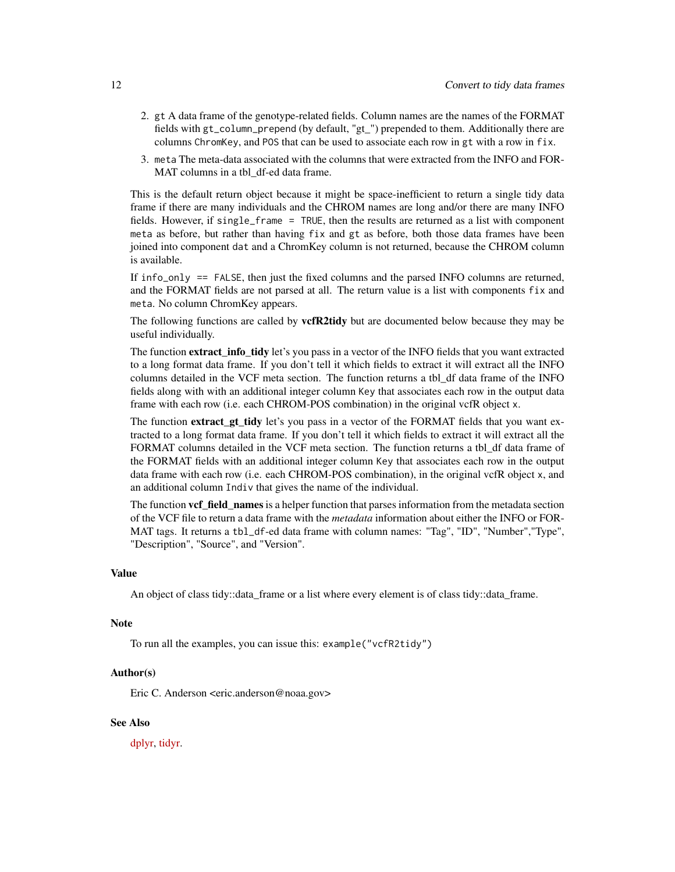- 2. gt A data frame of the genotype-related fields. Column names are the names of the FORMAT fields with gt\_column\_prepend (by default, "gt\_") prepended to them. Additionally there are columns ChromKey, and POS that can be used to associate each row in gt with a row in fix.
- 3. meta The meta-data associated with the columns that were extracted from the INFO and FOR-MAT columns in a tbl\_df-ed data frame.

This is the default return object because it might be space-inefficient to return a single tidy data frame if there are many individuals and the CHROM names are long and/or there are many INFO fields. However, if single\_frame = TRUE, then the results are returned as a list with component meta as before, but rather than having fix and gt as before, both those data frames have been joined into component dat and a ChromKey column is not returned, because the CHROM column is available.

If info\_only == FALSE, then just the fixed columns and the parsed INFO columns are returned, and the FORMAT fields are not parsed at all. The return value is a list with components fix and meta. No column ChromKey appears.

The following functions are called by **vcfR2tidy** but are documented below because they may be useful individually.

The function **extract** info tidy let's you pass in a vector of the INFO fields that you want extracted to a long format data frame. If you don't tell it which fields to extract it will extract all the INFO columns detailed in the VCF meta section. The function returns a tbl\_df data frame of the INFO fields along with with an additional integer column Key that associates each row in the output data frame with each row (i.e. each CHROM-POS combination) in the original vcfR object x.

The function **extract\_gt\_tidy** let's you pass in a vector of the FORMAT fields that you want extracted to a long format data frame. If you don't tell it which fields to extract it will extract all the FORMAT columns detailed in the VCF meta section. The function returns a tbl\_df data frame of the FORMAT fields with an additional integer column Key that associates each row in the output data frame with each row (i.e. each CHROM-POS combination), in the original vcfR object x, and an additional column Indiv that gives the name of the individual.

The function **vcf** field names is a helper function that parses information from the metadata section of the VCF file to return a data frame with the *metadata* information about either the INFO or FOR-MAT tags. It returns a tbl\_df-ed data frame with column names: "Tag", "ID", "Number","Type", "Description", "Source", and "Version".

#### Value

An object of class tidy::data\_frame or a list where every element is of class tidy::data\_frame.

#### Note

To run all the examples, you can issue this: example("vcfR2tidy")

#### Author(s)

Eric C. Anderson <eric.anderson@noaa.gov>

#### See Also

[dplyr,](https://cran.r-project.org/package=dplyr) [tidyr.](https://cran.r-project.org/package=tidyr)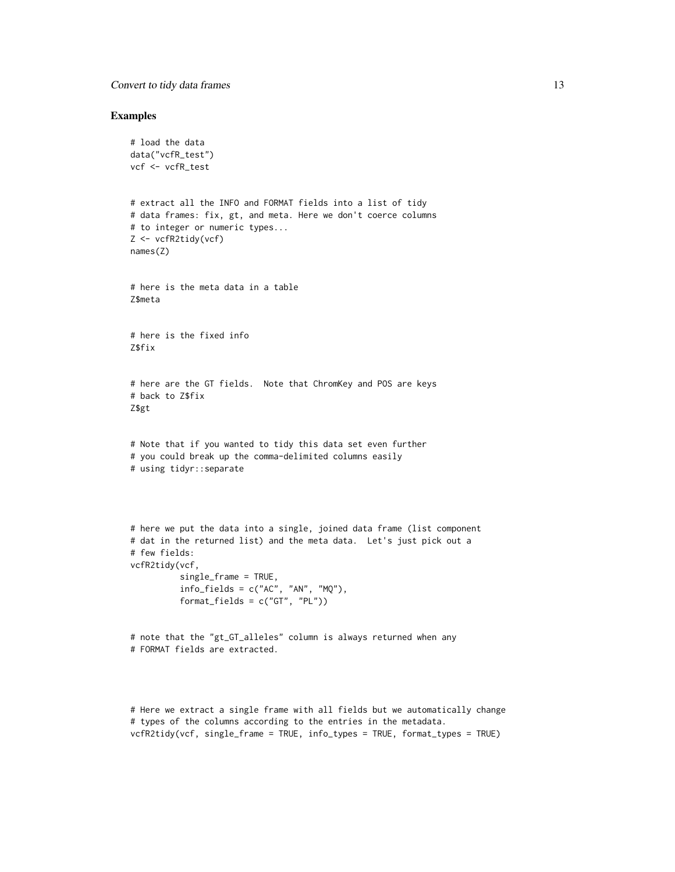#### **Convert to tidy data frames** 13

#### Examples

```
# load the data
data("vcfR_test")
vcf <- vcfR_test
# extract all the INFO and FORMAT fields into a list of tidy
# data frames: fix, gt, and meta. Here we don't coerce columns
# to integer or numeric types...
Z <- vcfR2tidy(vcf)
names(Z)
# here is the meta data in a table
Z$meta
# here is the fixed info
Z$fix
# here are the GT fields. Note that ChromKey and POS are keys
# back to Z$fix
Z$gt
# Note that if you wanted to tidy this data set even further
# you could break up the comma-delimited columns easily
# using tidyr::separate
# here we put the data into a single, joined data frame (list component
# dat in the returned list) and the meta data. Let's just pick out a
# few fields:
vcfR2tidy(vcf,
          single_frame = TRUE,
          info_fields = c("AC", "AN", "MQ"),format_fields = c("GT", "PL")# note that the "gt_GT_alleles" column is always returned when any
# FORMAT fields are extracted.
```
# Here we extract a single frame with all fields but we automatically change # types of the columns according to the entries in the metadata. vcfR2tidy(vcf, single\_frame = TRUE, info\_types = TRUE, format\_types = TRUE)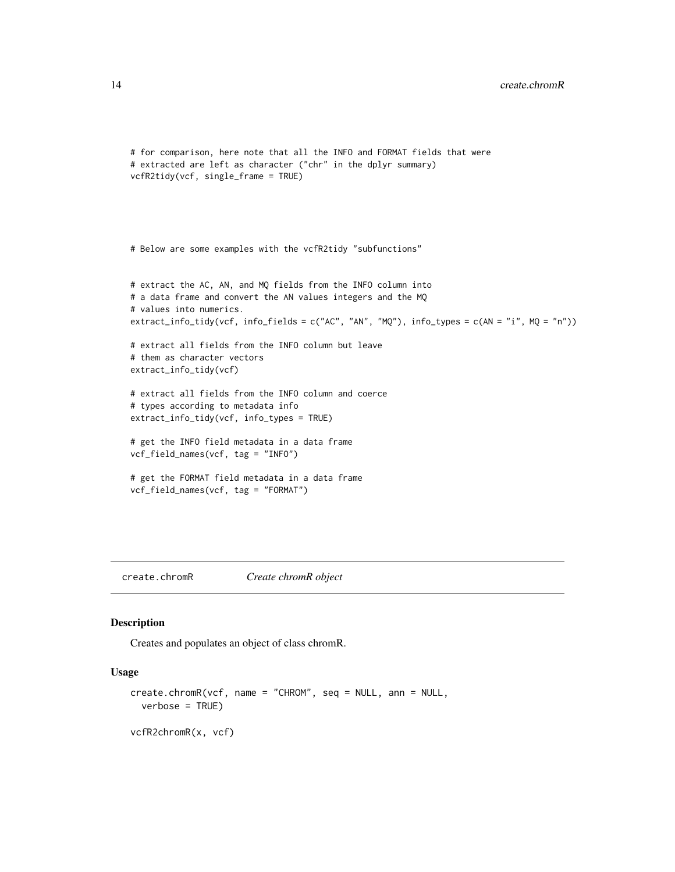```
# for comparison, here note that all the INFO and FORMAT fields that were
# extracted are left as character ("chr" in the dplyr summary)
vcfR2tidy(vcf, single_frame = TRUE)
# Below are some examples with the vcfR2tidy "subfunctions"
# extract the AC, AN, and MQ fields from the INFO column into
# a data frame and convert the AN values integers and the MQ
# values into numerics.
extract_info_tidy(vcf, info_fields = c("AC", "AN", "MQ"), info_types = c(AN = "i", MQ = "n"))
# extract all fields from the INFO column but leave
# them as character vectors
extract_info_tidy(vcf)
# extract all fields from the INFO column and coerce
# types according to metadata info
extract_info_tidy(vcf, info_types = TRUE)
# get the INFO field metadata in a data frame
vcf_field_names(vcf, tag = "INFO")
# get the FORMAT field metadata in a data frame
vcf_field_names(vcf, tag = "FORMAT")
```
create.chromR *Create chromR object*

#### Description

Creates and populates an object of class chromR.

#### Usage

```
create.chromR(vcf, name = "CHROM", seq = NULL, ann = NULL,
  verbose = TRUE)
vcfR2chromR(x, vcf)
```
<span id="page-13-0"></span>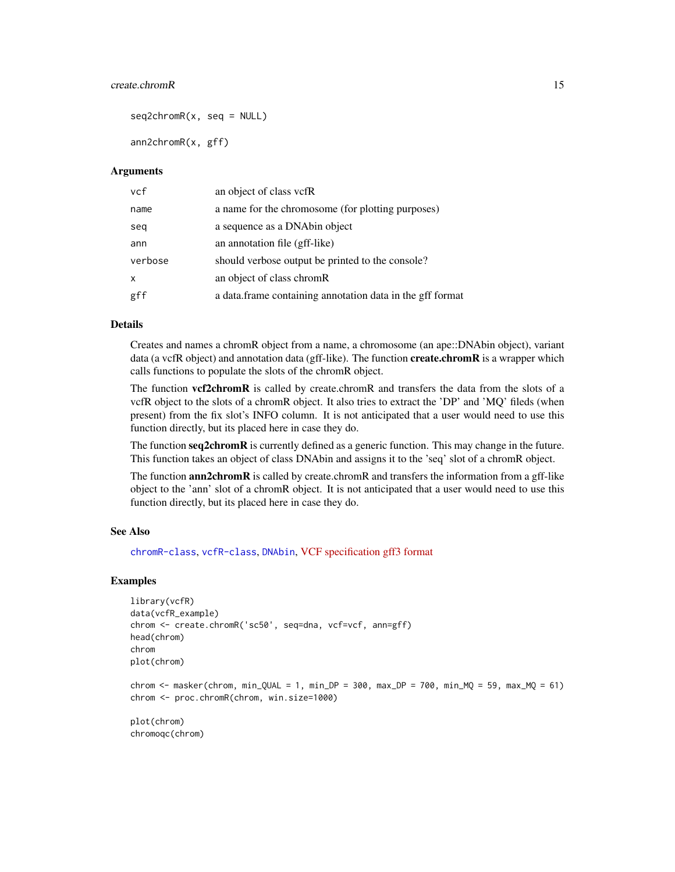#### <span id="page-14-0"></span>create.chromR 15

 $seq2chromR(x, seq = NULL)$ 

ann2chromR(x, gff)

#### Arguments

| vcf          | an object of class vcfR                                    |
|--------------|------------------------------------------------------------|
| name         | a name for the chromosome (for plotting purposes)          |
| seq          | a sequence as a DNA bin object                             |
| ann          | an annotation file (gff-like)                              |
| verbose      | should verbose output be printed to the console?           |
| $\mathsf{x}$ | an object of class chromR                                  |
| gff          | a data. frame containing annotation data in the gff format |

#### Details

Creates and names a chromR object from a name, a chromosome (an ape::DNAbin object), variant data (a vcfR object) and annotation data (gff-like). The function **create.chromR** is a wrapper which calls functions to populate the slots of the chromR object.

The function **vcf2chromR** is called by create.chromR and transfers the data from the slots of a vcfR object to the slots of a chromR object. It also tries to extract the 'DP' and 'MQ' fileds (when present) from the fix slot's INFO column. It is not anticipated that a user would need to use this function directly, but its placed here in case they do.

The function seq2chromR is currently defined as a generic function. This may change in the future. This function takes an object of class DNAbin and assigns it to the 'seq' slot of a chromR object.

The function **ann2chromR** is called by create.chromR and transfers the information from a gff-like object to the 'ann' slot of a chromR object. It is not anticipated that a user would need to use this function directly, but its placed here in case they do.

#### See Also

[chromR-class](#page-6-1), [vcfR-class](#page-47-1), [DNAbin](#page-0-0), [VCF specification](https://github.com/samtools/hts-specs) [gff3 format](https://github.com/The-Sequence-Ontology/Specifications/blob/master/gff3.md)

#### Examples

```
library(vcfR)
data(vcfR_example)
chrom <- create.chromR('sc50', seq=dna, vcf=vcf, ann=gff)
head(chrom)
chrom
plot(chrom)
```

```
chrom <- masker(chrom, min_QUAL = 1, min_DP = 300, max_DP = 700, min_MQ = 59, max_MQ = 61)
chrom <- proc.chromR(chrom, win.size=1000)
```
plot(chrom) chromoqc(chrom)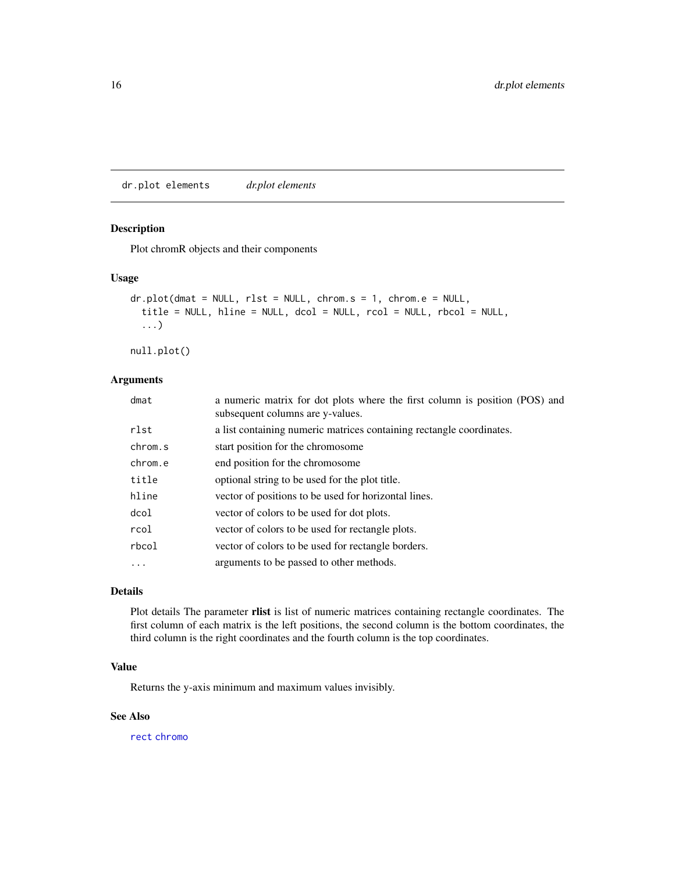<span id="page-15-0"></span>dr.plot elements *dr.plot elements*

#### <span id="page-15-1"></span>Description

Plot chromR objects and their components

#### Usage

```
dr.plot(dmat = NULL, rlst = NULL, chrom.s = 1, chrom.e = NULL,
  title = NULL, hline = NULL, dcol = NULL, rcol = NULL, rbcol = NULL,
  ...)
```
null.plot()

#### Arguments

| dmat     | a numeric matrix for dot plots where the first column is position (POS) and<br>subsequent columns are y-values. |
|----------|-----------------------------------------------------------------------------------------------------------------|
| rlst     | a list containing numeric matrices containing rectangle coordinates.                                            |
| chrom.s  | start position for the chromosome                                                                               |
| chrom.e  | end position for the chromosome                                                                                 |
| title    | optional string to be used for the plot title.                                                                  |
| hline    | vector of positions to be used for horizontal lines.                                                            |
| dcol     | vector of colors to be used for dot plots.                                                                      |
| rcol     | vector of colors to be used for rectangle plots.                                                                |
| rbcol    | vector of colors to be used for rectangle borders.                                                              |
| $\ddots$ | arguments to be passed to other methods.                                                                        |
|          |                                                                                                                 |

#### Details

Plot details The parameter rlist is list of numeric matrices containing rectangle coordinates. The first column of each matrix is the left positions, the second column is the bottom coordinates, the third column is the right coordinates and the fourth column is the top coordinates.

#### Value

Returns the y-axis minimum and maximum values invisibly.

#### See Also

[rect](#page-0-0) [chromo](#page-4-1)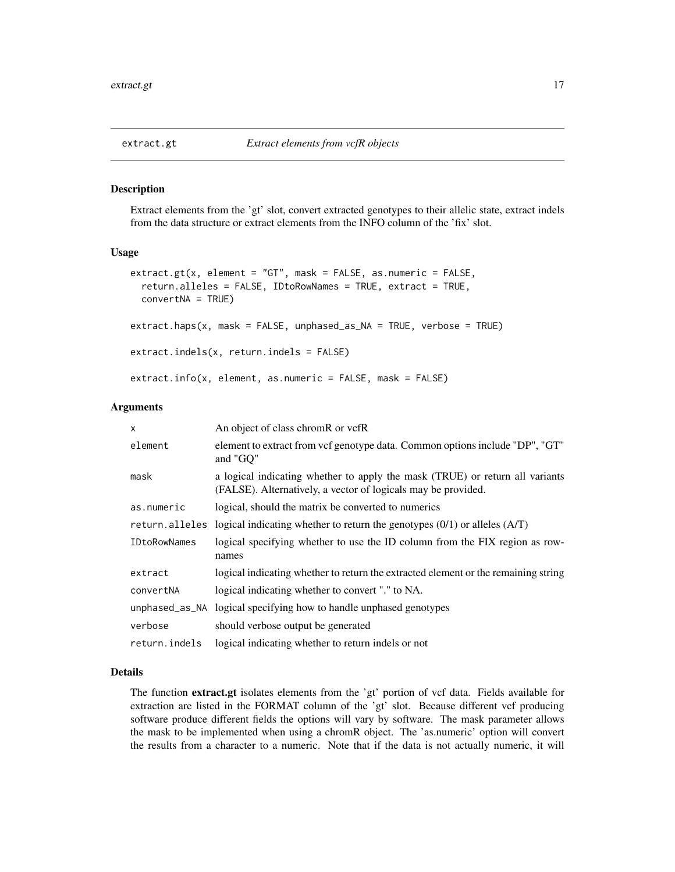#### <span id="page-16-1"></span><span id="page-16-0"></span>Description

Extract elements from the 'gt' slot, convert extracted genotypes to their allelic state, extract indels from the data structure or extract elements from the INFO column of the 'fix' slot.

#### Usage

```
extract.get(x, element = "GT", mask = FALSE, as.numeric = FALSE,return.alleles = FALSE, IDtoRowNames = TRUE, extract = TRUE,
  convertNA = TRUE)
extract.haps(x, mask = FALSE, unphased_as_NA = TRUE, verbose = TRUE)
extract.indels(x, return.indels = FALSE)
extract.info(x, element, as.numeric = FALSE, mask = FALSE)
```
#### Arguments

| x                   | An object of class chromR or vcfR                                                                                                             |
|---------------------|-----------------------------------------------------------------------------------------------------------------------------------------------|
| element             | element to extract from vcf genotype data. Common options include "DP", "GT"<br>and "GQ"                                                      |
| mask                | a logical indicating whether to apply the mask (TRUE) or return all variants<br>(FALSE). Alternatively, a vector of logicals may be provided. |
| as.numeric          | logical, should the matrix be converted to numerics                                                                                           |
| return.alleles      | logical indicating whether to return the genotypes $(0/1)$ or alleles $(A/T)$                                                                 |
| <b>IDtoRowNames</b> | logical specifying whether to use the ID column from the FIX region as row-<br>names                                                          |
| extract             | logical indicating whether to return the extracted element or the remaining string                                                            |
| convertNA           | logical indicating whether to convert "." to NA.                                                                                              |
|                     | unphased_as_NA logical specifying how to handle unphased genotypes                                                                            |
| verbose             | should verbose output be generated                                                                                                            |
| return.indels       | logical indicating whether to return indels or not                                                                                            |

#### Details

The function extract.gt isolates elements from the 'gt' portion of vcf data. Fields available for extraction are listed in the FORMAT column of the 'gt' slot. Because different vcf producing software produce different fields the options will vary by software. The mask parameter allows the mask to be implemented when using a chromR object. The 'as.numeric' option will convert the results from a character to a numeric. Note that if the data is not actually numeric, it will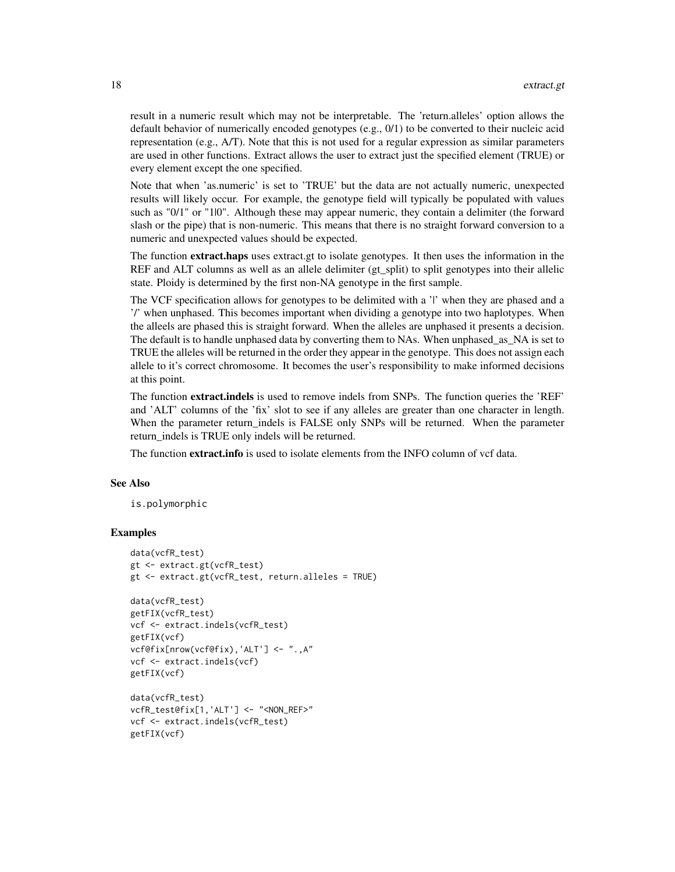result in a numeric result which may not be interpretable. The 'return.alleles' option allows the default behavior of numerically encoded genotypes (e.g., 0/1) to be converted to their nucleic acid representation (e.g., A/T). Note that this is not used for a regular expression as similar parameters are used in other functions. Extract allows the user to extract just the specified element (TRUE) or every element except the one specified.

Note that when 'as.numeric' is set to 'TRUE' but the data are not actually numeric, unexpected results will likely occur. For example, the genotype field will typically be populated with values such as "0/1" or "1|0". Although these may appear numeric, they contain a delimiter (the forward slash or the pipe) that is non-numeric. This means that there is no straight forward conversion to a numeric and unexpected values should be expected.

The function **extract.haps** uses extract.gt to isolate genotypes. It then uses the information in the REF and ALT columns as well as an allele delimiter (gt\_split) to split genotypes into their allelic state. Ploidy is determined by the first non-NA genotype in the first sample.

The VCF specification allows for genotypes to be delimited with a 'l' when they are phased and a '/' when unphased. This becomes important when dividing a genotype into two haplotypes. When the alleels are phased this is straight forward. When the alleles are unphased it presents a decision. The default is to handle unphased data by converting them to NAs. When unphased\_as\_NA is set to TRUE the alleles will be returned in the order they appear in the genotype. This does not assign each allele to it's correct chromosome. It becomes the user's responsibility to make informed decisions at this point.

The function extract.indels is used to remove indels from SNPs. The function queries the 'REF' and 'ALT' columns of the 'fix' slot to see if any alleles are greater than one character in length. When the parameter return\_indels is FALSE only SNPs will be returned. When the parameter return\_indels is TRUE only indels will be returned.

The function **extract.info** is used to isolate elements from the INFO column of vcf data.

#### See Also

is.polymorphic

#### Examples

```
data(vcfR_test)
gt <- extract.gt(vcfR_test)
gt <- extract.gt(vcfR_test, return.alleles = TRUE)
data(vcfR_test)
getFIX(vcfR_test)
vcf <- extract.indels(vcfR_test)
getFIX(vcf)
vcf@fix[nrow(vcf@fix),'ALT'] <- ".,A"
vcf <- extract.indels(vcf)
getFIX(vcf)
data(vcfR_test)
vcfR_test@fix[1,'ALT'] <- "<NON_REF>"
vcf <- extract.indels(vcfR_test)
getFIX(vcf)
```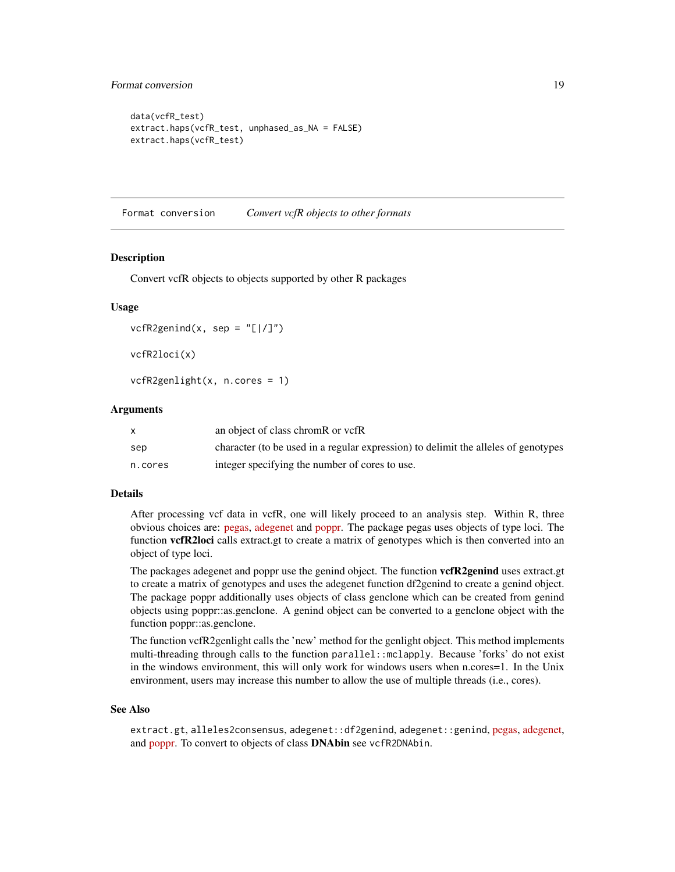#### <span id="page-18-0"></span>Format conversion 19

```
data(vcfR_test)
extract.haps(vcfR_test, unphased_as_NA = FALSE)
extract.haps(vcfR_test)
```
Format conversion *Convert vcfR objects to other formats*

#### Description

Convert vcfR objects to objects supported by other R packages

#### Usage

```
vcfR2genind(x, sep = "[]/]")vcfR2loci(x)
```
vcfR2genlight(x, n.cores = 1)

#### Arguments

|         | an object of class chromR or vcfR                                                  |
|---------|------------------------------------------------------------------------------------|
| sep     | character (to be used in a regular expression) to delimit the alleles of genotypes |
| n.cores | integer specifying the number of cores to use.                                     |

#### Details

After processing vcf data in vcfR, one will likely proceed to an analysis step. Within R, three obvious choices are: [pegas,](https://cran.r-project.org/package=pegas) [adegenet](https://cran.r-project.org/package=adegenet) and [poppr.](https://cran.r-project.org/package=poppr) The package pegas uses objects of type loci. The function **vcfR2loci** calls extract.gt to create a matrix of genotypes which is then converted into an object of type loci.

The packages adegenet and poppr use the genind object. The function vcfR2genind uses extract.gt to create a matrix of genotypes and uses the adegenet function df2genind to create a genind object. The package poppr additionally uses objects of class genclone which can be created from genind objects using poppr::as.genclone. A genind object can be converted to a genclone object with the function poppr::as.genclone.

The function vcfR2genlight calls the 'new' method for the genlight object. This method implements multi-threading through calls to the function parallel::mclapply. Because 'forks' do not exist in the windows environment, this will only work for windows users when n.cores=1. In the Unix environment, users may increase this number to allow the use of multiple threads (i.e., cores).

#### See Also

extract.gt, alleles2consensus, adegenet::df2genind, adegenet::genind, [pegas,](https://cran.r-project.org/package=pegas) [adegenet,](https://cran.r-project.org/package=adegenet) and [poppr.](https://cran.r-project.org/package=poppr) To convert to objects of class **DNAbin** see vcfR2DNAbin.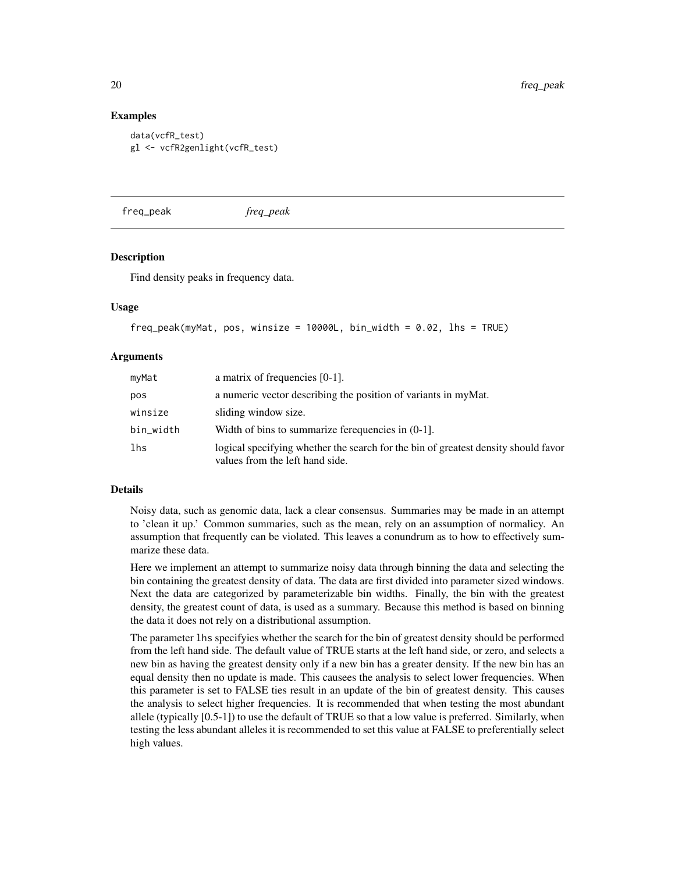#### Examples

```
data(vcfR_test)
gl <- vcfR2genlight(vcfR_test)
```
freq\_peak *freq\_peak*

#### Description

Find density peaks in frequency data.

#### Usage

```
freq_peak(myMat, pos, winsize = 10000L, bin_width = 0.02, lhs = TRUE)
```
#### Arguments

| myMat     | a matrix of frequencies $[0-1]$ .                                                                                     |
|-----------|-----------------------------------------------------------------------------------------------------------------------|
| pos       | a numeric vector describing the position of variants in myMat.                                                        |
| winsize   | sliding window size.                                                                                                  |
| bin_width | Width of bins to summarize ferequencies in $(0-1)$ .                                                                  |
| lhs       | logical specifying whether the search for the bin of greatest density should favor<br>values from the left hand side. |

#### Details

Noisy data, such as genomic data, lack a clear consensus. Summaries may be made in an attempt to 'clean it up.' Common summaries, such as the mean, rely on an assumption of normalicy. An assumption that frequently can be violated. This leaves a conundrum as to how to effectively summarize these data.

Here we implement an attempt to summarize noisy data through binning the data and selecting the bin containing the greatest density of data. The data are first divided into parameter sized windows. Next the data are categorized by parameterizable bin widths. Finally, the bin with the greatest density, the greatest count of data, is used as a summary. Because this method is based on binning the data it does not rely on a distributional assumption.

The parameter lhs specifyies whether the search for the bin of greatest density should be performed from the left hand side. The default value of TRUE starts at the left hand side, or zero, and selects a new bin as having the greatest density only if a new bin has a greater density. If the new bin has an equal density then no update is made. This causees the analysis to select lower frequencies. When this parameter is set to FALSE ties result in an update of the bin of greatest density. This causes the analysis to select higher frequencies. It is recommended that when testing the most abundant allele (typically [0.5-1]) to use the default of TRUE so that a low value is preferred. Similarly, when testing the less abundant alleles it is recommended to set this value at FALSE to preferentially select high values.

<span id="page-19-0"></span>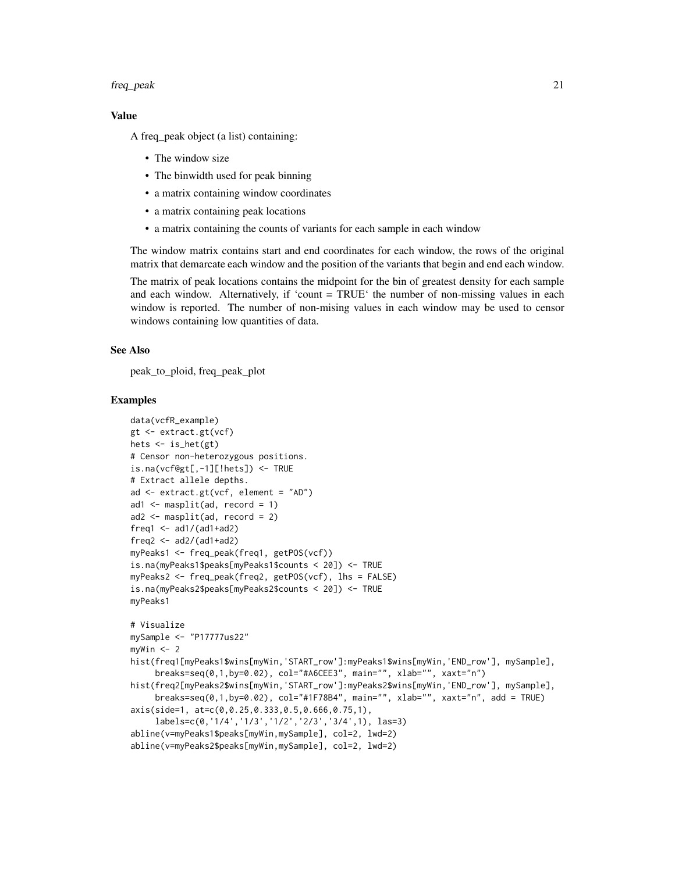#### freq\_peak 21

#### Value

A freq\_peak object (a list) containing:

- The window size
- The binwidth used for peak binning
- a matrix containing window coordinates
- a matrix containing peak locations
- a matrix containing the counts of variants for each sample in each window

The window matrix contains start and end coordinates for each window, the rows of the original matrix that demarcate each window and the position of the variants that begin and end each window.

The matrix of peak locations contains the midpoint for the bin of greatest density for each sample and each window. Alternatively, if 'count = TRUE' the number of non-missing values in each window is reported. The number of non-mising values in each window may be used to censor windows containing low quantities of data.

#### See Also

peak\_to\_ploid, freq\_peak\_plot

#### Examples

```
data(vcfR_example)
gt <- extract.gt(vcf)
hets <- is_het(gt)
# Censor non-heterozygous positions.
is.na(vcf@gt[,-1][!hets]) <- TRUE
# Extract allele depths.
ad <- extract.gt(vcf, element = "AD")
ad1 \leq masplit(ad, record = 1)
ad2 <- masplit(ad, record = 2)
freq1 \leq -ad1/(ad1+ad2)freq2 < -ad2/(ad1+ad2)myPeaks1 <- freq_peak(freq1, getPOS(vcf))
is.na(myPeaks1$peaks[myPeaks1$counts < 20]) <- TRUE
myPeaks2 <- freq_peak(freq2, getPOS(vcf), lhs = FALSE)
is.na(myPeaks2$peaks[myPeaks2$counts < 20]) <- TRUE
myPeaks1
# Visualize
mySample <- "P17777us22"
myWin < -2hist(freq1[myPeaks1$wins[myWin,'START_row']:myPeaks1$wins[myWin,'END_row'], mySample],
     breaks=seq(0,1,by=0.02), col="#A6CEE3", main="", xlab="", xaxt="n")
hist(freq2[myPeaks2$wins[myWin,'START_row']:myPeaks2$wins[myWin,'END_row'], mySample],
     breaks=seq(0,1,by=0.02), col="#1F78B4", main="", xlab="", xaxt="n", add = TRUE)
axis(side=1, at=c(0,0.25,0.333,0.5,0.666,0.75,1),
     labels=c(0,'1/4','1/3','1/2','2/3','3/4',1), las=3)
abline(v=myPeaks1$peaks[myWin,mySample], col=2, lwd=2)
abline(v=myPeaks2$peaks[myWin,mySample], col=2, lwd=2)
```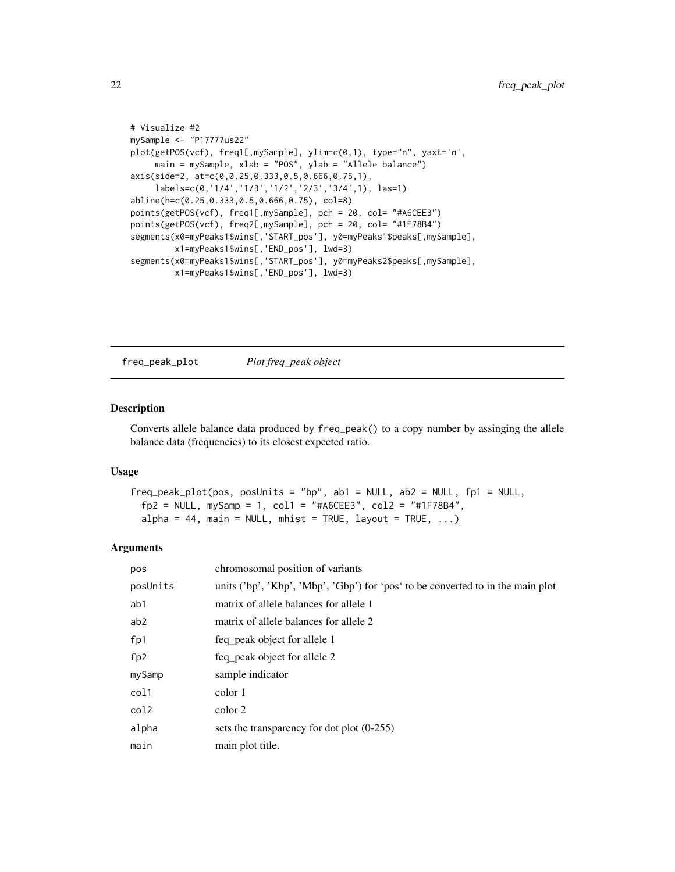```
# Visualize #2
mySample <- "P17777us22"
plot(getPOS(vcf), freq1[,mySample], ylim=c(0,1), type="n", yaxt='n',
     main = mySample, xlab = "POS", ylab = "Allele balance")
axis(side=2, at=c(0,0.25,0.333,0.5,0.666,0.75,1),
     labels=c(0,'1/4','1/3','1/2','2/3','3/4',1), las=1)
abline(h=c(0.25,0.333,0.5,0.666,0.75), col=8)
points(getPOS(vcf), freq1[,mySample], pch = 20, col= "#A6CEE3")
points(getPOS(vcf), freq2[,mySample], pch = 20, col= "#1F78B4")
segments(x0=myPeaks1$wins[,'START_pos'], y0=myPeaks1$peaks[,mySample],
         x1=myPeaks1$wins[,'END_pos'], lwd=3)
segments(x0=myPeaks1$wins[,'START_pos'], y0=myPeaks2$peaks[,mySample],
         x1=myPeaks1$wins[,'END_pos'], lwd=3)
```
freq\_peak\_plot *Plot freq\_peak object*

#### Description

Converts allele balance data produced by freq\_peak() to a copy number by assinging the allele balance data (frequencies) to its closest expected ratio.

#### Usage

```
freq_peak_plot(pos, posUnits = "bp", ab1 = NULL, ab2 = NULL, fp1 = NULL,fp2 = NULL, mySamp = 1, col1 = "#A6CEE3", col2 = "#1F78B4",alpha = 44, main = NULL, mhist = TRUE, layout = TRUE, \ldots)
```
#### Arguments

| pos             | chromosomal position of variants                                                |
|-----------------|---------------------------------------------------------------------------------|
| posUnits        | units ('bp', 'Kbp', 'Mbp', 'Gbp') for 'pos' to be converted to in the main plot |
| ab1             | matrix of allele balances for allele 1                                          |
| ab2             | matrix of allele balances for allele 2                                          |
| fp1             | feq peak object for allele 1                                                    |
| fp <sub>2</sub> | feq peak object for allele 2                                                    |
| mySamp          | sample indicator                                                                |
| col1            | color 1                                                                         |
| col2            | color 2                                                                         |
| alpha           | sets the transparency for dot plot $(0-255)$                                    |
| main            | main plot title.                                                                |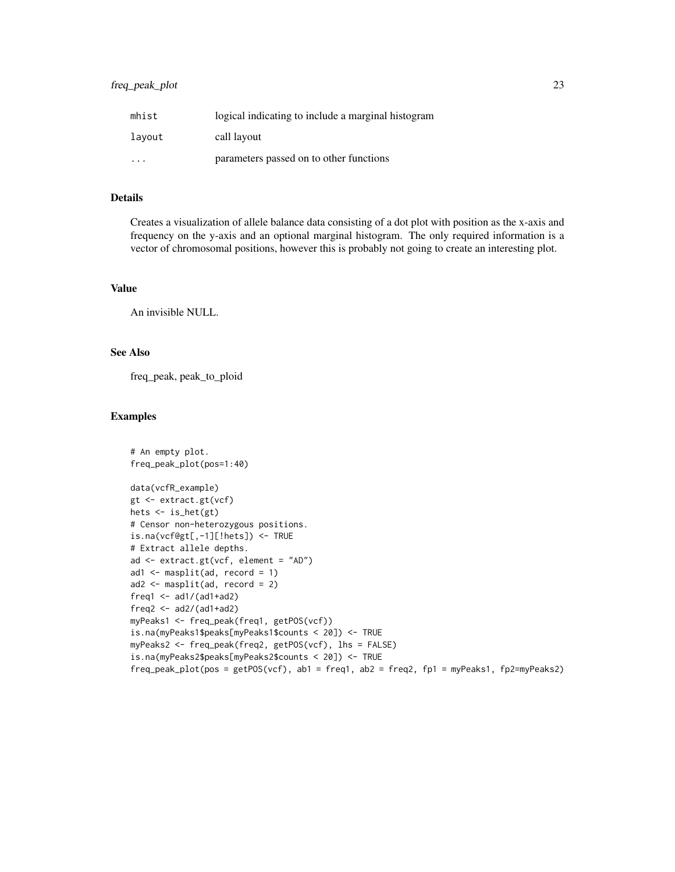#### freq\_peak\_plot 23

| mhist  | logical indicating to include a marginal histogram |
|--------|----------------------------------------------------|
| lavout | call layout                                        |
| .      | parameters passed on to other functions            |

#### Details

Creates a visualization of allele balance data consisting of a dot plot with position as the x-axis and frequency on the y-axis and an optional marginal histogram. The only required information is a vector of chromosomal positions, however this is probably not going to create an interesting plot.

#### Value

An invisible NULL.

#### See Also

freq\_peak, peak\_to\_ploid

#### Examples

```
# An empty plot.
freq_peak_plot(pos=1:40)
data(vcfR_example)
gt <- extract.gt(vcf)
hets <- is_het(gt)
# Censor non-heterozygous positions.
is.na(vcf@gt[,-1][!hets]) <- TRUE
# Extract allele depths.
ad <- extract.gt(vcf, element = "AD")
ad1 \leq masplit(ad, record = 1)
ad2 <- masplit(ad, record = 2)
freq1 <- ad1/(ad1+ad2)freq2 < -ad2/(ad1+ad2)myPeaks1 <- freq_peak(freq1, getPOS(vcf))
is.na(myPeaks1$peaks[myPeaks1$counts < 20]) <- TRUE
myPeaks2 <- freq_peak(freq2, getPOS(vcf), lhs = FALSE)
is.na(myPeaks2$peaks[myPeaks2$counts < 20]) <- TRUE
freq_peak_plot(pos = getPOS(vcf), ab1 = freq1, ab2 = freq2, fp1 = myPeaks1, fp2=myPeaks2)
```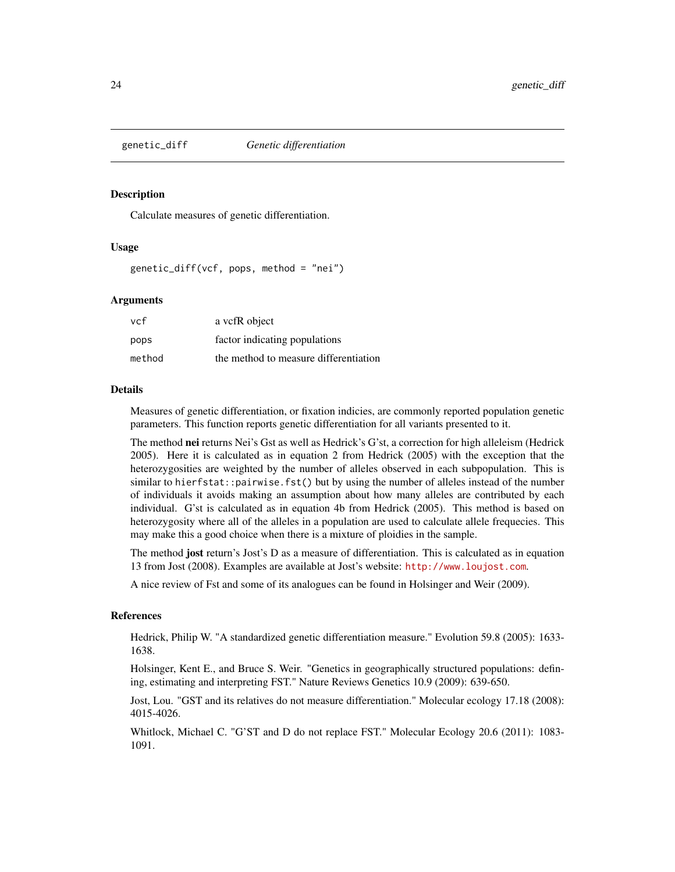<span id="page-23-1"></span><span id="page-23-0"></span>

#### Description

Calculate measures of genetic differentiation.

#### Usage

genetic\_diff(vcf, pops, method = "nei")

#### Arguments

| vcf    | a vcfR object                         |
|--------|---------------------------------------|
| pops   | factor indicating populations         |
| method | the method to measure differentiation |

#### Details

Measures of genetic differentiation, or fixation indicies, are commonly reported population genetic parameters. This function reports genetic differentiation for all variants presented to it.

The method nei returns Nei's Gst as well as Hedrick's G'st, a correction for high alleleism (Hedrick 2005). Here it is calculated as in equation 2 from Hedrick (2005) with the exception that the heterozygosities are weighted by the number of alleles observed in each subpopulation. This is similar to hierfstat::pairwise.fst() but by using the number of alleles instead of the number of individuals it avoids making an assumption about how many alleles are contributed by each individual. G'st is calculated as in equation 4b from Hedrick (2005). This method is based on heterozygosity where all of the alleles in a population are used to calculate allele frequecies. This may make this a good choice when there is a mixture of ploidies in the sample.

The method **jost** return's Jost's D as a measure of differentiation. This is calculated as in equation 13 from Jost (2008). Examples are available at Jost's website: <http://www.loujost.com>.

A nice review of Fst and some of its analogues can be found in Holsinger and Weir (2009).

#### References

Hedrick, Philip W. "A standardized genetic differentiation measure." Evolution 59.8 (2005): 1633- 1638.

Holsinger, Kent E., and Bruce S. Weir. "Genetics in geographically structured populations: defining, estimating and interpreting FST." Nature Reviews Genetics 10.9 (2009): 639-650.

Jost, Lou. "GST and its relatives do not measure differentiation." Molecular ecology 17.18 (2008): 4015-4026.

Whitlock, Michael C. "G'ST and D do not replace FST." Molecular Ecology 20.6 (2011): 1083- 1091.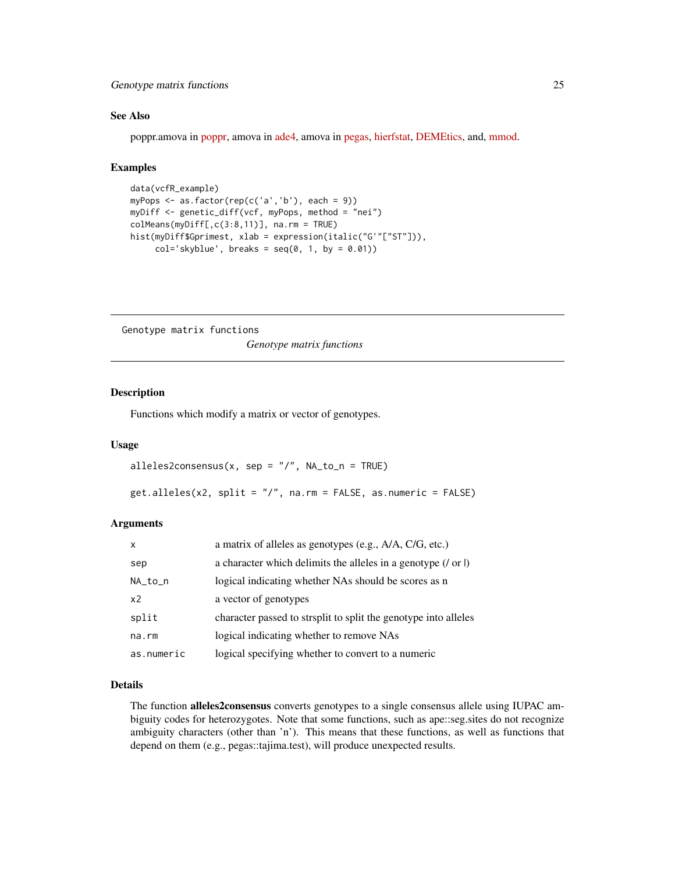#### <span id="page-24-0"></span>Genotype matrix functions 25

#### See Also

poppr.amova in [poppr,](https://cran.r-project.org/package=poppr) amova in [ade4,](https://cran.r-project.org/package=ade4) amova in [pegas,](https://cran.r-project.org/package=pegas) [hierfstat,](https://cran.r-project.org/package=hierfstat) [DEMEtics,](https://cran.r-project.org/package=DEMEtics) and, [mmod.](https://cran.r-project.org/package=mmod)

#### Examples

```
data(vcfR_example)
myPops <- as.factor(rep(c('a','b'), each = 9))
myDiff <- genetic_diff(vcf, myPops, method = "nei")
colMeans(myDiff[,c(3:8,11)], na.rm = TRUE)
hist(myDiff$Gprimest, xlab = expression(italic("G'"["ST"])),
     col='skyblue', breaks = seq(0, 1, by = 0.01))
```
Genotype matrix functions *Genotype matrix functions*

#### Description

Functions which modify a matrix or vector of genotypes.

#### Usage

```
alleles2consensus(x, sep = \sqrt{n}, NA_to_n = TRUE)
```

```
get.alleles(x2, split = "/", na.rm = FALSE, as.numeric = FALSE)
```
#### Arguments

| $\mathsf{x}$   | a matrix of alleles as genotypes (e.g., A/A, C/G, etc.)             |
|----------------|---------------------------------------------------------------------|
| sep            | a character which delimits the alleles in a genotype $($ / or $ $ ) |
| NA_to_n        | logical indicating whether NAs should be scores as n                |
| x <sub>2</sub> | a vector of genotypes                                               |
| split          | character passed to strsplit to split the genotype into alleles     |
| na.rm          | logical indicating whether to remove NAs                            |
| as.numeric     | logical specifying whether to convert to a numeric                  |

## Details

The function **alleles2consensus** converts genotypes to a single consensus allele using IUPAC ambiguity codes for heterozygotes. Note that some functions, such as ape::seg.sites do not recognize ambiguity characters (other than 'n'). This means that these functions, as well as functions that depend on them (e.g., pegas::tajima.test), will produce unexpected results.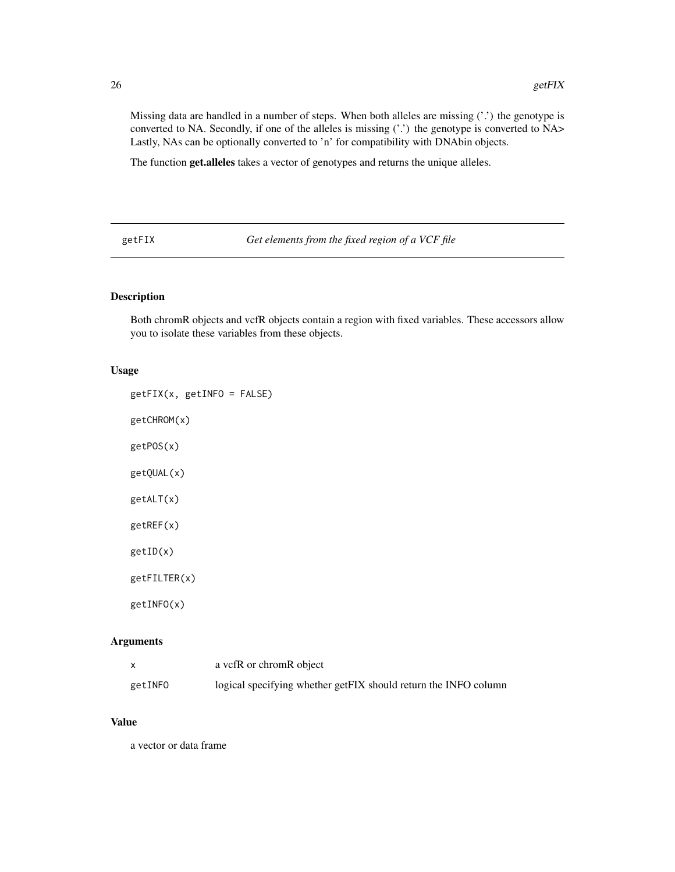<span id="page-25-0"></span>Missing data are handled in a number of steps. When both alleles are missing ('.') the genotype is converted to NA. Secondly, if one of the alleles is missing ('.') the genotype is converted to NA> Lastly, NAs can be optionally converted to 'n' for compatibility with DNAbin objects.

The function get.alleles takes a vector of genotypes and returns the unique alleles.

getFIX *Get elements from the fixed region of a VCF file*

#### Description

Both chromR objects and vcfR objects contain a region with fixed variables. These accessors allow you to isolate these variables from these objects.

#### Usage

getFIX(x, getINFO = FALSE)

getCHROM(x)

getPOS(x)

getQUAL(x)

getALT(x)

getREF(x)

getID(x)

getFILTER(x)

getINFO(x)

#### Arguments

|         | a vcfR or chromR object                                         |
|---------|-----------------------------------------------------------------|
| getINFO | logical specifying whether getFIX should return the INFO column |

#### Value

a vector or data frame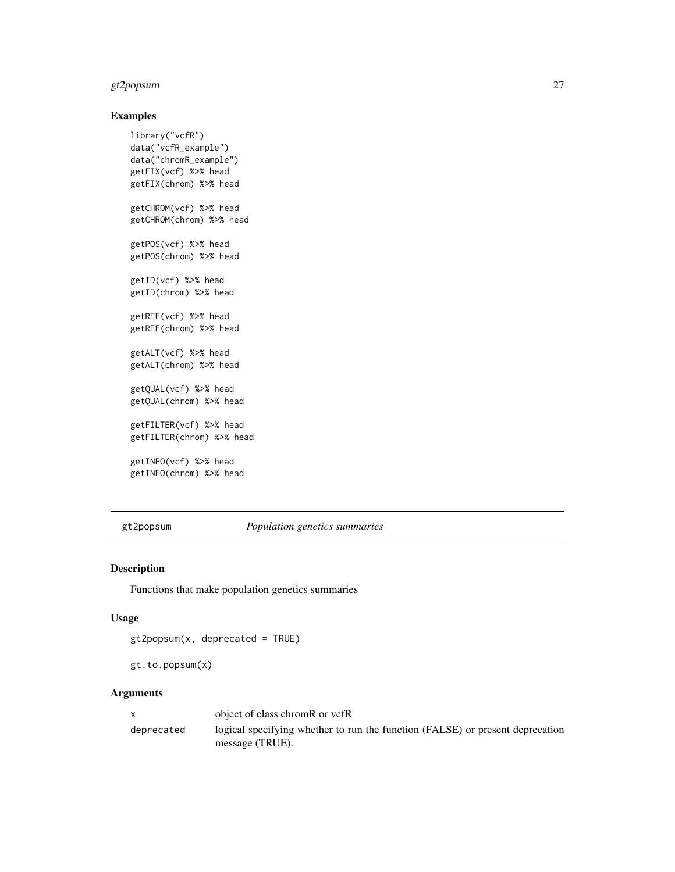#### <span id="page-26-0"></span>gt2popsum 27

#### Examples

```
library("vcfR")
data("vcfR_example")
data("chromR_example")
getFIX(vcf) %>% head
getFIX(chrom) %>% head
getCHROM(vcf) %>% head
getCHROM(chrom) %>% head
getPOS(vcf) %>% head
getPOS(chrom) %>% head
getID(vcf) %>% head
getID(chrom) %>% head
getREF(vcf) %>% head
getREF(chrom) %>% head
getALT(vcf) %>% head
getALT(chrom) %>% head
getQUAL(vcf) %>% head
getQUAL(chrom) %>% head
getFILTER(vcf) %>% head
getFILTER(chrom) %>% head
getINFO(vcf) %>% head
```
getINFO(chrom) %>% head

gt2popsum *Population genetics summaries*

#### Description

Functions that make population genetics summaries

#### Usage

```
gt2popsum(x, deprecated = TRUE)
```

```
gt.to.popsum(x)
```
#### Arguments

|            | object of class chromR or vcfR                                                                   |
|------------|--------------------------------------------------------------------------------------------------|
| deprecated | logical specifying whether to run the function (FALSE) or present deprecation<br>message (TRUE). |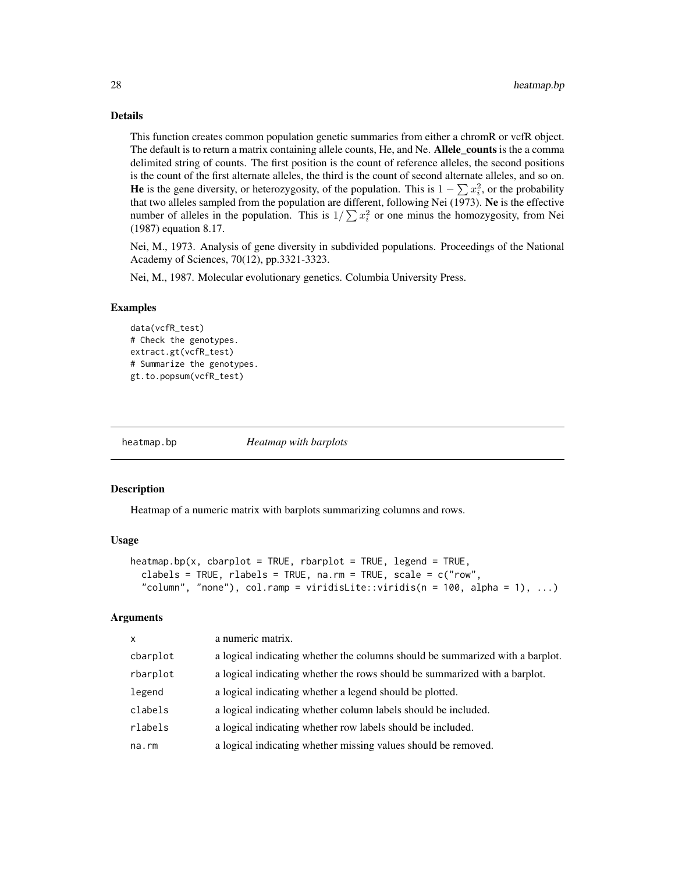#### Details

This function creates common population genetic summaries from either a chromR or vcfR object. The default is to return a matrix containing allele counts, He, and Ne. Allele\_counts is the a comma delimited string of counts. The first position is the count of reference alleles, the second positions is the count of the first alternate alleles, the third is the count of second alternate alleles, and so on. He is the gene diversity, or heterozygosity, of the population. This is  $1 - \sum x_i^2$ , or the probability that two alleles sampled from the population are different, following Nei (1973). Ne is the effective number of alleles in the population. This is  $1/\sum x_i^2$  or one minus the homozygosity, from Nei (1987) equation 8.17.

Nei, M., 1973. Analysis of gene diversity in subdivided populations. Proceedings of the National Academy of Sciences, 70(12), pp.3321-3323.

Nei, M., 1987. Molecular evolutionary genetics. Columbia University Press.

#### Examples

```
data(vcfR_test)
# Check the genotypes.
extract.gt(vcfR_test)
# Summarize the genotypes.
gt.to.popsum(vcfR_test)
```
heatmap.bp *Heatmap with barplots*

#### **Description**

Heatmap of a numeric matrix with barplots summarizing columns and rows.

#### Usage

```
heatmap.bp(x, cbarplot = TRUE, rbarplot = TRUE, legend = TRUE,clabels = TRUE, rlabels = TRUE, na.rm = TRUE, scale = c("row",
  "column", "none"), col.ramp = viridisLite::viridis(n = 100, alpha = 1), ...)
```
#### Arguments

| $\mathsf{x}$ | a numeric matrix.                                                             |
|--------------|-------------------------------------------------------------------------------|
| cbarplot     | a logical indicating whether the columns should be summarized with a barplot. |
| rbarplot     | a logical indicating whether the rows should be summarized with a barplot.    |
| legend       | a logical indicating whether a legend should be plotted.                      |
| clabels      | a logical indicating whether column labels should be included.                |
| rlabels      | a logical indicating whether row labels should be included.                   |
| na.rm        | a logical indicating whether missing values should be removed.                |
|              |                                                                               |

<span id="page-27-0"></span>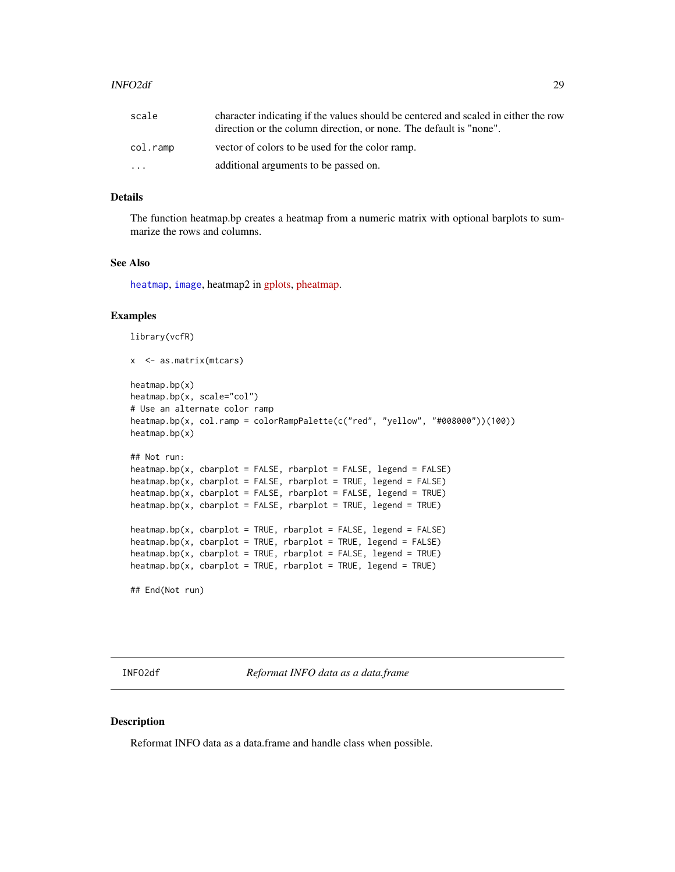#### <span id="page-28-0"></span>INFO2df 29

| scale                   | character indicating if the values should be centered and scaled in either the row |
|-------------------------|------------------------------------------------------------------------------------|
|                         | direction or the column direction, or none. The default is "none".                 |
| col.ramp                | vector of colors to be used for the color ramp.                                    |
| $\cdot$ $\cdot$ $\cdot$ | additional arguments to be passed on.                                              |

#### Details

The function heatmap.bp creates a heatmap from a numeric matrix with optional barplots to summarize the rows and columns.

#### See Also

[heatmap](#page-0-0), [image](#page-0-0), heatmap2 in [gplots,](https://cran.r-project.org/package=gplots) [pheatmap.](https://cran.r-project.org/package=pheatmap)

#### Examples

```
library(vcfR)
```

```
x <- as.matrix(mtcars)
heatmap.bp(x)
heatmap.bp(x, scale="col")
# Use an alternate color ramp
heatmap.bp(x, col.ramp = colorRampPalette(c("red", "yellow", "#008000"))(100))
heatmap.bp(x)
## Not run:
heatmap.bp(x, charplot = FALSE, rbarplot = FALSE, legend = FALSE)heatmap.bp(x, chaplot = FALSE, rbarplot = TRUE, legend = FALSE)heatmap.bp(x, cbarplot = FALSE, rbarplot = FALSE, legend = TRUE)heatmap.bp(x, cbarplot = FALSE, rbarplot = TRUE, legend = TRUE)
heatmap.bp(x, cbarplot = TRUE, rbarplot = FALSE, legend = FALSE)
heatmap.bp(x, cbarplot = TRUE, rbarplot = TRUE, legend = FALSE)
heatmap.bp(x, cbarplot = TRUE, rbarplot = FALSE, legend = TRUE)heatmap.bp(x, cbarplot = TRUE, rbarplot = TRUE, legend = TRUE)
```
## End(Not run)

INFO2df *Reformat INFO data as a data.frame*

#### Description

Reformat INFO data as a data.frame and handle class when possible.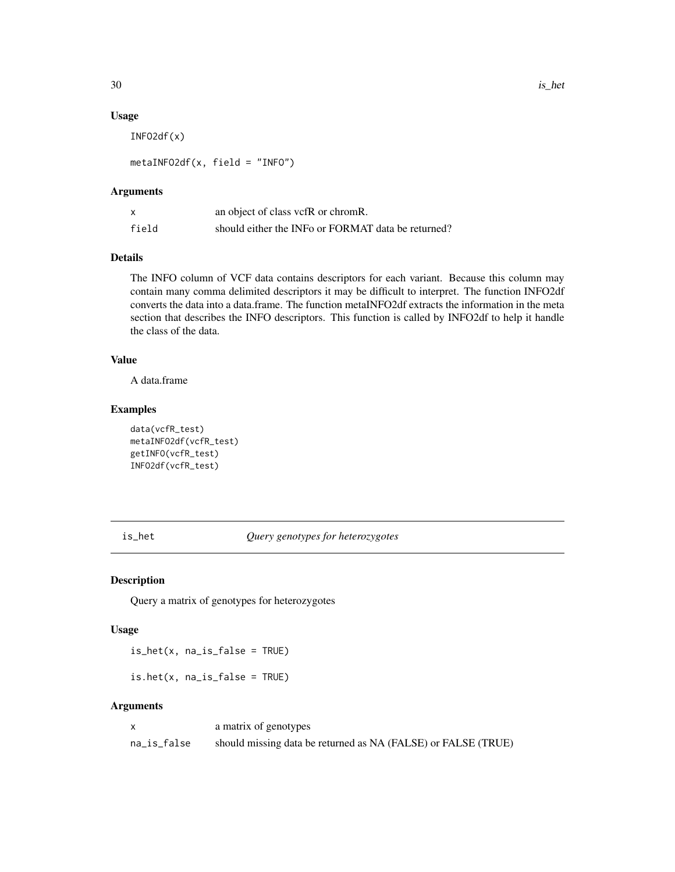#### Usage

INFO2df(x)

metaINFO2df(x, field = "INFO")

#### Arguments

| x     | an object of class vcfR or chromR.                 |
|-------|----------------------------------------------------|
| field | should either the INFo or FORMAT data be returned? |

#### Details

The INFO column of VCF data contains descriptors for each variant. Because this column may contain many comma delimited descriptors it may be difficult to interpret. The function INFO2df converts the data into a data.frame. The function metaINFO2df extracts the information in the meta section that describes the INFO descriptors. This function is called by INFO2df to help it handle the class of the data.

#### Value

A data.frame

#### Examples

```
data(vcfR_test)
metaINFO2df(vcfR_test)
getINFO(vcfR_test)
INFO2df(vcfR_test)
```
#### is\_het *Query genotypes for heterozygotes*

#### Description

Query a matrix of genotypes for heterozygotes

#### Usage

is\_het(x, na\_is\_false = TRUE)

is.het(x, na\_is\_false = TRUE)

#### Arguments

|             | a matrix of genotypes                                         |
|-------------|---------------------------------------------------------------|
| na_is_false | should missing data be returned as NA (FALSE) or FALSE (TRUE) |

<span id="page-29-0"></span>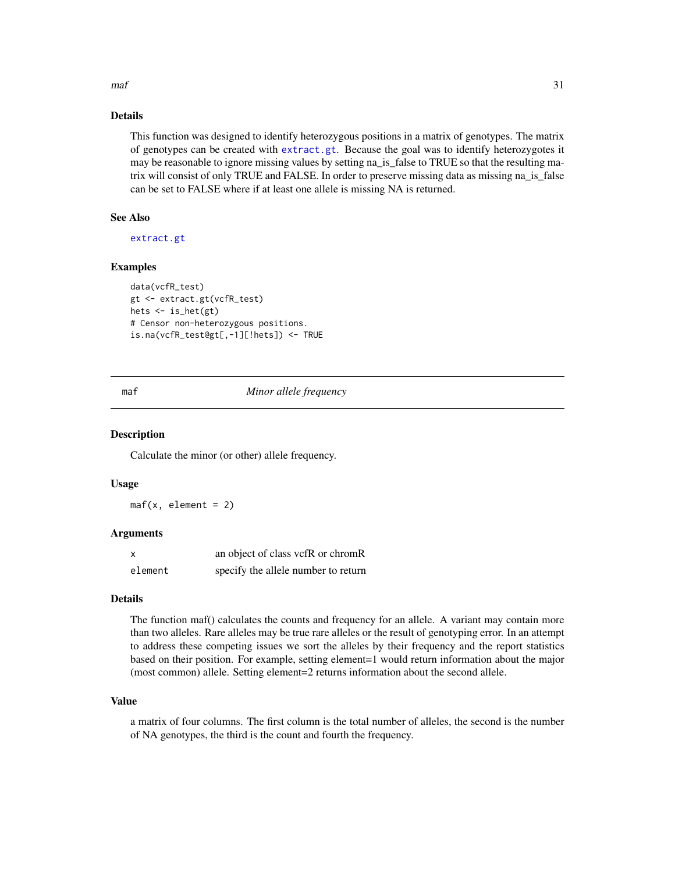#### <span id="page-30-0"></span> $maf$  31

#### Details

This function was designed to identify heterozygous positions in a matrix of genotypes. The matrix of genotypes can be created with [extract.gt](#page-16-1). Because the goal was to identify heterozygotes it may be reasonable to ignore missing values by setting na\_is\_false to TRUE so that the resulting matrix will consist of only TRUE and FALSE. In order to preserve missing data as missing na\_is\_false can be set to FALSE where if at least one allele is missing NA is returned.

#### See Also

[extract.gt](#page-16-1)

#### Examples

```
data(vcfR_test)
gt <- extract.gt(vcfR_test)
hets \le is_het(gt)
# Censor non-heterozygous positions.
is.na(vcfR_test@gt[,-1][!hets]) <- TRUE
```
#### maf *Minor allele frequency*

#### **Description**

Calculate the minor (or other) allele frequency.

#### Usage

 $\text{maf}(x, \text{ element} = 2)$ 

#### Arguments

| x       | an object of class vcfR or chromR   |
|---------|-------------------------------------|
| element | specify the allele number to return |

#### Details

The function maf() calculates the counts and frequency for an allele. A variant may contain more than two alleles. Rare alleles may be true rare alleles or the result of genotyping error. In an attempt to address these competing issues we sort the alleles by their frequency and the report statistics based on their position. For example, setting element=1 would return information about the major (most common) allele. Setting element=2 returns information about the second allele.

#### Value

a matrix of four columns. The first column is the total number of alleles, the second is the number of NA genotypes, the third is the count and fourth the frequency.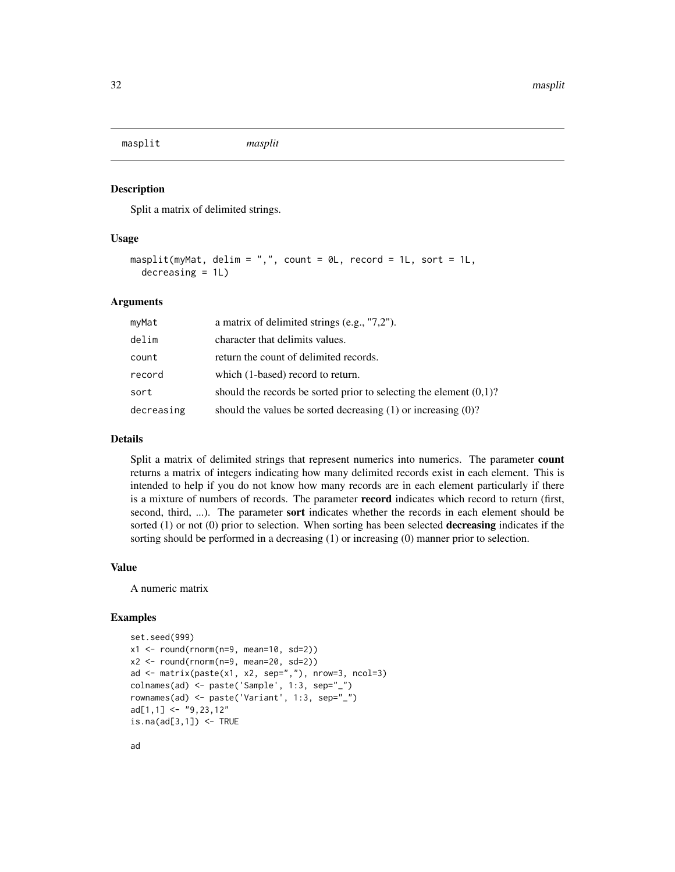<span id="page-31-0"></span>masplit *masplit*

#### Description

Split a matrix of delimited strings.

#### Usage

```
masplit(myMat, delim = ", ", count = 0L, record = 1L, sort = 1L,decreasing = 1L)
```
#### Arguments

| myMat      | a matrix of delimited strings (e.g., $"7,2"$ ).                       |
|------------|-----------------------------------------------------------------------|
| delim      | character that delimits values.                                       |
| count      | return the count of delimited records.                                |
| record     | which (1-based) record to return.                                     |
| sort       | should the records be sorted prior to selecting the element $(0,1)$ ? |
| decreasing | should the values be sorted decreasing $(1)$ or increasing $(0)$ ?    |

#### Details

Split a matrix of delimited strings that represent numerics into numerics. The parameter count returns a matrix of integers indicating how many delimited records exist in each element. This is intended to help if you do not know how many records are in each element particularly if there is a mixture of numbers of records. The parameter record indicates which record to return (first, second, third, ...). The parameter sort indicates whether the records in each element should be sorted (1) or not (0) prior to selection. When sorting has been selected **decreasing** indicates if the sorting should be performed in a decreasing (1) or increasing (0) manner prior to selection.

#### Value

A numeric matrix

#### Examples

```
set.seed(999)
x1 \leftarrow \text{round}(\text{rnorm}(n=9, \text{mean}=10, \text{sd}=2))x2 \le round(rnorm(n=9, mean=20, sd=2))
ad <- matrix(paste(x1, x2, sep=","), nrow=3, ncol=3)
colnames(ad) <- paste('Sample', 1:3, sep="_")
rownames(ad) <- paste('Variant', 1:3, sep="_")
ad[1,1] <- "9,23,12"
is.na(ad[3,1]) \leftarrow TRUE
```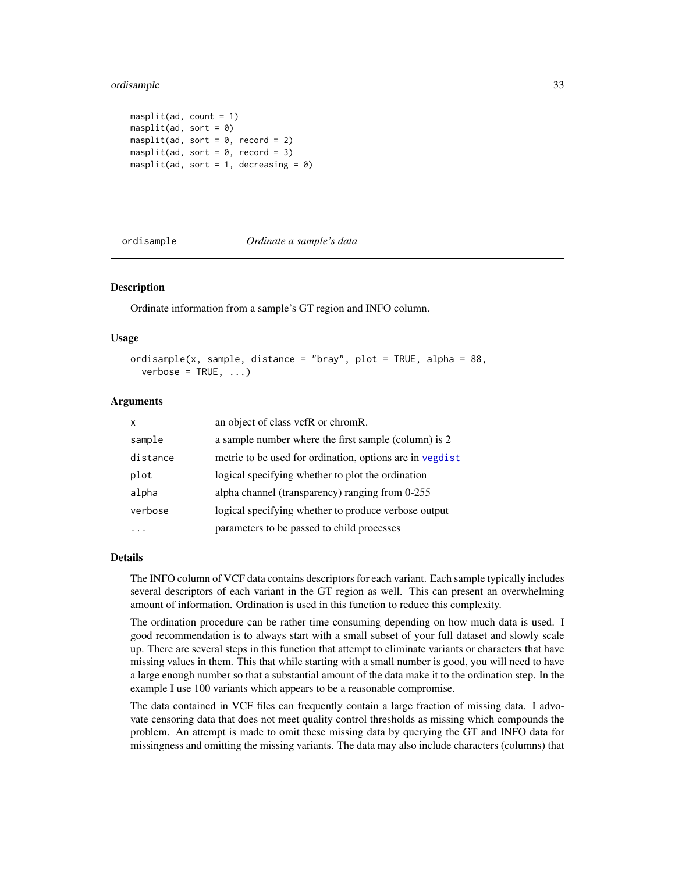#### <span id="page-32-0"></span>ordisample 33

```
masplit(ad, count = 1)masplit(ad, sort = 0)masplit(ad, sort = 0, record = 2)
masplit(ad, sort = 0, record = 3)
masplit(ad, sort = 1, decreasing = 0)
```
ordisample *Ordinate a sample's data*

#### Description

Ordinate information from a sample's GT region and INFO column.

#### Usage

```
ordisample(x, sample, distance = "bray", plot = TRUE, alpha = 88,
  verbose = TRUE, ...)
```
#### Arguments

| x        | an object of class vcfR or chromR.                       |
|----------|----------------------------------------------------------|
| sample   | a sample number where the first sample (column) is 2     |
| distance | metric to be used for ordination, options are in vegdist |
| plot     | logical specifying whether to plot the ordination        |
| alpha    | alpha channel (transparency) ranging from 0-255          |
| verbose  | logical specifying whether to produce verbose output     |
|          | parameters to be passed to child processes               |

#### Details

The INFO column of VCF data contains descriptors for each variant. Each sample typically includes several descriptors of each variant in the GT region as well. This can present an overwhelming amount of information. Ordination is used in this function to reduce this complexity.

The ordination procedure can be rather time consuming depending on how much data is used. I good recommendation is to always start with a small subset of your full dataset and slowly scale up. There are several steps in this function that attempt to eliminate variants or characters that have missing values in them. This that while starting with a small number is good, you will need to have a large enough number so that a substantial amount of the data make it to the ordination step. In the example I use 100 variants which appears to be a reasonable compromise.

The data contained in VCF files can frequently contain a large fraction of missing data. I advovate censoring data that does not meet quality control thresholds as missing which compounds the problem. An attempt is made to omit these missing data by querying the GT and INFO data for missingness and omitting the missing variants. The data may also include characters (columns) that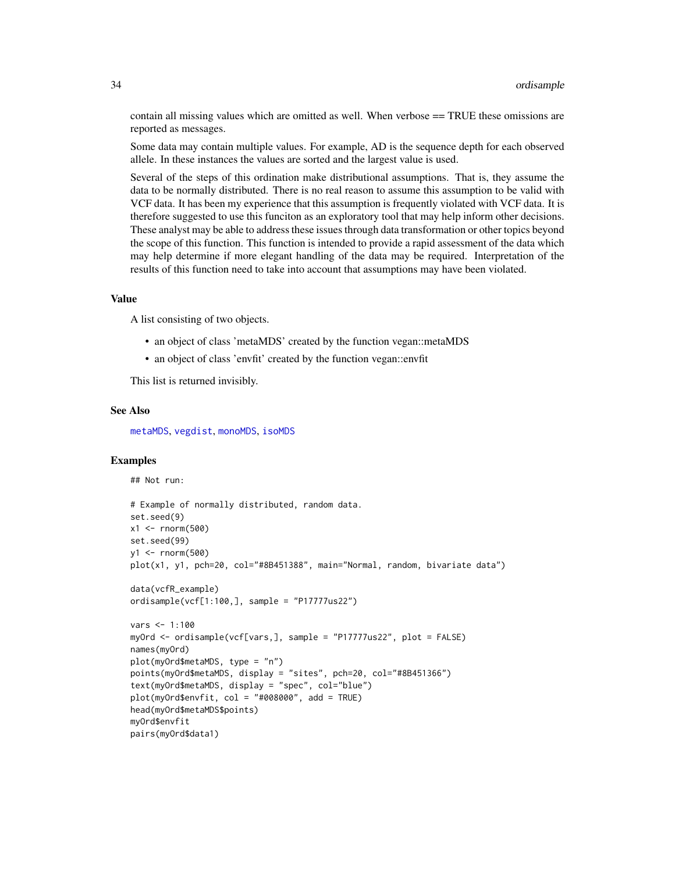contain all missing values which are omitted as well. When verbose == TRUE these omissions are reported as messages.

Some data may contain multiple values. For example, AD is the sequence depth for each observed allele. In these instances the values are sorted and the largest value is used.

Several of the steps of this ordination make distributional assumptions. That is, they assume the data to be normally distributed. There is no real reason to assume this assumption to be valid with VCF data. It has been my experience that this assumption is frequently violated with VCF data. It is therefore suggested to use this funciton as an exploratory tool that may help inform other decisions. These analyst may be able to address these issues through data transformation or other topics beyond the scope of this function. This function is intended to provide a rapid assessment of the data which may help determine if more elegant handling of the data may be required. Interpretation of the results of this function need to take into account that assumptions may have been violated.

#### Value

A list consisting of two objects.

- an object of class 'metaMDS' created by the function vegan::metaMDS
- an object of class 'envfit' created by the function vegan::envfit

This list is returned invisibly.

#### See Also

[metaMDS](#page-0-0), [vegdist](#page-0-0), [monoMDS](#page-0-0), [isoMDS](#page-0-0)

#### Examples

## Not run:

```
# Example of normally distributed, random data.
set.seed(9)
x1 <- rnorm(500)set.seed(99)
y1 <- rnorm(500)
plot(x1, y1, pch=20, col="#8B451388", main="Normal, random, bivariate data")
data(vcfR_example)
ordisample(vcf[1:100,], sample = "P17777us22")
vars <- 1:100
myOrd <- ordisample(vcf[vars,], sample = "P17777us22", plot = FALSE)
names(myOrd)
plot(myOrd$metaMDS, type = "n")
points(myOrd$metaMDS, display = "sites", pch=20, col="#8B451366")
text(myOrd$metaMDS, display = "spec", col="blue")
plot(myOrd$envfit, col = "#008000", add = TRUE)
head(myOrd$metaMDS$points)
myOrd$envfit
pairs(myOrd$data1)
```
<span id="page-33-0"></span>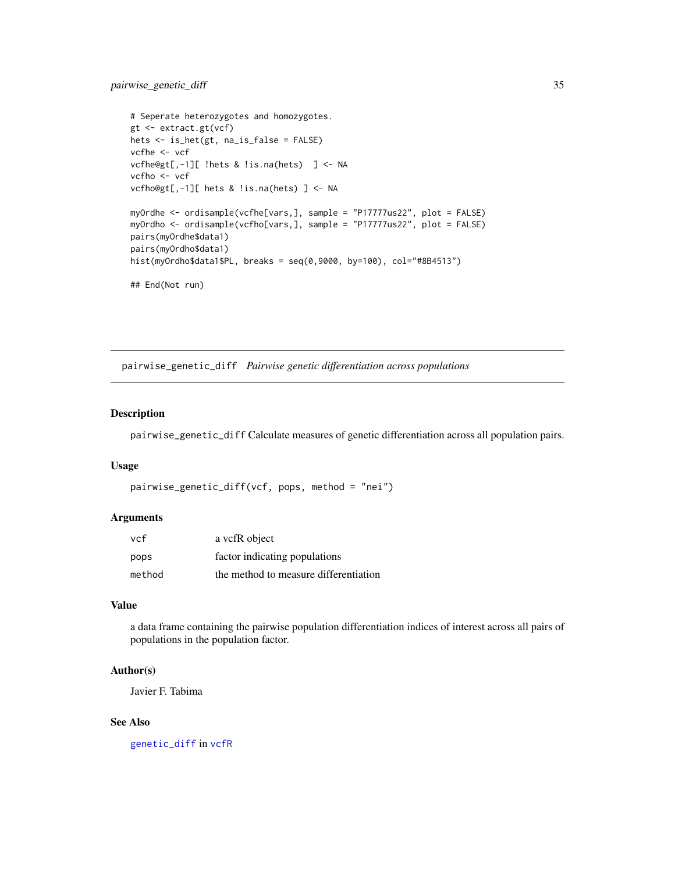```
# Seperate heterozygotes and homozygotes.
gt <- extract.gt(vcf)
hets <- is_het(gt, na_is_false = FALSE)
vcfhe <- vcf
vcfhe@gt[,-1][ !hets & !is.na(hets) ] <- NA
vcfho <- vcf
vcfho@gt[,-1][ hets & !is.na(hets) ] <- NA
myOrdhe <- ordisample(vcfhe[vars,], sample = "P17777us22", plot = FALSE)
myOrdho <- ordisample(vcfho[vars,], sample = "P17777us22", plot = FALSE)
pairs(myOrdhe$data1)
pairs(myOrdho$data1)
hist(myOrdho$data1$PL, breaks = seq(0,9000, by=100), col="#8B4513")
## End(Not run)
```
pairwise\_genetic\_diff *Pairwise genetic differentiation across populations*

#### Description

pairwise\_genetic\_diff Calculate measures of genetic differentiation across all population pairs.

#### Usage

```
pairwise_genetic_diff(vcf, pops, method = "nei")
```
#### Arguments

| vcf    | a vcfR object                         |
|--------|---------------------------------------|
| pops   | factor indicating populations         |
| method | the method to measure differentiation |

#### Value

a data frame containing the pairwise population differentiation indices of interest across all pairs of populations in the population factor.

#### Author(s)

Javier F. Tabima

#### See Also

[genetic\\_diff](#page-23-1) in [vcfR](#page-46-1)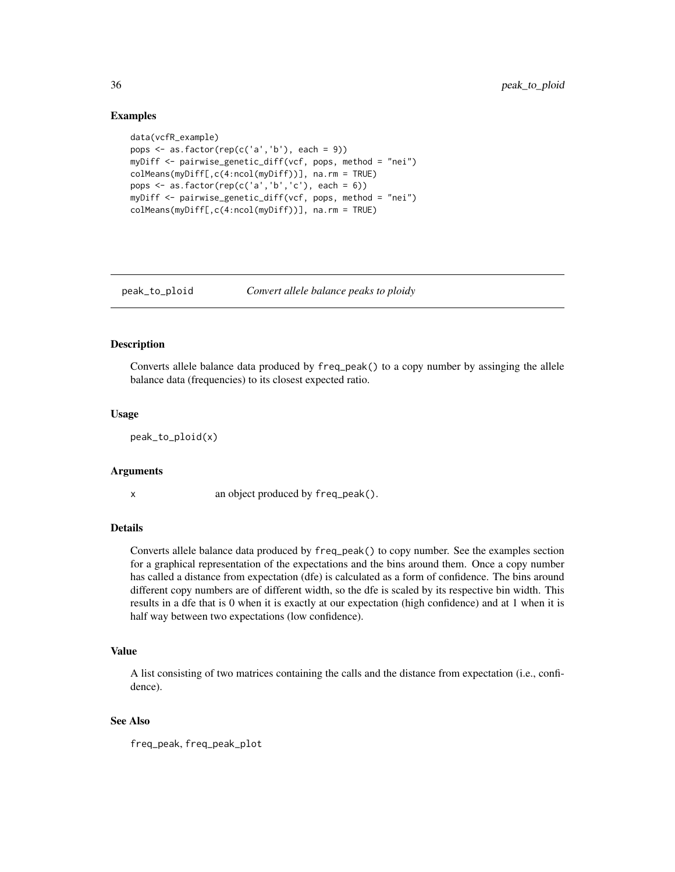#### Examples

```
data(vcfR_example)
pops \leq as.factor(rep(c('a','b'), each = 9))
myDiff <- pairwise_genetic_diff(vcf, pops, method = "nei")
colMeans(myDiff[,c(4:ncol(myDiff))], na.rm = TRUE)
pops \leq as.factor(rep(c('a','b','c'), each = 6))
myDiff <- pairwise_genetic_diff(vcf, pops, method = "nei")
colMeans(myDiff[,c(4:ncol(myDiff))], na.rm = TRUE)
```
peak\_to\_ploid *Convert allele balance peaks to ploidy*

#### Description

Converts allele balance data produced by freq\_peak() to a copy number by assinging the allele balance data (frequencies) to its closest expected ratio.

#### Usage

peak\_to\_ploid(x)

#### Arguments

x an object produced by freq\_peak().

#### Details

Converts allele balance data produced by freq\_peak() to copy number. See the examples section for a graphical representation of the expectations and the bins around them. Once a copy number has called a distance from expectation (dfe) is calculated as a form of confidence. The bins around different copy numbers are of different width, so the dfe is scaled by its respective bin width. This results in a dfe that is 0 when it is exactly at our expectation (high confidence) and at 1 when it is half way between two expectations (low confidence).

#### Value

A list consisting of two matrices containing the calls and the distance from expectation (i.e., confidence).

#### See Also

freq\_peak, freq\_peak\_plot

<span id="page-35-0"></span>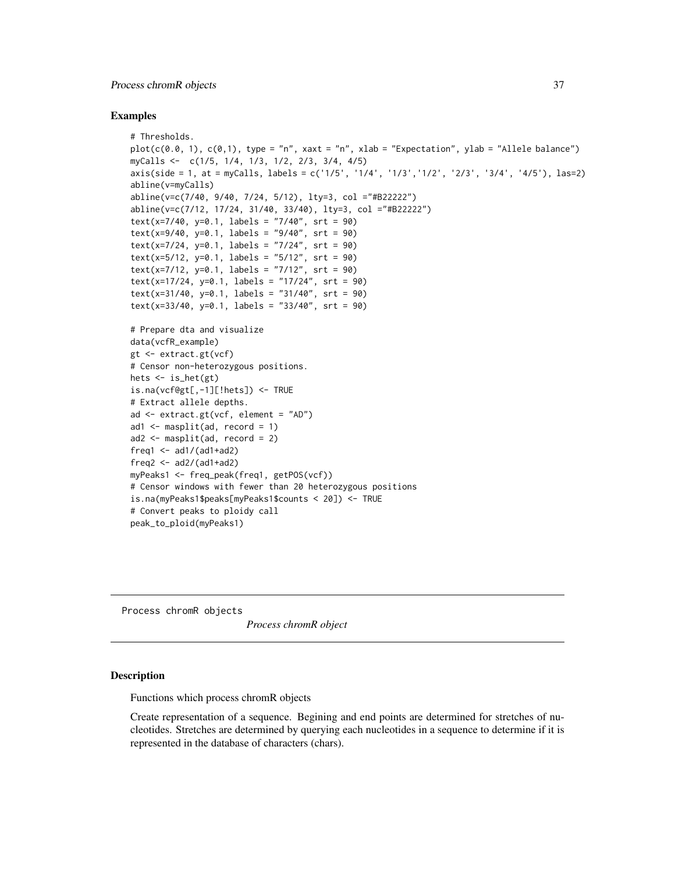#### <span id="page-36-0"></span>Process chromR objects 37

#### Examples

```
# Thresholds.
plot(c(0.0, 1), c(0,1), type = "n", xaxt = "n", xlab = "Expectation", ylab = "Allele balance")
myCalls <- c(1/5, 1/4, 1/3, 1/2, 2/3, 3/4, 4/5)
axis(side = 1, at = myCalls, labels = c('1/5', '1/4', '1/3','1/2', '2/3', '3/4', '4/5'), las=2)
abline(v=myCalls)
abline(v=c(7/40, 9/40, 7/24, 5/12), lty=3, col ="#B22222")
abline(v=c(7/12, 17/24, 31/40, 33/40), lty=3, col ="#B22222")
text(x=7/40, y=0.1, labels = "7/40", srt = 90)text(x=9/40, y=0.1, labels = "9/40", srt = 90)text(x=7/24, y=0.1, labels = "7/24", srt = 90)text(x=5/12, y=0.1, labels = "5/12", srt = 90)text(x=7/12, y=0.1, labels = "7/12", srt = 90)
text(x=17/24, y=0.1, labels = "17/24", srt = 90)
text(x=31/40, y=0.1, labels = "31/40", srt = 90)text(x=33/40, y=0.1, labels = "33/40", srt = 90)
# Prepare dta and visualize
data(vcfR_example)
gt <- extract.gt(vcf)
# Censor non-heterozygous positions.
hets \le is_het(gt)
is.na(vcf@gt[,-1][!hets]) <- TRUE
# Extract allele depths.
ad <- extract.gt(vcf, element = "AD")
ad1 \leq masplit(ad, record = 1)
ad2 \le - masplit(ad, record = 2)
freq1 \leq -ad1/(ad1+ad2)freq2 < -ad2/(ad1+ad2)myPeaks1 <- freq_peak(freq1, getPOS(vcf))
# Censor windows with fewer than 20 heterozygous positions
is.na(myPeaks1$peaks[myPeaks1$counts < 20]) <- TRUE
# Convert peaks to ploidy call
peak_to_ploid(myPeaks1)
```
Process chromR objects

*Process chromR object*

#### Description

Functions which process chromR objects

Create representation of a sequence. Begining and end points are determined for stretches of nucleotides. Stretches are determined by querying each nucleotides in a sequence to determine if it is represented in the database of characters (chars).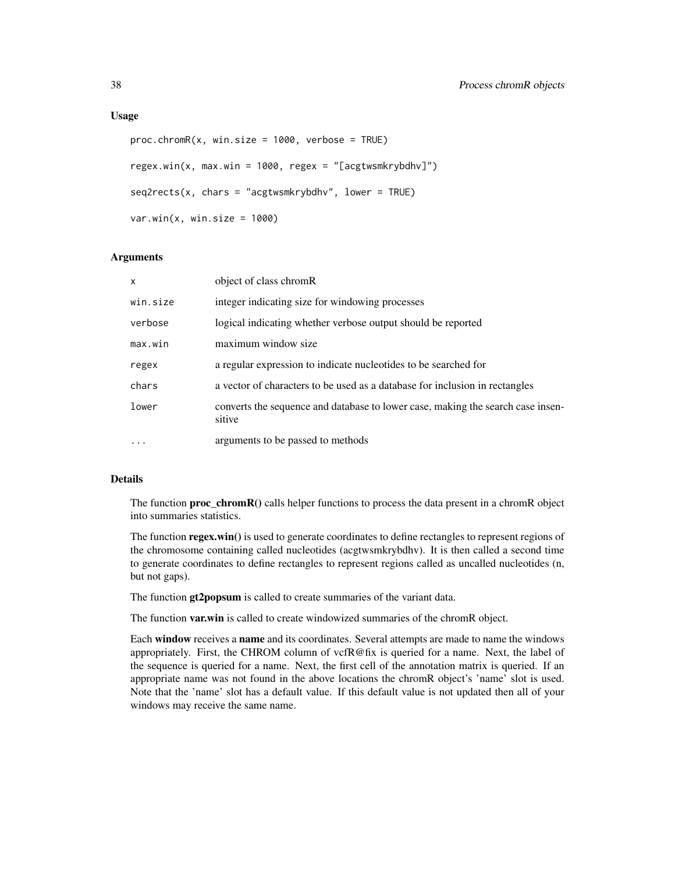#### Usage

```
proc.chromR(x, win.size = 1000, verbose = TRUE)regex.win(x, max.win = 1000, regex = "[acgtwsmkrybdhv]")
seq2rects(x, chars = "acgtwsmkrybdhv", lower = TRUE)var.win(x, win.size = 1000)
```
#### Arguments

| $\mathsf{x}$ | object of class chromR                                                                    |
|--------------|-------------------------------------------------------------------------------------------|
| win.size     | integer indicating size for windowing processes                                           |
| verbose      | logical indicating whether verbose output should be reported                              |
| max.win      | maximum window size                                                                       |
| regex        | a regular expression to indicate nucleotides to be searched for                           |
| chars        | a vector of characters to be used as a database for inclusion in rectangles               |
| lower        | converts the sequence and database to lower case, making the search case insen-<br>sitive |
| $\cdots$     | arguments to be passed to methods                                                         |

#### Details

The function  $proc_{\text{c}}$  hromR() calls helper functions to process the data present in a chromR object into summaries statistics.

The function regex.win() is used to generate coordinates to define rectangles to represent regions of the chromosome containing called nucleotides (acgtwsmkrybdhv). It is then called a second time to generate coordinates to define rectangles to represent regions called as uncalled nucleotides (n, but not gaps).

The function gt2popsum is called to create summaries of the variant data.

The function var.win is called to create windowized summaries of the chromR object.

Each window receives a name and its coordinates. Several attempts are made to name the windows appropriately. First, the CHROM column of vcfR@fix is queried for a name. Next, the label of the sequence is queried for a name. Next, the first cell of the annotation matrix is queried. If an appropriate name was not found in the above locations the chromR object's 'name' slot is used. Note that the 'name' slot has a default value. If this default value is not updated then all of your windows may receive the same name.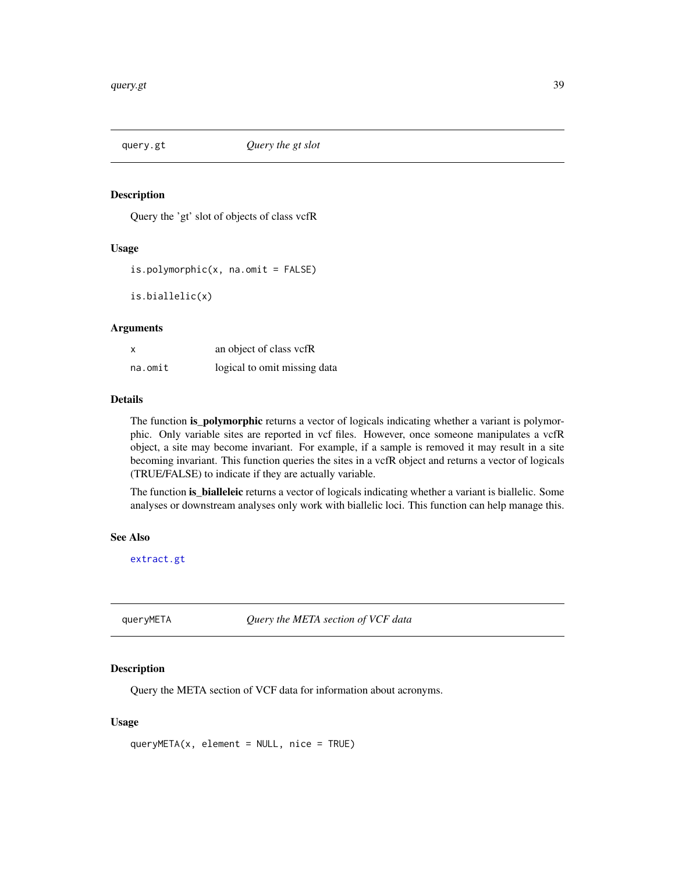<span id="page-38-0"></span>

#### Description

Query the 'gt' slot of objects of class vcfR

#### Usage

 $is.polymorphic(x, na omit = FALSE)$ 

is.biallelic(x)

#### Arguments

| $\boldsymbol{\mathsf{x}}$ | an object of class vcfR      |
|---------------------------|------------------------------|
| na.omit                   | logical to omit missing data |

#### Details

The function **is\_polymorphic** returns a vector of logicals indicating whether a variant is polymorphic. Only variable sites are reported in vcf files. However, once someone manipulates a vcfR object, a site may become invariant. For example, if a sample is removed it may result in a site becoming invariant. This function queries the sites in a vcfR object and returns a vector of logicals (TRUE/FALSE) to indicate if they are actually variable.

The function is\_bialleleic returns a vector of logicals indicating whether a variant is biallelic. Some analyses or downstream analyses only work with biallelic loci. This function can help manage this.

#### See Also

[extract.gt](#page-16-1)

queryMETA *Query the META section of VCF data*

#### Description

Query the META section of VCF data for information about acronyms.

#### Usage

queryMETA(x, element = NULL, nice = TRUE)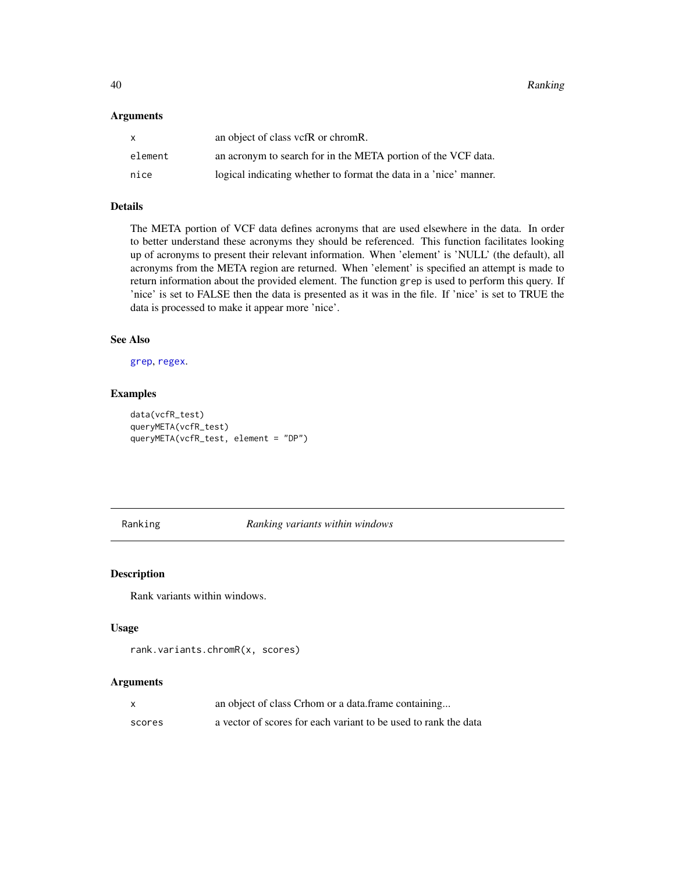#### <span id="page-39-0"></span>Arguments

| $\mathsf{x}$ | an object of class vcfR or chromR.                                |
|--------------|-------------------------------------------------------------------|
| element      | an acronym to search for in the META portion of the VCF data.     |
| nice         | logical indicating whether to format the data in a 'nice' manner. |

#### Details

The META portion of VCF data defines acronyms that are used elsewhere in the data. In order to better understand these acronyms they should be referenced. This function facilitates looking up of acronyms to present their relevant information. When 'element' is 'NULL' (the default), all acronyms from the META region are returned. When 'element' is specified an attempt is made to return information about the provided element. The function grep is used to perform this query. If 'nice' is set to FALSE then the data is presented as it was in the file. If 'nice' is set to TRUE the data is processed to make it appear more 'nice'.

#### See Also

[grep](#page-0-0), [regex](#page-0-0).

#### Examples

```
data(vcfR_test)
queryMETA(vcfR_test)
queryMETA(vcfR_test, element = "DP")
```
Ranking *Ranking variants within windows*

#### Description

Rank variants within windows.

#### Usage

```
rank.variants.chromR(x, scores)
```
#### Arguments

|        | an object of class Crhom or a data frame containing             |
|--------|-----------------------------------------------------------------|
| scores | a vector of scores for each variant to be used to rank the data |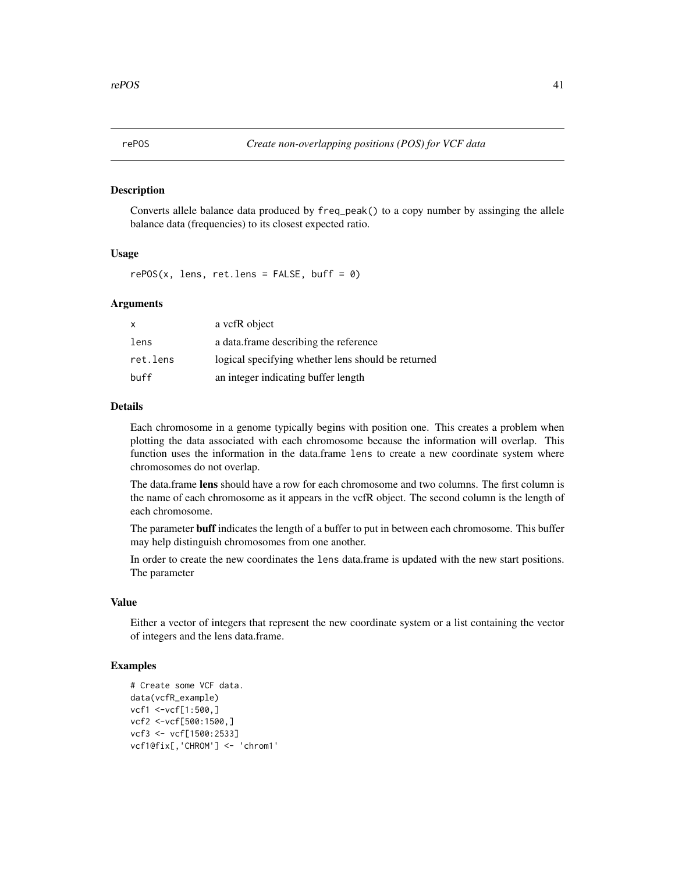<span id="page-40-0"></span>

#### Description

Converts allele balance data produced by freq\_peak() to a copy number by assinging the allele balance data (frequencies) to its closest expected ratio.

#### Usage

 $rePOS(x, lens, ret.lens = FALSE, buffer = 0)$ 

#### Arguments

| x        | a vcfR object                                      |
|----------|----------------------------------------------------|
| lens     | a data frame describing the reference              |
| ret.lens | logical specifying whether lens should be returned |
| buff     | an integer indicating buffer length                |

#### Details

Each chromosome in a genome typically begins with position one. This creates a problem when plotting the data associated with each chromosome because the information will overlap. This function uses the information in the data.frame lens to create a new coordinate system where chromosomes do not overlap.

The data.frame lens should have a row for each chromosome and two columns. The first column is the name of each chromosome as it appears in the vcfR object. The second column is the length of each chromosome.

The parameter **buff** indicates the length of a buffer to put in between each chromosome. This buffer may help distinguish chromosomes from one another.

In order to create the new coordinates the lens data.frame is updated with the new start positions. The parameter

#### Value

Either a vector of integers that represent the new coordinate system or a list containing the vector of integers and the lens data.frame.

#### Examples

```
# Create some VCF data.
data(vcfR_example)
vcf1 <-vcf[1:500,]
vcf2 <-vcf[500:1500,]
vcf3 <- vcf[1500:2533]
vcf1@fix[,'CHROM'] <- 'chrom1'
```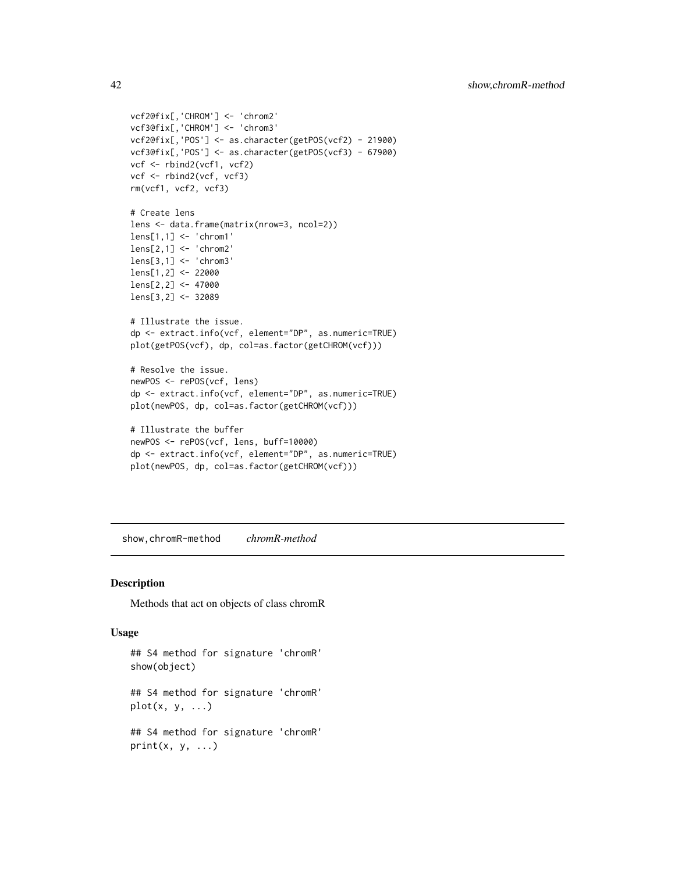```
vcf2@fix[,'CHROM'] <- 'chrom2'
vcf3@fix[,'CHROM'] <- 'chrom3'
vcf2@fix[,'POS'] <- as.character(getPOS(vcf2) - 21900)
vcf3@fix[,'POS'] <- as.character(getPOS(vcf3) - 67900)
vcf <- rbind2(vcf1, vcf2)
vcf <- rbind2(vcf, vcf3)
rm(vcf1, vcf2, vcf3)
# Create lens
lens <- data.frame(matrix(nrow=3, ncol=2))
lens[1,1] <- 'chrom1'
lens[2,1] <- 'chrom2'
lens[3,1] <- 'chrom3'
lens[1,2] <- 22000
lens[2,2] <- 47000
lens[3,2] <- 32089
# Illustrate the issue.
dp <- extract.info(vcf, element="DP", as.numeric=TRUE)
plot(getPOS(vcf), dp, col=as.factor(getCHROM(vcf)))
# Resolve the issue.
newPOS <- rePOS(vcf, lens)
dp <- extract.info(vcf, element="DP", as.numeric=TRUE)
plot(newPOS, dp, col=as.factor(getCHROM(vcf)))
# Illustrate the buffer
newPOS <- rePOS(vcf, lens, buff=10000)
dp <- extract.info(vcf, element="DP", as.numeric=TRUE)
plot(newPOS, dp, col=as.factor(getCHROM(vcf)))
```
show,chromR-method *chromR-method*

#### <span id="page-41-1"></span>Description

Methods that act on objects of class chromR

#### Usage

```
## S4 method for signature 'chromR'
show(object)
## S4 method for signature 'chromR'
plot(x, y, \ldots)## S4 method for signature 'chromR'
print(x, y, ...)
```
<span id="page-41-0"></span>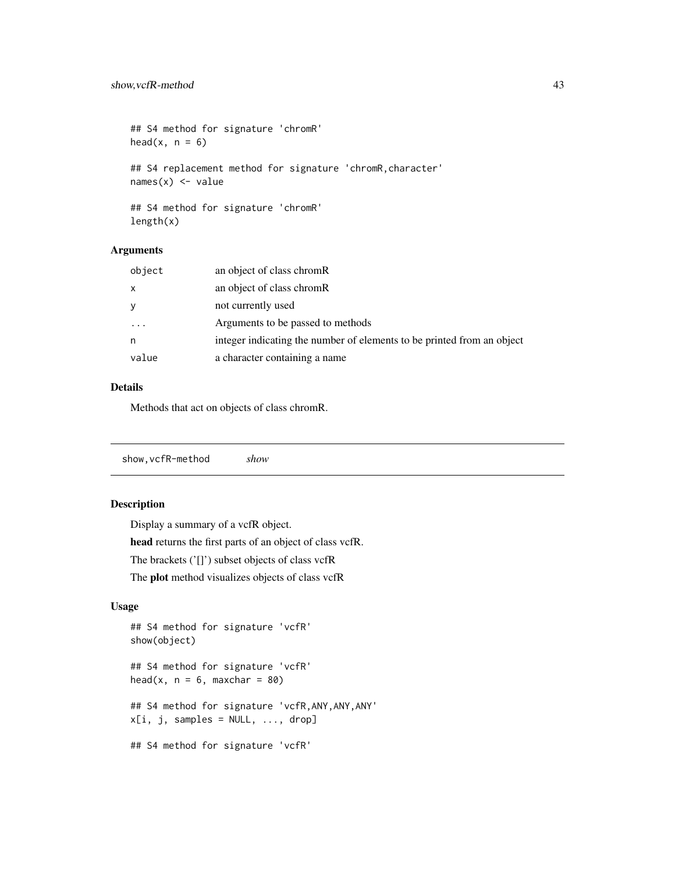```
## S4 method for signature 'chromR'
head(x, n = 6)## S4 replacement method for signature 'chromR,character'
names(x) <- value
## S4 method for signature 'chromR'
```

```
length(x)
```
#### Arguments

| object                  | an object of class chromR                                              |
|-------------------------|------------------------------------------------------------------------|
| $\mathsf{x}$            | an object of class chromR                                              |
| <b>y</b>                | not currently used                                                     |
| $\cdot$ $\cdot$ $\cdot$ | Arguments to be passed to methods                                      |
| n                       | integer indicating the number of elements to be printed from an object |
| value                   | a character containing a name                                          |

#### Details

Methods that act on objects of class chromR.

show,vcfR-method *show*

#### Description

Display a summary of a vcfR object. head returns the first parts of an object of class vcfR. The brackets ('[]') subset objects of class vcfR The plot method visualizes objects of class vcfR

#### Usage

```
## S4 method for signature 'vcfR'
show(object)
## S4 method for signature 'vcfR'
head(x, n = 6, maxchar = 80)
## S4 method for signature 'vcfR,ANY,ANY,ANY'
x[i, j, samples = NULL, ..., drop]## S4 method for signature 'vcfR'
```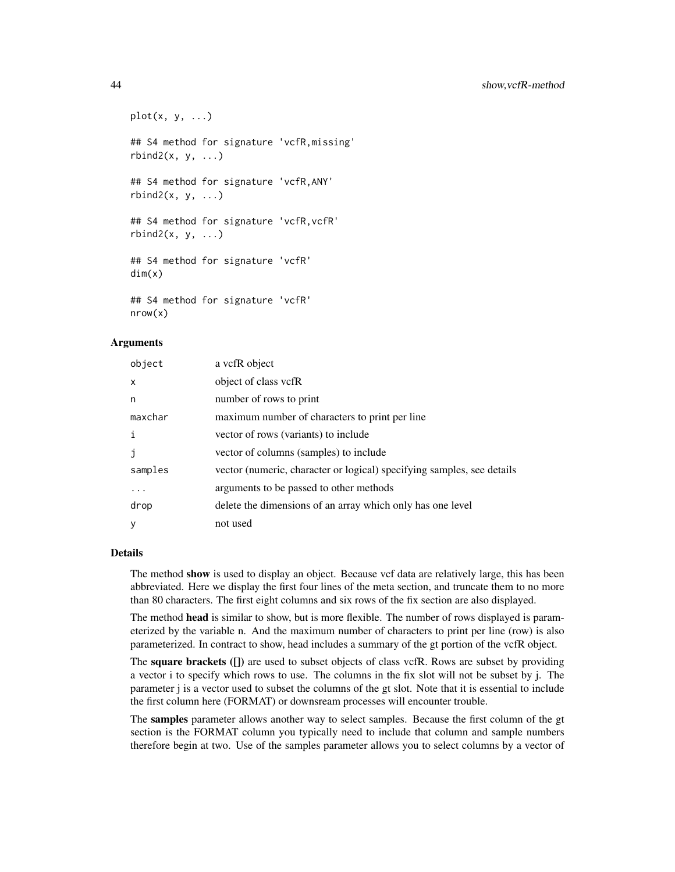```
plot(x, y, ...)## S4 method for signature 'vcfR,missing'
rbind2(x, y, \ldots)## S4 method for signature 'vcfR,ANY'
rbind2(x, y, ...)## S4 method for signature 'vcfR,vcfR'
rbind2(x, y, ...)## S4 method for signature 'vcfR'
dim(x)
## S4 method for signature 'vcfR'
nrow(x)
```
#### Arguments

| object   | a vcfR object                                                          |
|----------|------------------------------------------------------------------------|
| X        | object of class vcfR                                                   |
| n        | number of rows to print                                                |
| maxchar  | maximum number of characters to print per line                         |
| i        | vector of rows (variants) to include                                   |
|          | vector of columns (samples) to include                                 |
| samples  | vector (numeric, character or logical) specifying samples, see details |
| $\cdots$ | arguments to be passed to other methods                                |
| drop     | delete the dimensions of an array which only has one level             |
| У        | not used                                                               |

#### Details

The method show is used to display an object. Because vcf data are relatively large, this has been abbreviated. Here we display the first four lines of the meta section, and truncate them to no more than 80 characters. The first eight columns and six rows of the fix section are also displayed.

The method head is similar to show, but is more flexible. The number of rows displayed is parameterized by the variable n. And the maximum number of characters to print per line (row) is also parameterized. In contract to show, head includes a summary of the gt portion of the vcfR object.

The **square brackets** (I) are used to subset objects of class vcfR. Rows are subset by providing a vector i to specify which rows to use. The columns in the fix slot will not be subset by j. The parameter j is a vector used to subset the columns of the gt slot. Note that it is essential to include the first column here (FORMAT) or downsream processes will encounter trouble.

The samples parameter allows another way to select samples. Because the first column of the gt section is the FORMAT column you typically need to include that column and sample numbers therefore begin at two. Use of the samples parameter allows you to select columns by a vector of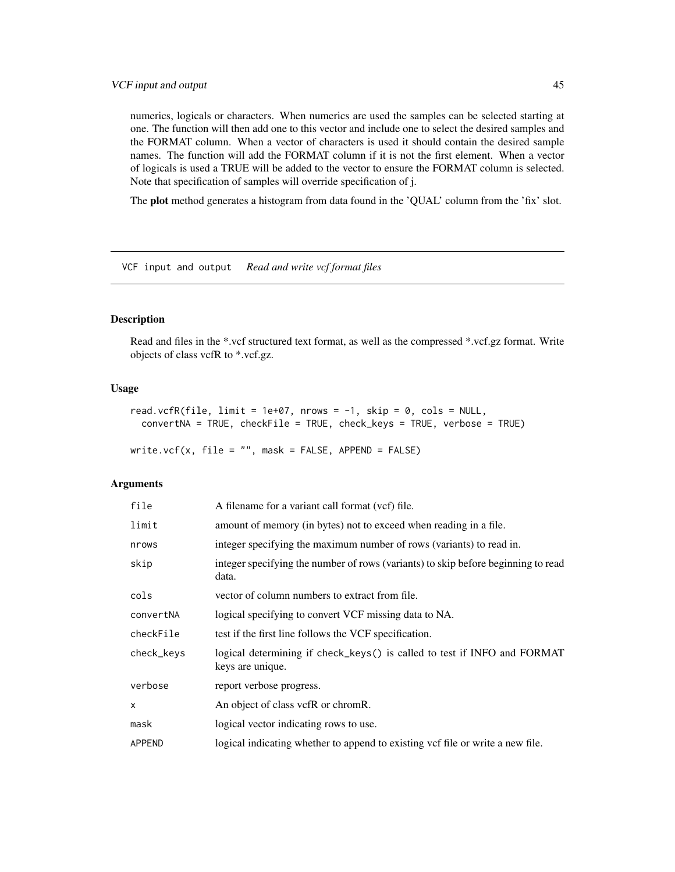<span id="page-44-0"></span>numerics, logicals or characters. When numerics are used the samples can be selected starting at one. The function will then add one to this vector and include one to select the desired samples and the FORMAT column. When a vector of characters is used it should contain the desired sample names. The function will add the FORMAT column if it is not the first element. When a vector of logicals is used a TRUE will be added to the vector to ensure the FORMAT column is selected. Note that specification of samples will override specification of j.

The plot method generates a histogram from data found in the 'QUAL' column from the 'fix' slot.

VCF input and output *Read and write vcf format files*

#### <span id="page-44-1"></span>Description

Read and files in the \*.vcf structured text format, as well as the compressed \*.vcf.gz format. Write objects of class vcfR to \*.vcf.gz.

#### Usage

```
read.vcfR(file, limit = 1e+07, nrows = -1, skip = 0, cols = NULL,
  convertNA = TRUE, checkFile = TRUE, check_keys = TRUE, verbose = TRUE)
```
write.vcf(x, file = "", mask = FALSE, APPEND = FALSE)

#### Arguments

| file         | A filename for a variant call format (vcf) file.                                             |
|--------------|----------------------------------------------------------------------------------------------|
| limit        | amount of memory (in bytes) not to exceed when reading in a file.                            |
| nrows        | integer specifying the maximum number of rows (variants) to read in.                         |
| skip         | integer specifying the number of rows (variants) to skip before beginning to read<br>data.   |
| cols         | vector of column numbers to extract from file.                                               |
| convertNA    | logical specifying to convert VCF missing data to NA.                                        |
| checkFile    | test if the first line follows the VCF specification.                                        |
| check_keys   | logical determining if check_keys() is called to test if INFO and FORMAT<br>keys are unique. |
| verbose      | report verbose progress.                                                                     |
| $\mathsf{x}$ | An object of class vcfR or chromR.                                                           |
| mask         | logical vector indicating rows to use.                                                       |
| APPEND       | logical indicating whether to append to existing vcf file or write a new file.               |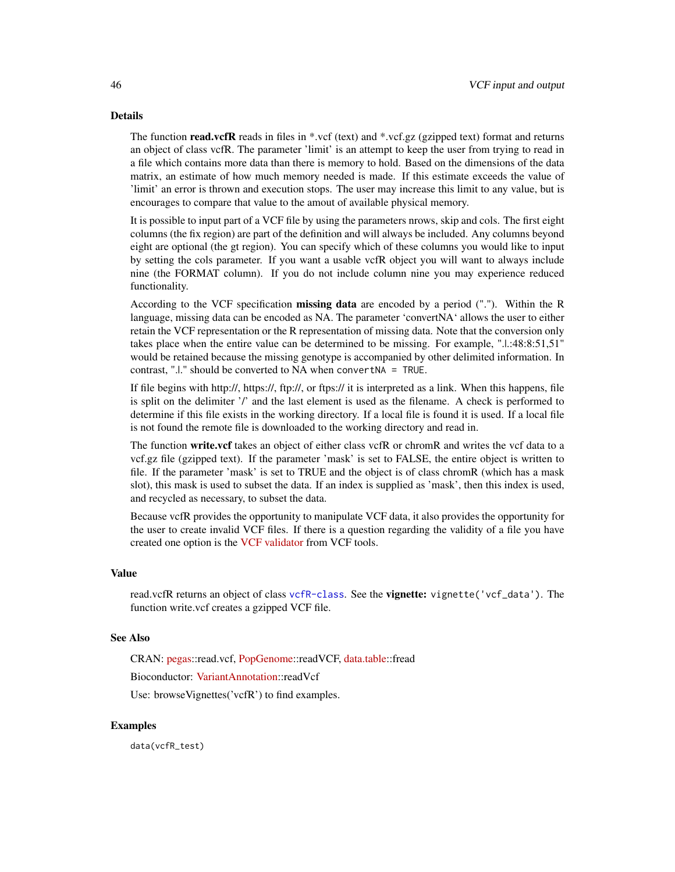#### Details

The function read.vcfR reads in files in \*.vcf (text) and \*.vcf.gz (gzipped text) format and returns an object of class vcfR. The parameter 'limit' is an attempt to keep the user from trying to read in a file which contains more data than there is memory to hold. Based on the dimensions of the data matrix, an estimate of how much memory needed is made. If this estimate exceeds the value of 'limit' an error is thrown and execution stops. The user may increase this limit to any value, but is encourages to compare that value to the amout of available physical memory.

It is possible to input part of a VCF file by using the parameters nrows, skip and cols. The first eight columns (the fix region) are part of the definition and will always be included. Any columns beyond eight are optional (the gt region). You can specify which of these columns you would like to input by setting the cols parameter. If you want a usable vcfR object you will want to always include nine (the FORMAT column). If you do not include column nine you may experience reduced functionality.

According to the VCF specification **missing data** are encoded by a period ("."). Within the R language, missing data can be encoded as NA. The parameter 'convertNA' allows the user to either retain the VCF representation or the R representation of missing data. Note that the conversion only takes place when the entire value can be determined to be missing. For example, ".|.:48:8:51,51" would be retained because the missing genotype is accompanied by other delimited information. In contrast, ".|." should be converted to NA when convertNA = TRUE.

If file begins with http://, https://, ftp://, or ftps:// it is interpreted as a link. When this happens, file is split on the delimiter '/' and the last element is used as the filename. A check is performed to determine if this file exists in the working directory. If a local file is found it is used. If a local file is not found the remote file is downloaded to the working directory and read in.

The function write.vcf takes an object of either class vcfR or chromR and writes the vcf data to a vcf.gz file (gzipped text). If the parameter 'mask' is set to FALSE, the entire object is written to file. If the parameter 'mask' is set to TRUE and the object is of class chromR (which has a mask slot), this mask is used to subset the data. If an index is supplied as 'mask', then this index is used, and recycled as necessary, to subset the data.

Because vcfR provides the opportunity to manipulate VCF data, it also provides the opportunity for the user to create invalid VCF files. If there is a question regarding the validity of a file you have created one option is the [VCF validator](https://vcftools.github.io/perl_module.html#vcf-validator) from VCF tools.

#### Value

read.vcfR returns an object of class [vcfR-class](#page-47-1). See the **vignette:** vignette('vcf\_data'). The function write.vcf creates a gzipped VCF file.

#### See Also

CRAN: [pegas:](https://cran.r-project.org/package=pegas):read.vcf, [PopGenome:](https://cran.r-project.org/package=PopGenome):readVCF, [data.table:](https://cran.r-project.org/package=data.table):fread

Bioconductor: [VariantAnnotation:](http://www.bioconductor.org/packages/release/bioc/html/VariantAnnotation.html):readVcf

Use: browseVignettes('vcfR') to find examples.

#### Examples

data(vcfR\_test)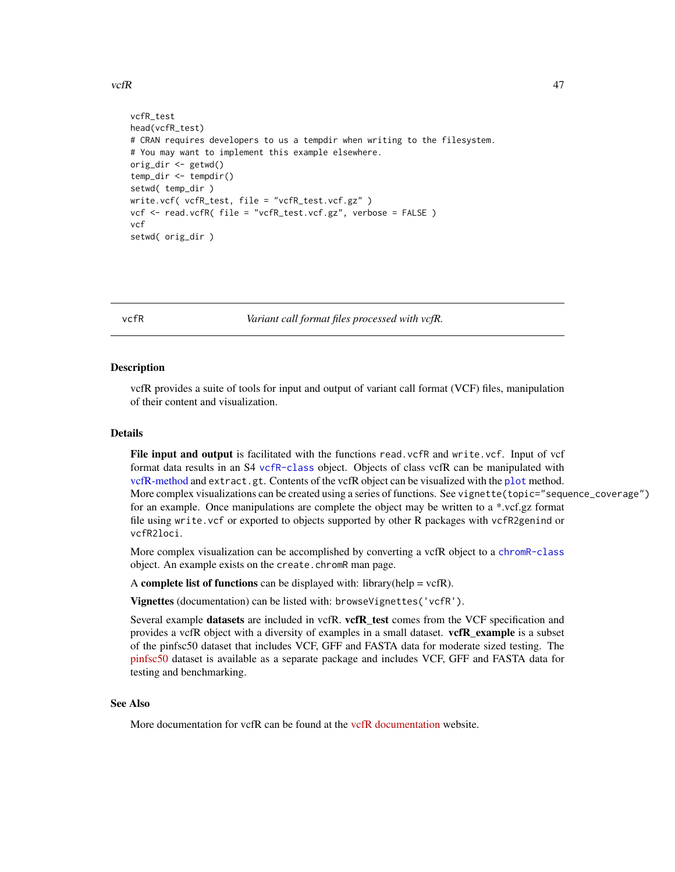#### <span id="page-46-0"></span> $\text{vcfR}$  and  $\text{VcfR}$  and  $\text{VcfR}$  and  $\text{VcfR}$  and  $\text{VcfR}$  and  $\text{VcfR}$  and  $\text{VcfR}$  and  $\text{VcfR}$  and  $\text{VcfR}$  and  $\text{VcfR}$  and  $\text{VcfR}$  and  $\text{VcfR}$  and  $\text{VcfR}$  and  $\text{VcfR}$  and  $\text{VcfR}$  and  $\text{VcfR}$  a

```
vcfR_test
head(vcfR_test)
# CRAN requires developers to us a tempdir when writing to the filesystem.
# You may want to implement this example elsewhere.
orig_dir <- getwd()
temp_dir <- tempdir()
setwd( temp_dir )
write.vcf( vcfR_test, file = "vcfR_test.vcf.gz" )
vcf <- read.vcfR( file = "vcfR_test.vcf.gz", verbose = FALSE )
vcf
setwd( orig_dir )
```
<span id="page-46-1"></span>

vcfR *Variant call format files processed with vcfR.*

#### **Description**

vcfR provides a suite of tools for input and output of variant call format (VCF) files, manipulation of their content and visualization.

#### Details

File input and output is facilitated with the functions read. vcfR and write. vcf. Input of vcf format data results in an S4 [vcfR-class](#page-47-1) object. Objects of class vcfR can be manipulated with [vcfR-method](#page-0-0) and extract.gt. Contents of the vcfR object can be visualized with the [plot](#page-41-1) method. More complex visualizations can be created using a series of functions. See vignette(topic="sequence\_coverage") for an example. Once manipulations are complete the object may be written to a \*.vcf.gz format file using write.vcf or exported to objects supported by other R packages with vcfR2genind or vcfR2loci.

More complex visualization can be accomplished by converting a vcfR object to a [chromR-class](#page-6-1) object. An example exists on the create.chromR man page.

A complete list of functions can be displayed with: library(help =  $vcfR$ ).

Vignettes (documentation) can be listed with: browseVignettes('vcfR').

Several example datasets are included in vcfR. vcfR\_test comes from the VCF specification and provides a vcfR object with a diversity of examples in a small dataset. **vcfR\_example** is a subset of the pinfsc50 dataset that includes VCF, GFF and FASTA data for moderate sized testing. The [pinfsc50](https://cran.r-project.org/package=pinfsc50) dataset is available as a separate package and includes VCF, GFF and FASTA data for testing and benchmarking.

#### See Also

More documentation for vcfR can be found at the [vcfR documentation](https://knausb.github.io/vcfR_documentation/) website.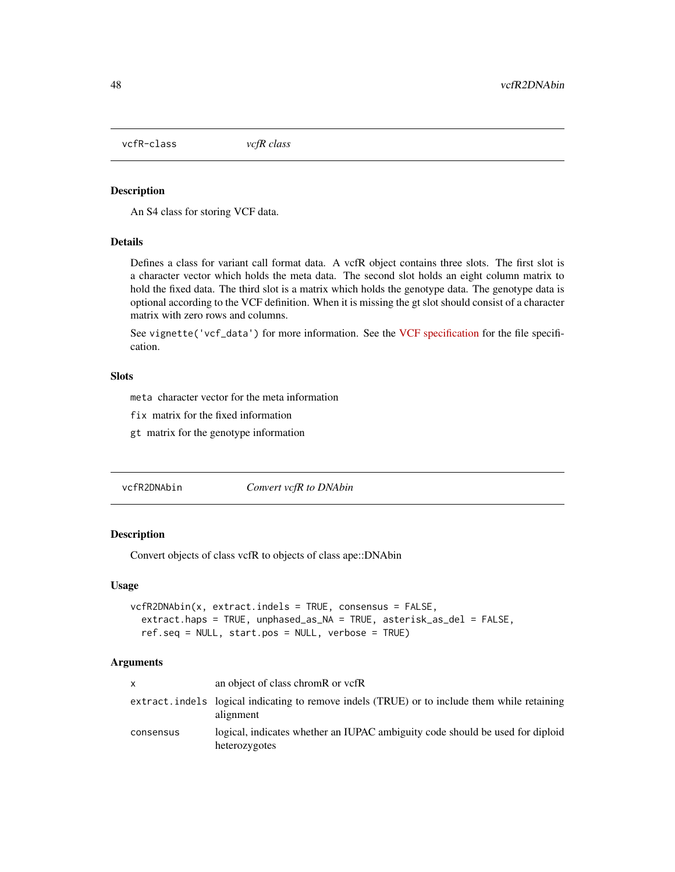<span id="page-47-1"></span><span id="page-47-0"></span>vcfR-class *vcfR class*

#### Description

An S4 class for storing VCF data.

#### Details

Defines a class for variant call format data. A vcfR object contains three slots. The first slot is a character vector which holds the meta data. The second slot holds an eight column matrix to hold the fixed data. The third slot is a matrix which holds the genotype data. The genotype data is optional according to the VCF definition. When it is missing the gt slot should consist of a character matrix with zero rows and columns.

See vignette('vcf\_data') for more information. See the [VCF specification](http://samtools.github.io/hts-specs/) for the file specification.

#### **Slots**

meta character vector for the meta information

fix matrix for the fixed information

gt matrix for the genotype information

vcfR2DNAbin *Convert vcfR to DNAbin*

#### Description

Convert objects of class vcfR to objects of class ape::DNAbin

#### Usage

```
vcfR2DNAbin(x, extract.indels = TRUE, consensus = FALSE,
  extract.haps = TRUE, unphased_as_NA = TRUE, asterisk_as_del = FALSE,
  ref.seq = NULL, start.pos = NULL, verbose = TRUE)
```
#### Arguments

| X         | an object of class chromR or vcfR                                                                         |
|-----------|-----------------------------------------------------------------------------------------------------------|
|           | extract.indels logical indicating to remove indels (TRUE) or to include them while retaining<br>alignment |
| consensus | logical, indicates whether an IUPAC ambiguity code should be used for diploid<br>heterozygotes            |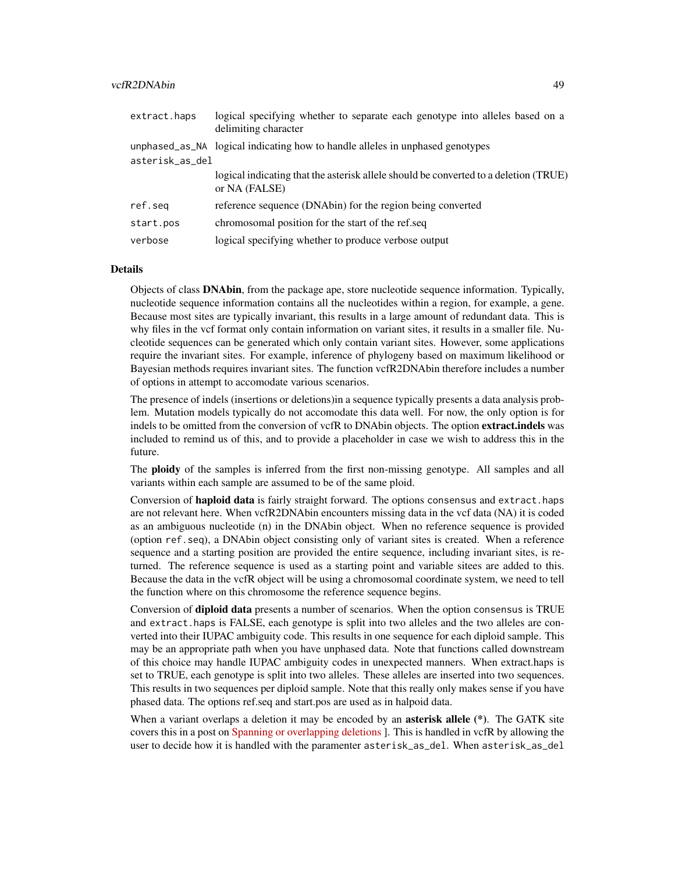#### vcfR2DNAbin 49

| extract.haps    | logical specifying whether to separate each genotype into alleles based on a<br>delimiting character  |
|-----------------|-------------------------------------------------------------------------------------------------------|
|                 | unphased_as_NA logical indicating how to handle alleles in unphased genotypes                         |
| asterisk_as_del |                                                                                                       |
|                 | logical indicating that the asterisk allele should be converted to a deletion (TRUE)<br>or NA (FALSE) |
| ref.seq         | reference sequence (DNAbin) for the region being converted                                            |
| start.pos       | chromosomal position for the start of the ref.seq                                                     |
| verbose         | logical specifying whether to produce verbose output                                                  |

#### Details

Objects of class DNAbin, from the package ape, store nucleotide sequence information. Typically, nucleotide sequence information contains all the nucleotides within a region, for example, a gene. Because most sites are typically invariant, this results in a large amount of redundant data. This is why files in the vcf format only contain information on variant sites, it results in a smaller file. Nucleotide sequences can be generated which only contain variant sites. However, some applications require the invariant sites. For example, inference of phylogeny based on maximum likelihood or Bayesian methods requires invariant sites. The function vcfR2DNAbin therefore includes a number of options in attempt to accomodate various scenarios.

The presence of indels (insertions or deletions)in a sequence typically presents a data analysis problem. Mutation models typically do not accomodate this data well. For now, the only option is for indels to be omitted from the conversion of vcfR to DNAbin objects. The option **extract, indels** was included to remind us of this, and to provide a placeholder in case we wish to address this in the future.

The **ploidy** of the samples is inferred from the first non-missing genotype. All samples and all variants within each sample are assumed to be of the same ploid.

Conversion of **haploid data** is fairly straight forward. The options consensus and extract.haps are not relevant here. When vcfR2DNAbin encounters missing data in the vcf data (NA) it is coded as an ambiguous nucleotide (n) in the DNAbin object. When no reference sequence is provided (option ref.seq), a DNAbin object consisting only of variant sites is created. When a reference sequence and a starting position are provided the entire sequence, including invariant sites, is returned. The reference sequence is used as a starting point and variable sitees are added to this. Because the data in the vcfR object will be using a chromosomal coordinate system, we need to tell the function where on this chromosome the reference sequence begins.

Conversion of **diploid data** presents a number of scenarios. When the option consensus is TRUE and extract.haps is FALSE, each genotype is split into two alleles and the two alleles are converted into their IUPAC ambiguity code. This results in one sequence for each diploid sample. This may be an appropriate path when you have unphased data. Note that functions called downstream of this choice may handle IUPAC ambiguity codes in unexpected manners. When extract.haps is set to TRUE, each genotype is split into two alleles. These alleles are inserted into two sequences. This results in two sequences per diploid sample. Note that this really only makes sense if you have phased data. The options ref.seq and start.pos are used as in halpoid data.

When a variant overlaps a deletion it may be encoded by an **asterisk allele** (\*). The GATK site covers this in a post on [Spanning or overlapping deletions](https://gatkforums.broadinstitute.org/gatk/discussion/6926/spanning-or-overlapping-deletions-allele) ]. This is handled in vcfR by allowing the user to decide how it is handled with the paramenter asterisk\_as\_del. When asterisk\_as\_del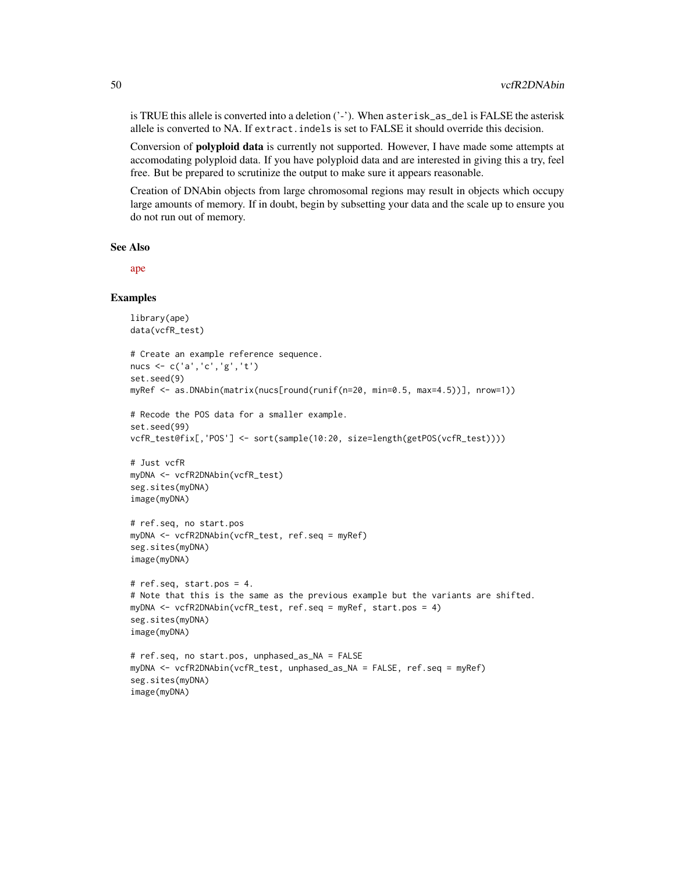is TRUE this allele is converted into a deletion ('-'). When asterisk\_as\_del is FALSE the asterisk allele is converted to NA. If extract.indels is set to FALSE it should override this decision.

Conversion of polyploid data is currently not supported. However, I have made some attempts at accomodating polyploid data. If you have polyploid data and are interested in giving this a try, feel free. But be prepared to scrutinize the output to make sure it appears reasonable.

Creation of DNAbin objects from large chromosomal regions may result in objects which occupy large amounts of memory. If in doubt, begin by subsetting your data and the scale up to ensure you do not run out of memory.

#### See Also

[ape](https://cran.r-project.org/package=ape)

#### **Examples**

```
library(ape)
data(vcfR_test)
# Create an example reference sequence.
nucs <- c('a','c','g','t')
set.seed(9)
myRef <- as.DNAbin(matrix(nucs[round(runif(n=20, min=0.5, max=4.5))], nrow=1))
# Recode the POS data for a smaller example.
set.seed(99)
vcfR_test@fix[,'POS'] <- sort(sample(10:20, size=length(getPOS(vcfR_test))))
# Just vcfR
myDNA <- vcfR2DNAbin(vcfR_test)
seg.sites(myDNA)
image(myDNA)
# ref.seq, no start.pos
myDNA <- vcfR2DNAbin(vcfR_test, ref.seq = myRef)
seg.sites(myDNA)
image(myDNA)
# ref.seq, start.pos = 4.
# Note that this is the same as the previous example but the variants are shifted.
myDNA <- vcfR2DNAbin(vcfR_test, ref.seq = myRef, start.pos = 4)
seg.sites(myDNA)
image(myDNA)
# ref.seq, no start.pos, unphased_as_NA = FALSE
myDNA <- vcfR2DNAbin(vcfR_test, unphased_as_NA = FALSE, ref.seq = myRef)
seg.sites(myDNA)
image(myDNA)
```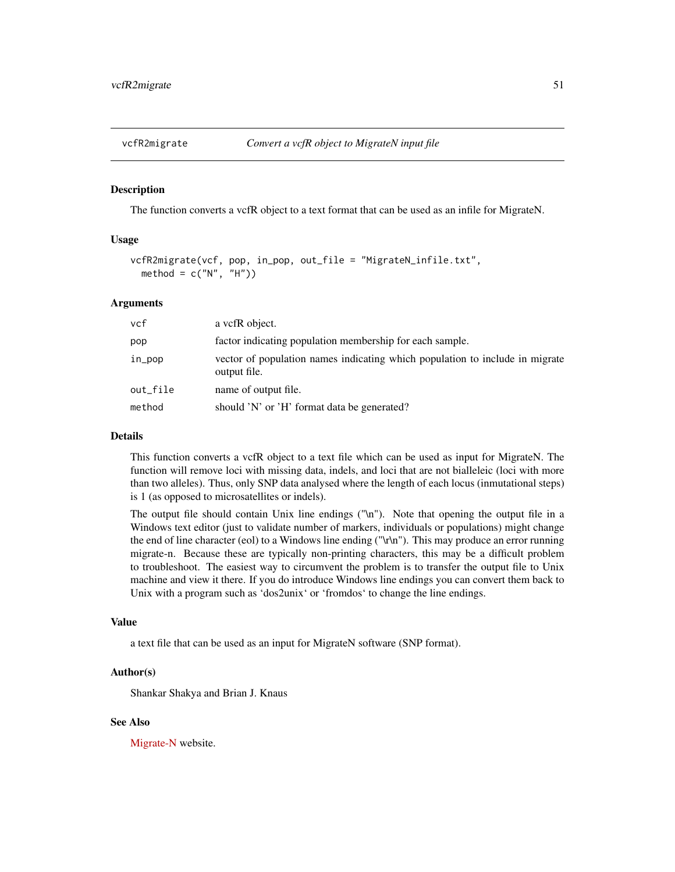<span id="page-50-0"></span>

#### Description

The function converts a vcfR object to a text format that can be used as an infile for MigrateN.

#### Usage

```
vcfR2migrate(vcf, pop, in_pop, out_file = "MigrateN_infile.txt",
 method = c("N", "H")
```
#### Arguments

| vcf      | a vcfR object.                                                                               |
|----------|----------------------------------------------------------------------------------------------|
| pop      | factor indicating population membership for each sample.                                     |
| in_pop   | vector of population names indicating which population to include in migrate<br>output file. |
| out_file | name of output file.                                                                         |
| method   | should 'N' or 'H' format data be generated?                                                  |

#### Details

This function converts a vcfR object to a text file which can be used as input for MigrateN. The function will remove loci with missing data, indels, and loci that are not bialleleic (loci with more than two alleles). Thus, only SNP data analysed where the length of each locus (inmutational steps) is 1 (as opposed to microsatellites or indels).

The output file should contain Unix line endings ("\n"). Note that opening the output file in a Windows text editor (just to validate number of markers, individuals or populations) might change the end of line character (eol) to a Windows line ending ("\r\n"). This may produce an error running migrate-n. Because these are typically non-printing characters, this may be a difficult problem to troubleshoot. The easiest way to circumvent the problem is to transfer the output file to Unix machine and view it there. If you do introduce Windows line endings you can convert them back to Unix with a program such as 'dos2unix' or 'fromdos' to change the line endings.

#### Value

a text file that can be used as an input for MigrateN software (SNP format).

#### Author(s)

Shankar Shakya and Brian J. Knaus

#### See Also

[Migrate-N](http://popgen.sc.fsu.edu/Migrate/Migrate-n.html) website.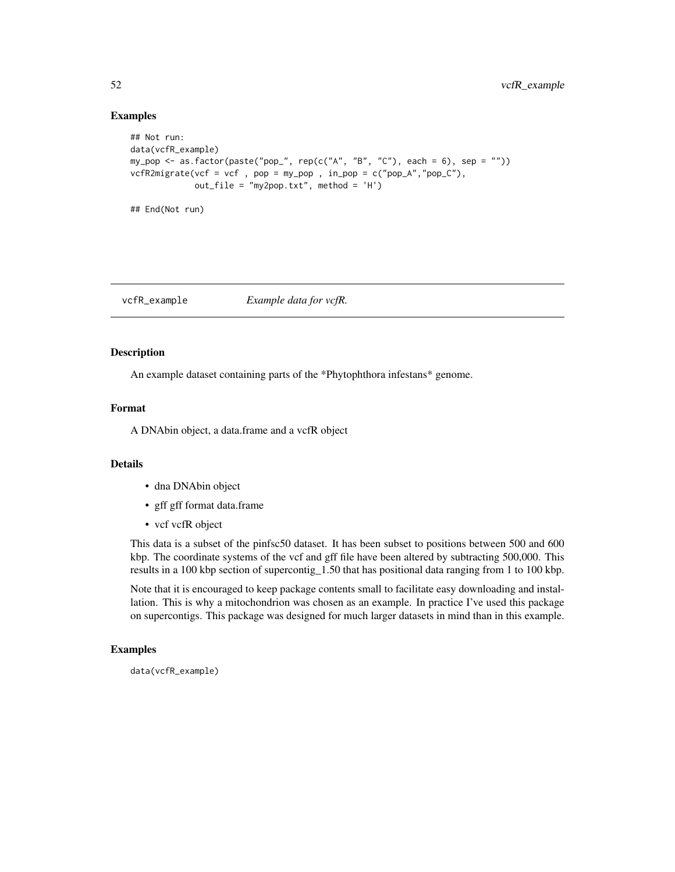#### Examples

## End(Not run)

```
## Not run:
data(vcfR_example)
my_pop <- as.factor(paste("pop_", rep(c("A", "B", "C"), each = 6), sep = ""))
vcfR2migrate(vcf = vcf , pop = my\_pop , in\_pop = c("pop_A", "pop_C"),out_file = "my2pop.txt", method = 'H')
```
vcfR\_example *Example data for vcfR.*

#### Description

An example dataset containing parts of the \*Phytophthora infestans\* genome.

#### Format

A DNAbin object, a data.frame and a vcfR object

#### Details

- dna DNAbin object
- gff gff format data.frame
- vcf vcfR object

This data is a subset of the pinfsc50 dataset. It has been subset to positions between 500 and 600 kbp. The coordinate systems of the vcf and gff file have been altered by subtracting 500,000. This results in a 100 kbp section of supercontig\_1.50 that has positional data ranging from 1 to 100 kbp.

Note that it is encouraged to keep package contents small to facilitate easy downloading and installation. This is why a mitochondrion was chosen as an example. In practice I've used this package on supercontigs. This package was designed for much larger datasets in mind than in this example.

#### Examples

data(vcfR\_example)

<span id="page-51-0"></span>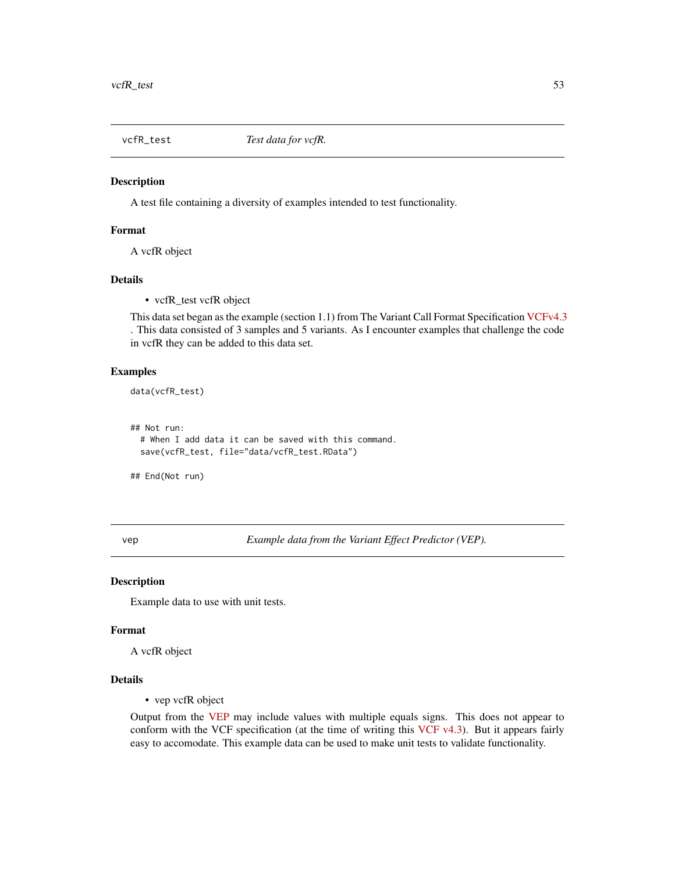<span id="page-52-0"></span>

#### Description

A test file containing a diversity of examples intended to test functionality.

#### Format

A vcfR object

#### Details

• vcfR\_test vcfR object

This data set began as the example (section 1.1) from The Variant Call Format Specification [VCFv4.3](http://samtools.github.io/hts-specs/) . This data consisted of 3 samples and 5 variants. As I encounter examples that challenge the code in vcfR they can be added to this data set.

#### Examples

data(vcfR\_test)

## Not run:

# When I add data it can be saved with this command. save(vcfR\_test, file="data/vcfR\_test.RData")

## End(Not run)

vep *Example data from the Variant Effect Predictor (VEP).*

#### Description

Example data to use with unit tests.

#### Format

A vcfR object

#### Details

• vep vcfR object

Output from the [VEP](https://uswest.ensembl.org/info/docs/tools/vep/index.html) may include values with multiple equals signs. This does not appear to conform with the VCF specification (at the time of writing this VCF  $v4.3$ ). But it appears fairly easy to accomodate. This example data can be used to make unit tests to validate functionality.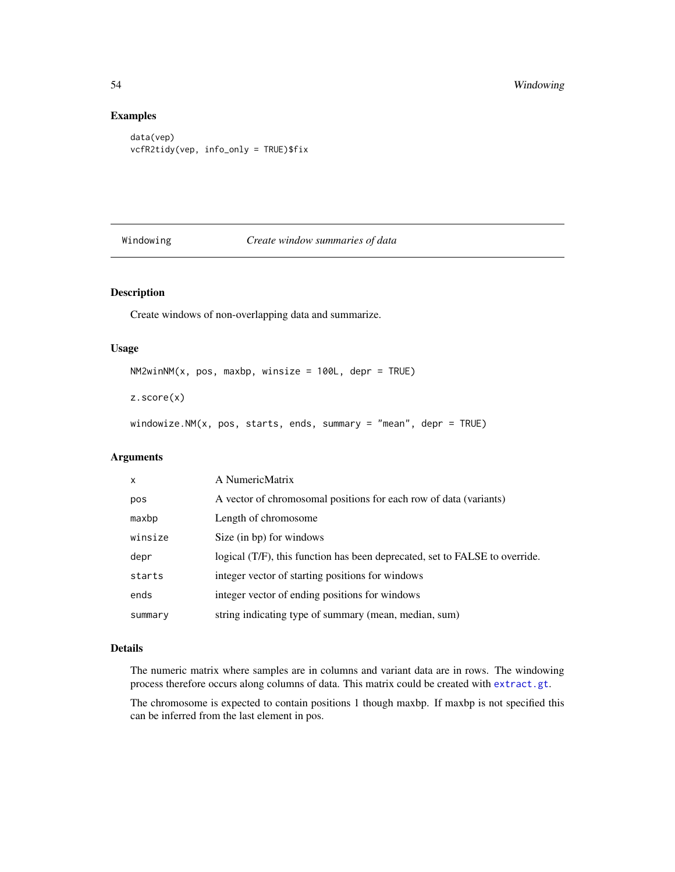#### Examples

```
data(vep)
vcfR2tidy(vep, info_only = TRUE)$fix
```
#### Windowing *Create window summaries of data*

#### Description

Create windows of non-overlapping data and summarize.

#### Usage

 $NM2winNM(x, pos, maxbp, winsize = 100L, depr = TRUE)$ 

z.score(x)

windowize.NM(x, pos, starts, ends, summary = "mean", depr = TRUE)

#### Arguments

| $\mathsf{x}$ | A NumericMatrix                                                             |
|--------------|-----------------------------------------------------------------------------|
| pos          | A vector of chromosomal positions for each row of data (variants)           |
| maxbp        | Length of chromosome                                                        |
| winsize      | Size (in bp) for windows                                                    |
| depr         | logical (T/F), this function has been deprecated, set to FALSE to override. |
| starts       | integer vector of starting positions for windows                            |
| ends         | integer vector of ending positions for windows                              |
| summary      | string indicating type of summary (mean, median, sum)                       |

#### Details

The numeric matrix where samples are in columns and variant data are in rows. The windowing process therefore occurs along columns of data. This matrix could be created with [extract.gt](#page-16-1).

The chromosome is expected to contain positions 1 though maxbp. If maxbp is not specified this can be inferred from the last element in pos.

<span id="page-53-0"></span>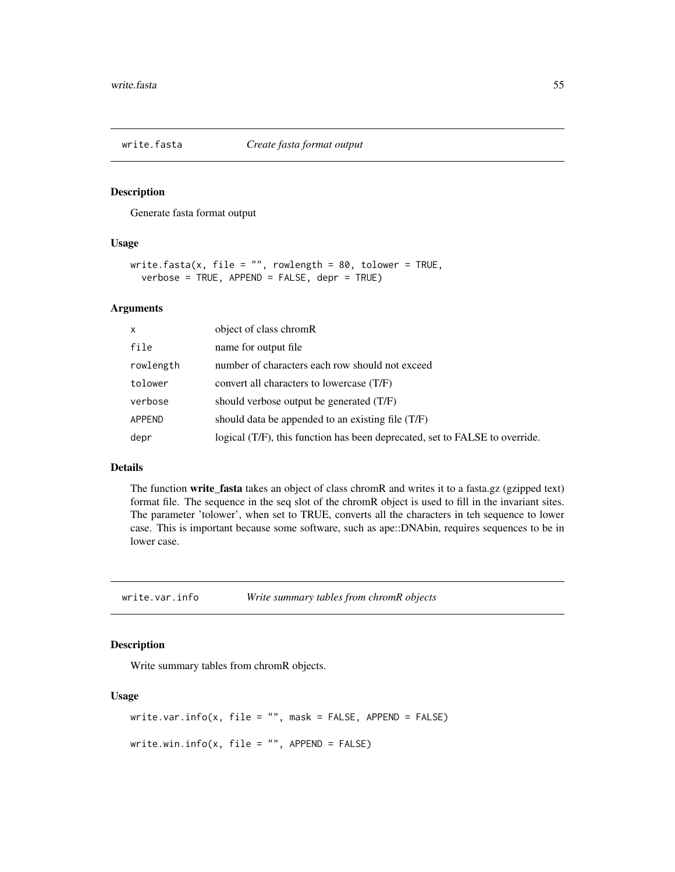<span id="page-54-0"></span>

#### Description

Generate fasta format output

#### Usage

```
write.fasta(x, file = "", rowlength = 80, tolower = TRUE,
  verbose = TRUE, APPEND = FALSE, depr = TRUE)
```
#### Arguments

| X             | object of class chromR                                                      |
|---------------|-----------------------------------------------------------------------------|
| file          | name for output file                                                        |
| rowlength     | number of characters each row should not exceed                             |
| tolower       | convert all characters to lowercase (T/F)                                   |
| verbose       | should verbose output be generated (T/F)                                    |
| <b>APPEND</b> | should data be appended to an existing file (T/F)                           |
| depr          | logical (T/F), this function has been deprecated, set to FALSE to override. |

#### Details

The function write\_fasta takes an object of class chromR and writes it to a fasta.gz (gzipped text) format file. The sequence in the seq slot of the chromR object is used to fill in the invariant sites. The parameter 'tolower', when set to TRUE, converts all the characters in teh sequence to lower case. This is important because some software, such as ape::DNAbin, requires sequences to be in lower case.

write.var.info *Write summary tables from chromR objects*

#### Description

Write summary tables from chromR objects.

#### Usage

```
write.var.info(x, file = ", mask = FALSE, APPEND = FALSE)
write.min.info(x, file = "", APPEND = FALSE)
```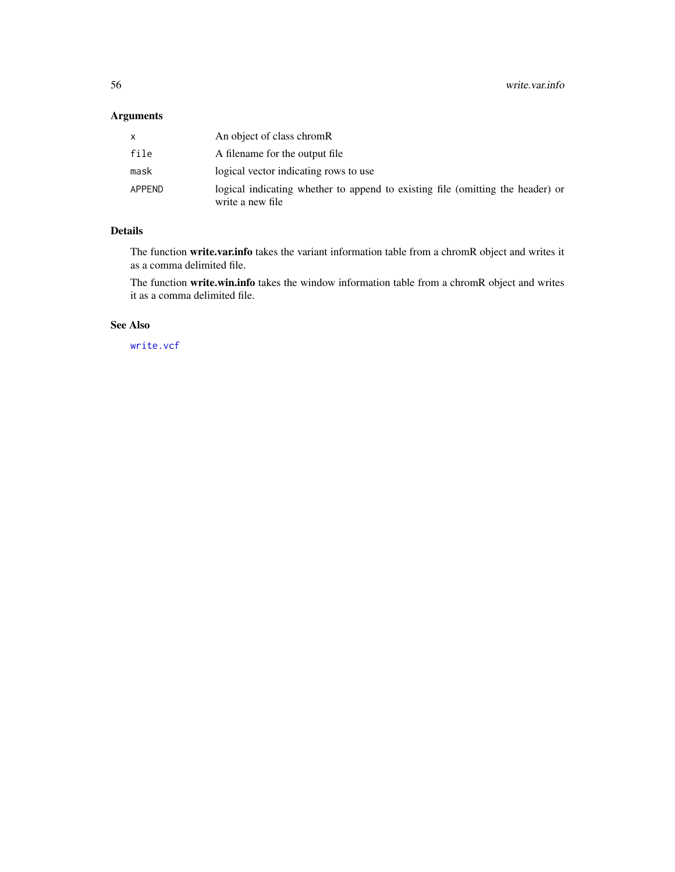## <span id="page-55-0"></span>Arguments

|        | An object of class chromR                                                                          |
|--------|----------------------------------------------------------------------------------------------------|
| file   | A filename for the output file                                                                     |
| mask   | logical vector indicating rows to use                                                              |
| APPEND | logical indicating whether to append to existing file (omitting the header) or<br>write a new file |

## Details

The function write.var.info takes the variant information table from a chromR object and writes it as a comma delimited file.

The function write.win.info takes the window information table from a chromR object and writes it as a comma delimited file.

## See Also

[write.vcf](#page-44-1)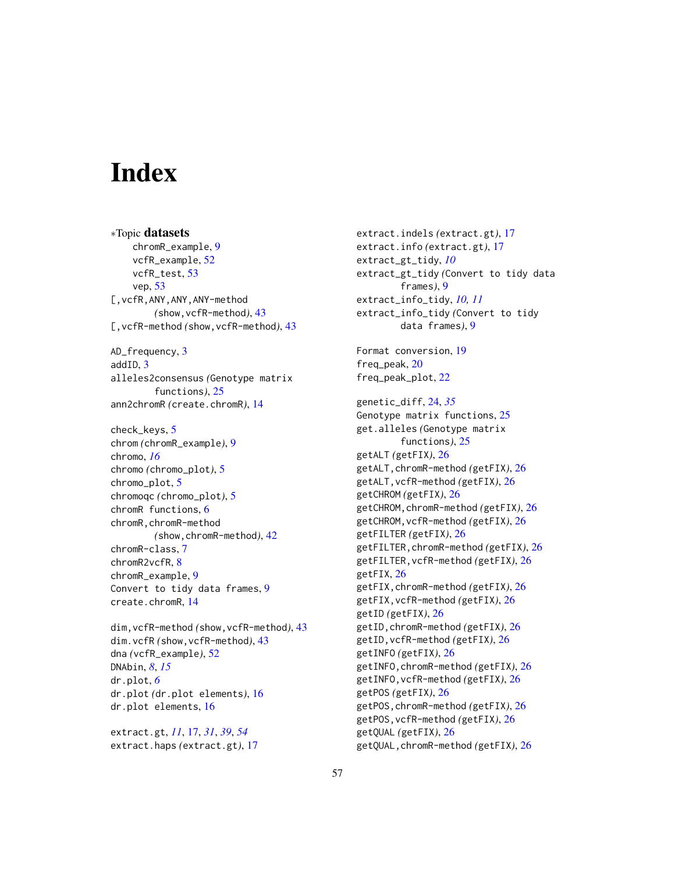# <span id="page-56-0"></span>**Index**

∗Topic datasets chromR\_example, [9](#page-8-0) vcfR\_example, [52](#page-51-0) vcfR\_test, [53](#page-52-0) vep, [53](#page-52-0) [,vcfR,ANY,ANY,ANY-method *(*show,vcfR-method*)*, [43](#page-42-0) [,vcfR-method *(*show,vcfR-method*)*, [43](#page-42-0) AD\_frequency, [3](#page-2-0) addID, [3](#page-2-0) alleles2consensus *(*Genotype matrix functions*)*, [25](#page-24-0) ann2chromR *(*create.chromR*)*, [14](#page-13-0) check\_keys, [5](#page-4-0) chrom *(*chromR\_example*)*, [9](#page-8-0) chromo, *[16](#page-15-0)* chromo *(*chromo\_plot*)*, [5](#page-4-0) chromo\_plot, [5](#page-4-0) chromoqc *(*chromo\_plot*)*, [5](#page-4-0) chromR functions, [6](#page-5-0) chromR,chromR-method *(*show,chromR-method*)*, [42](#page-41-0) chromR-class, [7](#page-6-0) chromR2vcfR, [8](#page-7-0) chromR\_example, [9](#page-8-0) Convert to tidy data frames, [9](#page-8-0) create.chromR, [14](#page-13-0)

dim,vcfR-method *(*show,vcfR-method*)*, [43](#page-42-0) dim.vcfR *(*show,vcfR-method*)*, [43](#page-42-0) dna *(*vcfR\_example*)*, [52](#page-51-0) DNAbin, *[8](#page-7-0)*, *[15](#page-14-0)* dr.plot, *[6](#page-5-0)* dr.plot *(*dr.plot elements*)*, [16](#page-15-0) dr.plot elements, [16](#page-15-0)

extract.gt, *[11](#page-10-0)*, [17,](#page-16-0) *[31](#page-30-0)*, *[39](#page-38-0)*, *[54](#page-53-0)* extract.haps *(*extract.gt*)*, [17](#page-16-0)

extract.indels *(*extract.gt*)*, [17](#page-16-0) extract.info *(*extract.gt*)*, [17](#page-16-0) extract\_gt\_tidy, *[10](#page-9-0)* extract\_gt\_tidy *(*Convert to tidy data frames*)*, [9](#page-8-0) extract\_info\_tidy, *[10,](#page-9-0) [11](#page-10-0)* extract\_info\_tidy *(*Convert to tidy data frames*)*, [9](#page-8-0) Format conversion, [19](#page-18-0) freq\_peak, [20](#page-19-0) freq\_peak\_plot, [22](#page-21-0) genetic\_diff, [24,](#page-23-0) *[35](#page-34-0)* Genotype matrix functions, [25](#page-24-0) get.alleles *(*Genotype matrix functions*)*, [25](#page-24-0) getALT *(*getFIX*)*, [26](#page-25-0) getALT,chromR-method *(*getFIX*)*, [26](#page-25-0) getALT,vcfR-method *(*getFIX*)*, [26](#page-25-0) getCHROM *(*getFIX*)*, [26](#page-25-0) getCHROM,chromR-method *(*getFIX*)*, [26](#page-25-0) getCHROM,vcfR-method *(*getFIX*)*, [26](#page-25-0) getFILTER *(*getFIX*)*, [26](#page-25-0) getFILTER,chromR-method *(*getFIX*)*, [26](#page-25-0) getFILTER,vcfR-method *(*getFIX*)*, [26](#page-25-0) getFIX, [26](#page-25-0) getFIX,chromR-method *(*getFIX*)*, [26](#page-25-0) getFIX,vcfR-method *(*getFIX*)*, [26](#page-25-0) getID *(*getFIX*)*, [26](#page-25-0) getID,chromR-method *(*getFIX*)*, [26](#page-25-0) getID,vcfR-method *(*getFIX*)*, [26](#page-25-0) getINFO *(*getFIX*)*, [26](#page-25-0) getINFO,chromR-method *(*getFIX*)*, [26](#page-25-0) getINFO,vcfR-method *(*getFIX*)*, [26](#page-25-0) getPOS *(*getFIX*)*, [26](#page-25-0) getPOS,chromR-method *(*getFIX*)*, [26](#page-25-0) getPOS,vcfR-method *(*getFIX*)*, [26](#page-25-0) getQUAL *(*getFIX*)*, [26](#page-25-0) getQUAL,chromR-method *(*getFIX*)*, [26](#page-25-0)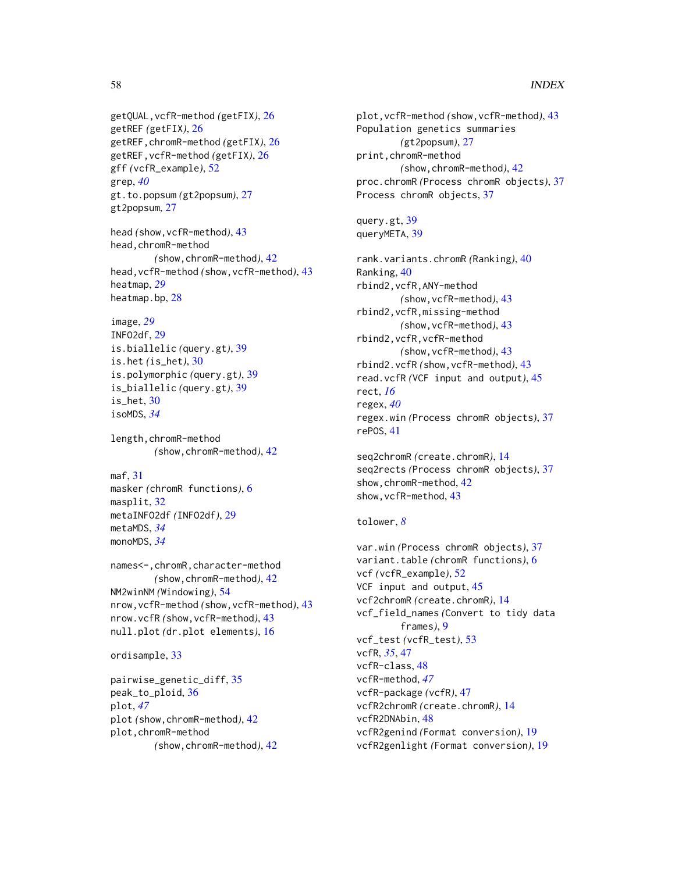#### 58 INDEX

getQUAL,vcfR-method *(*getFIX*)*, [26](#page-25-0) getREF *(*getFIX*)*, [26](#page-25-0) getREF,chromR-method *(*getFIX*)*, [26](#page-25-0) getREF,vcfR-method *(*getFIX*)*, [26](#page-25-0) gff *(*vcfR\_example*)*, [52](#page-51-0) grep, *[40](#page-39-0)* gt.to.popsum *(*gt2popsum*)*, [27](#page-26-0) gt2popsum, [27](#page-26-0)

head *(*show,vcfR-method*)*, [43](#page-42-0) head,chromR-method *(*show,chromR-method*)*, [42](#page-41-0) head,vcfR-method *(*show,vcfR-method*)*, [43](#page-42-0) heatmap, *[29](#page-28-0)* heatmap.bp, [28](#page-27-0)

```
image, 29
INFO2df, 29
is.biallelic (query.gt), 39
is.het (is_het), 30
is.polymorphic (query.gt), 39
is_biallelic (query.gt), 39
is_het, 30
isoMDS, 34
```
length,chromR-method *(*show,chromR-method*)*, [42](#page-41-0)

#### maf, [31](#page-30-0)

masker *(*chromR functions*)*, [6](#page-5-0) masplit, [32](#page-31-0) metaINFO2df *(*INFO2df*)*, [29](#page-28-0) metaMDS, *[34](#page-33-0)* monoMDS, *[34](#page-33-0)*

names<-,chromR,character-method *(*show,chromR-method*)*, [42](#page-41-0) NM2winNM *(*Windowing*)*, [54](#page-53-0) nrow,vcfR-method *(*show,vcfR-method*)*, [43](#page-42-0) nrow.vcfR *(*show,vcfR-method*)*, [43](#page-42-0) null.plot *(*dr.plot elements*)*, [16](#page-15-0)

ordisample, [33](#page-32-0)

```
pairwise_genetic_diff, 35
peak_to_ploid, 36
plot, 47
plot (show,chromR-method), 42
plot,chromR-method
        (show,chromR-method), 42
```
plot,vcfR-method *(*show,vcfR-method*)*, [43](#page-42-0) Population genetics summaries *(*gt2popsum*)*, [27](#page-26-0) print,chromR-method *(*show,chromR-method*)*, [42](#page-41-0) proc.chromR *(*Process chromR objects*)*, [37](#page-36-0) Process chromR objects, [37](#page-36-0)

```
query.gt, 39
queryMETA, 39
```
rank.variants.chromR *(*Ranking*)*, [40](#page-39-0) Ranking, [40](#page-39-0) rbind2,vcfR,ANY-method *(*show,vcfR-method*)*, [43](#page-42-0) rbind2,vcfR,missing-method *(*show,vcfR-method*)*, [43](#page-42-0) rbind2,vcfR,vcfR-method *(*show,vcfR-method*)*, [43](#page-42-0) rbind2.vcfR *(*show,vcfR-method*)*, [43](#page-42-0) read.vcfR *(*VCF input and output*)*, [45](#page-44-0) rect, *[16](#page-15-0)* regex, *[40](#page-39-0)* regex.win *(*Process chromR objects*)*, [37](#page-36-0) rePOS, [41](#page-40-0)

seq2chromR *(*create.chromR*)*, [14](#page-13-0) seq2rects *(*Process chromR objects*)*, [37](#page-36-0) show,chromR-method, [42](#page-41-0) show,vcfR-method, [43](#page-42-0)

## tolower, *[8](#page-7-0)*

var.win *(*Process chromR objects*)*, [37](#page-36-0) variant.table *(*chromR functions*)*, [6](#page-5-0) vcf *(*vcfR\_example*)*, [52](#page-51-0) VCF input and output, [45](#page-44-0) vcf2chromR *(*create.chromR*)*, [14](#page-13-0) vcf\_field\_names *(*Convert to tidy data frames*)*, [9](#page-8-0) vcf\_test *(*vcfR\_test*)*, [53](#page-52-0) vcfR, *[35](#page-34-0)*, [47](#page-46-0) vcfR-class, [48](#page-47-0) vcfR-method, *[47](#page-46-0)* vcfR-package *(*vcfR*)*, [47](#page-46-0) vcfR2chromR *(*create.chromR*)*, [14](#page-13-0) vcfR2DNAbin, [48](#page-47-0) vcfR2genind *(*Format conversion*)*, [19](#page-18-0) vcfR2genlight *(*Format conversion*)*, [19](#page-18-0)